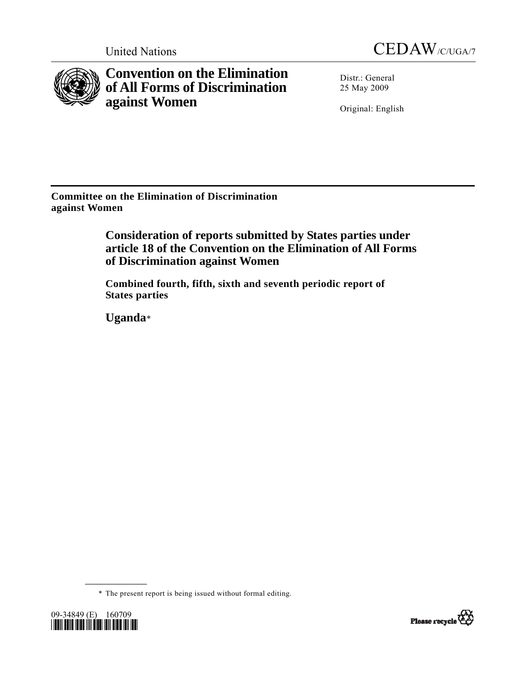



**Convention on the Elimination of All Forms of Discrimination against Women** 

Distr.: General 25 May 2009

Original: English

**Committee on the Elimination of Discrimination against Women** 

> **Consideration of reports submitted by States parties under article 18 of the Convention on the Elimination of All Forms of Discrimination against Women**

 **Combined fourth, fifth, sixth and seventh periodic report of States parties** 

 **Uganda**[\\*](#page-0-0)

\* The present report is being issued without formal editing.

<span id="page-0-0"></span>

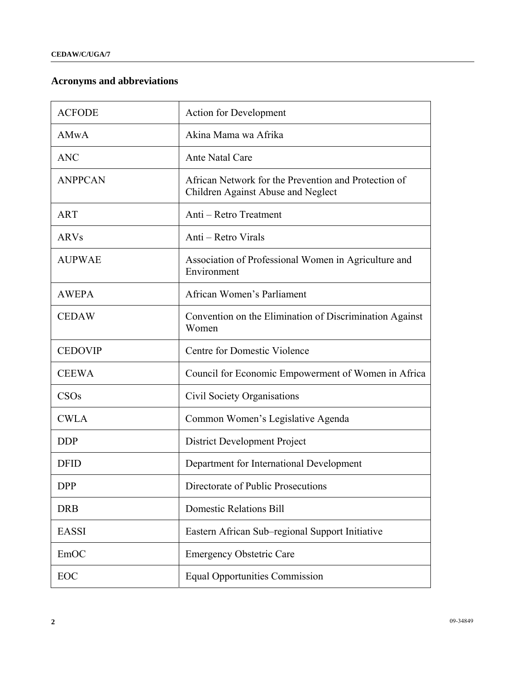# **Acronyms and abbreviations**

| <b>ACFODE</b>  | <b>Action for Development</b>                                                              |
|----------------|--------------------------------------------------------------------------------------------|
| AMwA           | Akina Mama wa Afrika                                                                       |
| <b>ANC</b>     | <b>Ante Natal Care</b>                                                                     |
| <b>ANPPCAN</b> | African Network for the Prevention and Protection of<br>Children Against Abuse and Neglect |
| <b>ART</b>     | Anti - Retro Treatment                                                                     |
| <b>ARVs</b>    | Anti – Retro Virals                                                                        |
| <b>AUPWAE</b>  | Association of Professional Women in Agriculture and<br>Environment                        |
| <b>AWEPA</b>   | African Women's Parliament                                                                 |
| <b>CEDAW</b>   | Convention on the Elimination of Discrimination Against<br>Women                           |
| <b>CEDOVIP</b> | Centre for Domestic Violence                                                               |
| <b>CEEWA</b>   | Council for Economic Empowerment of Women in Africa                                        |
| CSOs           | Civil Society Organisations                                                                |
| <b>CWLA</b>    | Common Women's Legislative Agenda                                                          |
| <b>DDP</b>     | District Development Project                                                               |
| <b>DFID</b>    | Department for International Development                                                   |
| <b>DPP</b>     | Directorate of Public Prosecutions                                                         |
| <b>DRB</b>     | <b>Domestic Relations Bill</b>                                                             |
| <b>EASSI</b>   | Eastern African Sub-regional Support Initiative                                            |
| EmOC           | <b>Emergency Obstetric Care</b>                                                            |
| EOC            | <b>Equal Opportunities Commission</b>                                                      |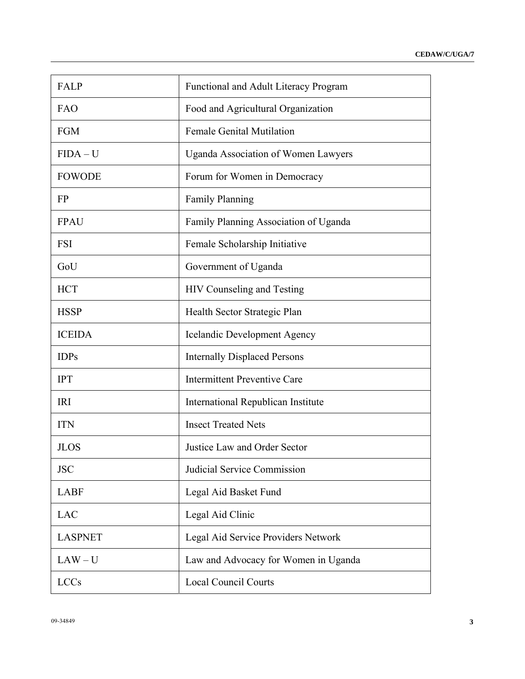| <b>FALP</b>    | <b>Functional and Adult Literacy Program</b> |
|----------------|----------------------------------------------|
| FAO            | Food and Agricultural Organization           |
| <b>FGM</b>     | <b>Female Genital Mutilation</b>             |
| FIDA – U       | <b>Uganda Association of Women Lawyers</b>   |
| <b>FOWODE</b>  | Forum for Women in Democracy                 |
| <b>FP</b>      | <b>Family Planning</b>                       |
| <b>FPAU</b>    | Family Planning Association of Uganda        |
| <b>FSI</b>     | Female Scholarship Initiative                |
| GoU            | Government of Uganda                         |
| <b>HCT</b>     | <b>HIV Counseling and Testing</b>            |
| <b>HSSP</b>    | Health Sector Strategic Plan                 |
| <b>ICEIDA</b>  | <b>Icelandic Development Agency</b>          |
| <b>IDPs</b>    | <b>Internally Displaced Persons</b>          |
| <b>IPT</b>     | <b>Intermittent Preventive Care</b>          |
| <b>IRI</b>     | International Republican Institute           |
| <b>ITN</b>     | <b>Insect Treated Nets</b>                   |
| <b>JLOS</b>    | Justice Law and Order Sector                 |
| <b>JSC</b>     | Judicial Service Commission                  |
| <b>LABF</b>    | Legal Aid Basket Fund                        |
| <b>LAC</b>     | Legal Aid Clinic                             |
| <b>LASPNET</b> | Legal Aid Service Providers Network          |
| $LAW-U$        | Law and Advocacy for Women in Uganda         |
| <b>LCCs</b>    | <b>Local Council Courts</b>                  |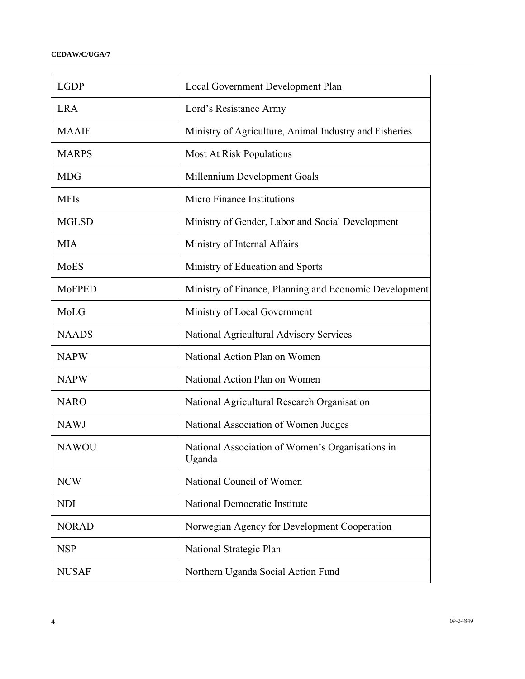| <b>LGDP</b>   | Local Government Development Plan                          |
|---------------|------------------------------------------------------------|
| <b>LRA</b>    | Lord's Resistance Army                                     |
| <b>MAAIF</b>  | Ministry of Agriculture, Animal Industry and Fisheries     |
| <b>MARPS</b>  | <b>Most At Risk Populations</b>                            |
| <b>MDG</b>    | Millennium Development Goals                               |
| <b>MFIs</b>   | Micro Finance Institutions                                 |
| <b>MGLSD</b>  | Ministry of Gender, Labor and Social Development           |
| <b>MIA</b>    | Ministry of Internal Affairs                               |
| MoES          | Ministry of Education and Sports                           |
| <b>MoFPED</b> | Ministry of Finance, Planning and Economic Development     |
| MoLG          | Ministry of Local Government                               |
| <b>NAADS</b>  | National Agricultural Advisory Services                    |
| <b>NAPW</b>   | National Action Plan on Women                              |
| <b>NAPW</b>   | National Action Plan on Women                              |
| <b>NARO</b>   | National Agricultural Research Organisation                |
| <b>NAWJ</b>   | National Association of Women Judges                       |
| <b>NAWOU</b>  | National Association of Women's Organisations in<br>Uganda |
| <b>NCW</b>    | National Council of Women                                  |
| <b>NDI</b>    | National Democratic Institute                              |
| <b>NORAD</b>  | Norwegian Agency for Development Cooperation               |
| <b>NSP</b>    | National Strategic Plan                                    |
| <b>NUSAF</b>  | Northern Uganda Social Action Fund                         |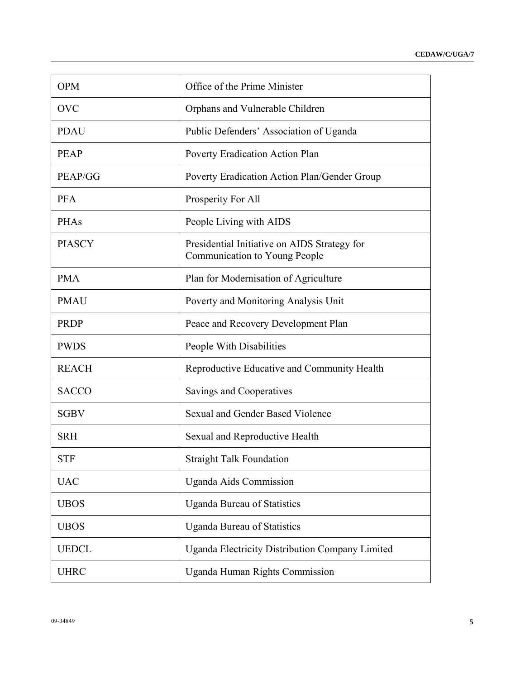| <b>OPM</b>    | Office of the Prime Minister                                                         |
|---------------|--------------------------------------------------------------------------------------|
| <b>OVC</b>    | Orphans and Vulnerable Children                                                      |
| <b>PDAU</b>   | Public Defenders' Association of Uganda                                              |
| <b>PEAP</b>   | Poverty Eradication Action Plan                                                      |
| PEAP/GG       | Poverty Eradication Action Plan/Gender Group                                         |
| <b>PFA</b>    | Prosperity For All                                                                   |
| PHAs          | People Living with AIDS                                                              |
| <b>PIASCY</b> | Presidential Initiative on AIDS Strategy for<br><b>Communication to Young People</b> |
| <b>PMA</b>    | Plan for Modernisation of Agriculture                                                |
| <b>PMAU</b>   | Poverty and Monitoring Analysis Unit                                                 |
| <b>PRDP</b>   | Peace and Recovery Development Plan                                                  |
| <b>PWDS</b>   | People With Disabilities                                                             |
| <b>REACH</b>  | Reproductive Educative and Community Health                                          |
| <b>SACCO</b>  | Savings and Cooperatives                                                             |
| <b>SGBV</b>   | Sexual and Gender Based Violence                                                     |
| <b>SRH</b>    | Sexual and Reproductive Health                                                       |
| <b>STF</b>    | <b>Straight Talk Foundation</b>                                                      |
| <b>UAC</b>    | <b>Uganda Aids Commission</b>                                                        |
| <b>UBOS</b>   | <b>Uganda Bureau of Statistics</b>                                                   |
| <b>UBOS</b>   | <b>Uganda Bureau of Statistics</b>                                                   |
| <b>UEDCL</b>  | <b>Uganda Electricity Distribution Company Limited</b>                               |
| <b>UHRC</b>   | <b>Uganda Human Rights Commission</b>                                                |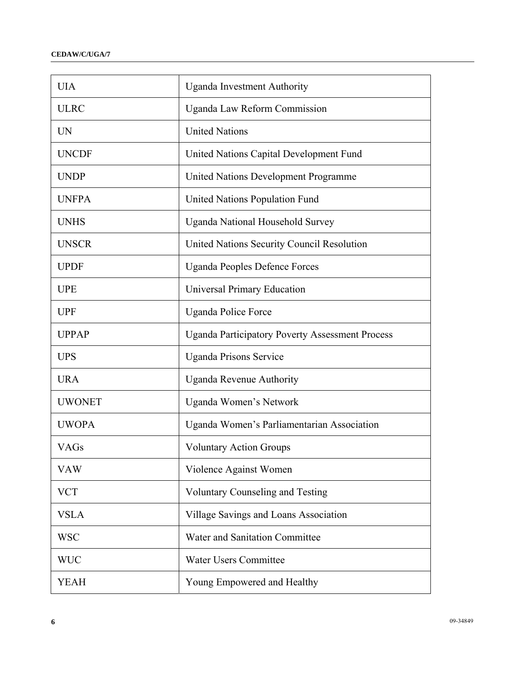| <b>UIA</b>    | <b>Uganda Investment Authority</b>                     |
|---------------|--------------------------------------------------------|
| <b>ULRC</b>   | <b>Uganda Law Reform Commission</b>                    |
| <b>UN</b>     | <b>United Nations</b>                                  |
| <b>UNCDF</b>  | United Nations Capital Development Fund                |
| <b>UNDP</b>   | United Nations Development Programme                   |
| <b>UNFPA</b>  | United Nations Population Fund                         |
| <b>UNHS</b>   | <b>Uganda National Household Survey</b>                |
| <b>UNSCR</b>  | United Nations Security Council Resolution             |
| <b>UPDF</b>   | <b>Uganda Peoples Defence Forces</b>                   |
| <b>UPE</b>    | <b>Universal Primary Education</b>                     |
| <b>UPF</b>    | <b>Uganda Police Force</b>                             |
| <b>UPPAP</b>  | <b>Uganda Participatory Poverty Assessment Process</b> |
| <b>UPS</b>    | <b>Uganda Prisons Service</b>                          |
| <b>URA</b>    | <b>Uganda Revenue Authority</b>                        |
| <b>UWONET</b> | Uganda Women's Network                                 |
| <b>UWOPA</b>  | Uganda Women's Parliamentarian Association             |
| <b>VAGs</b>   | <b>Voluntary Action Groups</b>                         |
| <b>VAW</b>    | Violence Against Women                                 |
| <b>VCT</b>    | <b>Voluntary Counseling and Testing</b>                |
| <b>VSLA</b>   | Village Savings and Loans Association                  |
| <b>WSC</b>    | Water and Sanitation Committee                         |
| <b>WUC</b>    | <b>Water Users Committee</b>                           |
| <b>YEAH</b>   | Young Empowered and Healthy                            |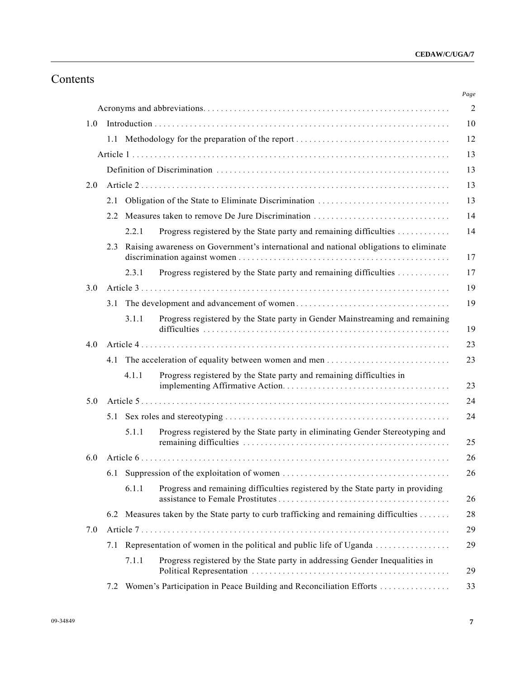# Contents

| 1.0 |               |       |                                                                                       |
|-----|---------------|-------|---------------------------------------------------------------------------------------|
|     |               |       |                                                                                       |
|     |               |       |                                                                                       |
|     |               |       |                                                                                       |
| 2.0 |               |       |                                                                                       |
|     | 2.1           |       |                                                                                       |
|     | $2.2^{\circ}$ |       | Measures taken to remove De Jure Discrimination                                       |
|     |               | 2.2.1 | Progress registered by the State party and remaining difficulties                     |
|     | 2.3           |       | Raising awareness on Government's international and national obligations to eliminate |
|     |               | 2.3.1 | Progress registered by the State party and remaining difficulties                     |
| 3.0 |               |       |                                                                                       |
|     |               |       |                                                                                       |
|     |               | 3.1.1 | Progress registered by the State party in Gender Mainstreaming and remaining          |
| 4.0 |               |       |                                                                                       |
|     |               |       |                                                                                       |
|     |               | 4.1.1 | Progress registered by the State party and remaining difficulties in                  |
| 5.0 |               |       |                                                                                       |
|     |               |       |                                                                                       |
|     |               | 5.1.1 | Progress registered by the State party in eliminating Gender Stereotyping and         |
| 6.0 |               |       |                                                                                       |
|     |               |       |                                                                                       |
|     |               | 6.1.1 | Progress and remaining difficulties registered by the State party in providing        |
|     |               |       | 6.2 Measures taken by the State party to curb trafficking and remaining difficulties  |
| 7.0 |               |       |                                                                                       |
|     | 7.1           |       |                                                                                       |
|     |               | 7.1.1 | Progress registered by the State party in addressing Gender Inequalities in           |
|     |               |       | Women's Participation in Peace Building and Reconciliation Efforts                    |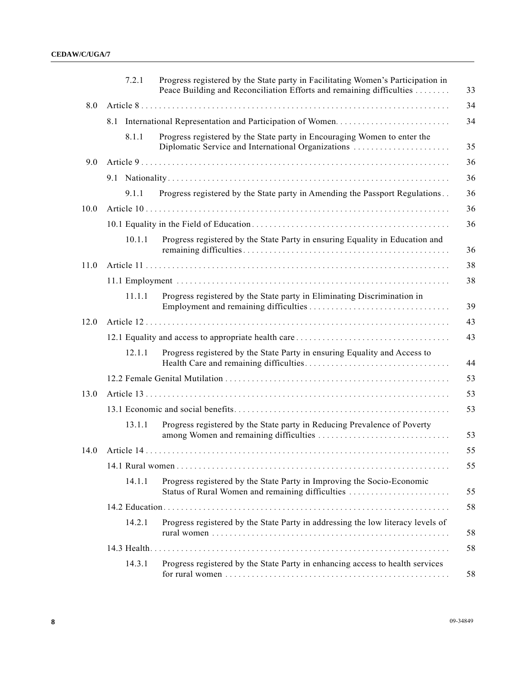|      |     | 7.2.1  | Progress registered by the State party in Facilitating Women's Participation in<br>Peace Building and Reconciliation Efforts and remaining difficulties |
|------|-----|--------|---------------------------------------------------------------------------------------------------------------------------------------------------------|
| 8.0  |     |        |                                                                                                                                                         |
|      | 8.1 |        |                                                                                                                                                         |
|      |     | 8.1.1  | Progress registered by the State party in Encouraging Women to enter the<br>Diplomatic Service and International Organizations                          |
| 9.0  |     |        |                                                                                                                                                         |
|      |     |        |                                                                                                                                                         |
|      |     | 9.1.1  | Progress registered by the State party in Amending the Passport Regulations                                                                             |
| 10.0 |     |        |                                                                                                                                                         |
|      |     |        |                                                                                                                                                         |
|      |     | 10.1.1 | Progress registered by the State Party in ensuring Equality in Education and                                                                            |
| 11.0 |     |        |                                                                                                                                                         |
|      |     |        |                                                                                                                                                         |
|      |     | 11.1.1 | Progress registered by the State party in Eliminating Discrimination in                                                                                 |
| 12.0 |     |        |                                                                                                                                                         |
|      |     |        |                                                                                                                                                         |
|      |     | 12.1.1 | Progress registered by the State Party in ensuring Equality and Access to                                                                               |
|      |     |        |                                                                                                                                                         |
| 13.0 |     |        |                                                                                                                                                         |
|      |     |        |                                                                                                                                                         |
|      |     | 13.1.1 | Progress registered by the State party in Reducing Prevalence of Poverty                                                                                |
| 14.0 |     |        |                                                                                                                                                         |
|      |     |        |                                                                                                                                                         |
|      |     | 14.1.1 | Progress registered by the State Party in Improving the Socio-Economic<br>Status of Rural Women and remaining difficulties                              |
|      |     |        |                                                                                                                                                         |
|      |     | 14.2.1 | Progress registered by the State Party in addressing the low literacy levels of                                                                         |
|      |     |        |                                                                                                                                                         |
|      |     | 14.3.1 | Progress registered by the State Party in enhancing access to health services                                                                           |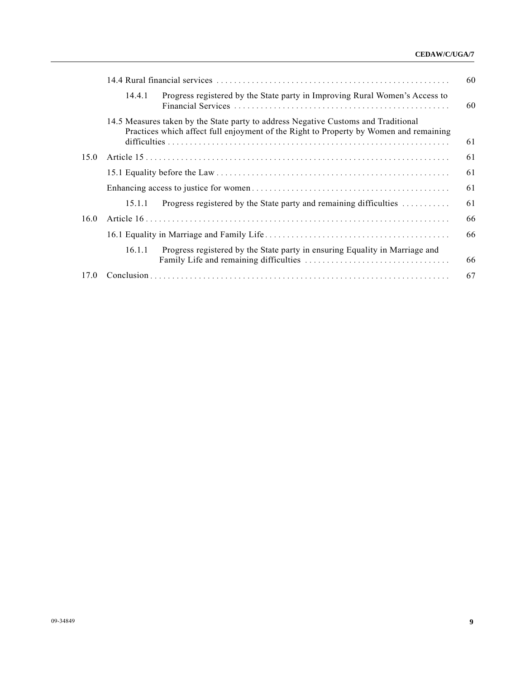#### **CEDAW/C/UGA/7**

|      | 14.4.1 | Progress registered by the State party in Improving Rural Women's Access to                                                                                                 |
|------|--------|-----------------------------------------------------------------------------------------------------------------------------------------------------------------------------|
|      |        | 14.5 Measures taken by the State party to address Negative Customs and Traditional<br>Practices which affect full enjoyment of the Right to Property by Women and remaining |
| 15.0 |        |                                                                                                                                                                             |
|      |        |                                                                                                                                                                             |
|      |        | 61                                                                                                                                                                          |
|      | 15.1.1 | Progress registered by the State party and remaining difficulties                                                                                                           |
| 16.0 |        |                                                                                                                                                                             |
|      |        |                                                                                                                                                                             |
|      | 16.1.1 | Progress registered by the State party in ensuring Equality in Marriage and                                                                                                 |
| 17.0 |        |                                                                                                                                                                             |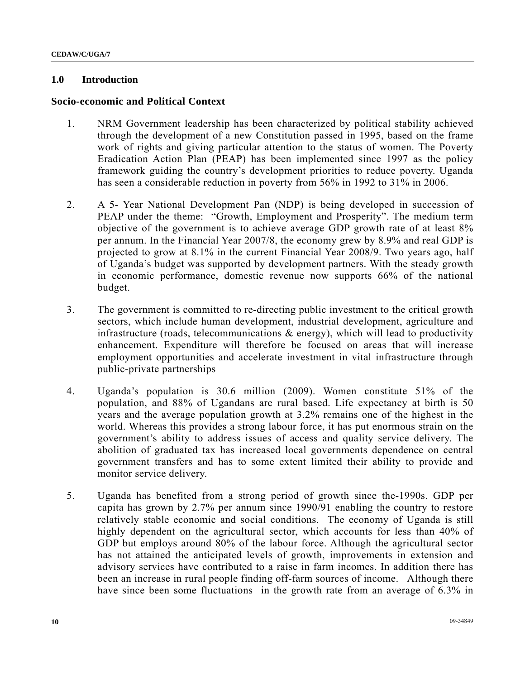### **1.0 Introduction**

#### **Socio-economic and Political Context**

- 1. NRM Government leadership has been characterized by political stability achieved through the development of a new Constitution passed in 1995, based on the frame work of rights and giving particular attention to the status of women. The Poverty Eradication Action Plan (PEAP) has been implemented since 1997 as the policy framework guiding the country's development priorities to reduce poverty. Uganda has seen a considerable reduction in poverty from 56% in 1992 to 31% in 2006.
- 2. A 5- Year National Development Pan (NDP) is being developed in succession of PEAP under the theme: "Growth, Employment and Prosperity". The medium term objective of the government is to achieve average GDP growth rate of at least 8% per annum. In the Financial Year 2007/8, the economy grew by 8.9% and real GDP is projected to grow at 8.1% in the current Financial Year 2008/9. Two years ago, half of Uganda's budget was supported by development partners. With the steady growth in economic performance, domestic revenue now supports 66% of the national budget.
- 3. The government is committed to re-directing public investment to the critical growth sectors, which include human development, industrial development, agriculture and infrastructure (roads, telecommunications  $\&$  energy), which will lead to productivity enhancement. Expenditure will therefore be focused on areas that will increase employment opportunities and accelerate investment in vital infrastructure through public-private partnerships
- 4. Uganda's population is 30.6 million (2009). Women constitute 51% of the population, and 88% of Ugandans are rural based. Life expectancy at birth is 50 years and the average population growth at 3.2% remains one of the highest in the world. Whereas this provides a strong labour force, it has put enormous strain on the government's ability to address issues of access and quality service delivery. The abolition of graduated tax has increased local governments dependence on central government transfers and has to some extent limited their ability to provide and monitor service delivery.
- 5. Uganda has benefited from a strong period of growth since the-1990s. GDP per capita has grown by 2.7% per annum since 1990/91 enabling the country to restore relatively stable economic and social conditions. The economy of Uganda is still highly dependent on the agricultural sector, which accounts for less than 40% of GDP but employs around 80% of the labour force. Although the agricultural sector has not attained the anticipated levels of growth, improvements in extension and advisory services have contributed to a raise in farm incomes. In addition there has been an increase in rural people finding off-farm sources of income. Although there have since been some fluctuations in the growth rate from an average of 6.3% in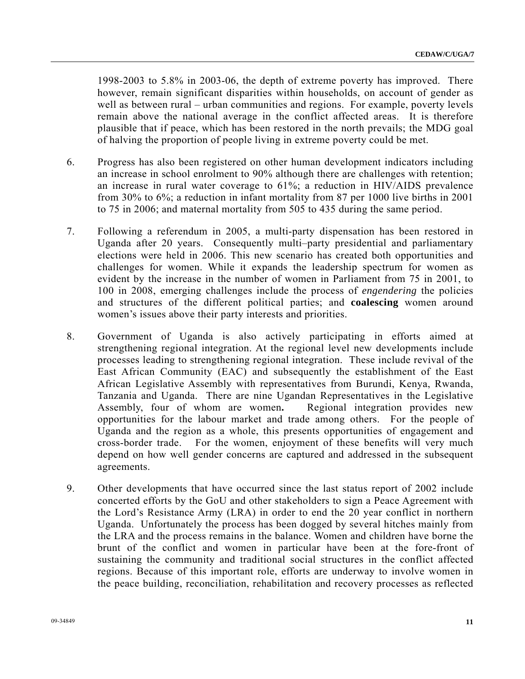1998-2003 to 5.8% in 2003-06, the depth of extreme poverty has improved. There however, remain significant disparities within households, on account of gender as well as between rural – urban communities and regions. For example, poverty levels remain above the national average in the conflict affected areas. It is therefore plausible that if peace, which has been restored in the north prevails; the MDG goal of halving the proportion of people living in extreme poverty could be met.

- 6. Progress has also been registered on other human development indicators including an increase in school enrolment to 90% although there are challenges with retention; an increase in rural water coverage to 61%; a reduction in HIV/AIDS prevalence from 30% to 6%; a reduction in infant mortality from 87 per 1000 live births in 2001 to 75 in 2006; and maternal mortality from 505 to 435 during the same period.
- 7. Following a referendum in 2005, a multi-party dispensation has been restored in Uganda after 20 years. Consequently multi–party presidential and parliamentary elections were held in 2006. This new scenario has created both opportunities and challenges for women. While it expands the leadership spectrum for women as evident by the increase in the number of women in Parliament from 75 in 2001, to 100 in 2008, emerging challenges include the process of *engendering* the policies and structures of the different political parties; and **coalescing** women around women's issues above their party interests and priorities.
- 8. Government of Uganda is also actively participating in efforts aimed at strengthening regional integration. At the regional level new developments include processes leading to strengthening regional integration. These include revival of the East African Community (EAC) and subsequently the establishment of the East African Legislative Assembly with representatives from Burundi, Kenya, Rwanda, Tanzania and Uganda. There are nine Ugandan Representatives in the Legislative Assembly, four of whom are women**.** Regional integration provides new opportunities for the labour market and trade among others. For the people of Uganda and the region as a whole, this presents opportunities of engagement and cross-border trade. For the women, enjoyment of these benefits will very much depend on how well gender concerns are captured and addressed in the subsequent agreements.
- 9. Other developments that have occurred since the last status report of 2002 include concerted efforts by the GoU and other stakeholders to sign a Peace Agreement with the Lord's Resistance Army (LRA) in order to end the 20 year conflict in northern Uganda. Unfortunately the process has been dogged by several hitches mainly from the LRA and the process remains in the balance. Women and children have borne the brunt of the conflict and women in particular have been at the fore-front of sustaining the community and traditional social structures in the conflict affected regions. Because of this important role, efforts are underway to involve women in the peace building, reconciliation, rehabilitation and recovery processes as reflected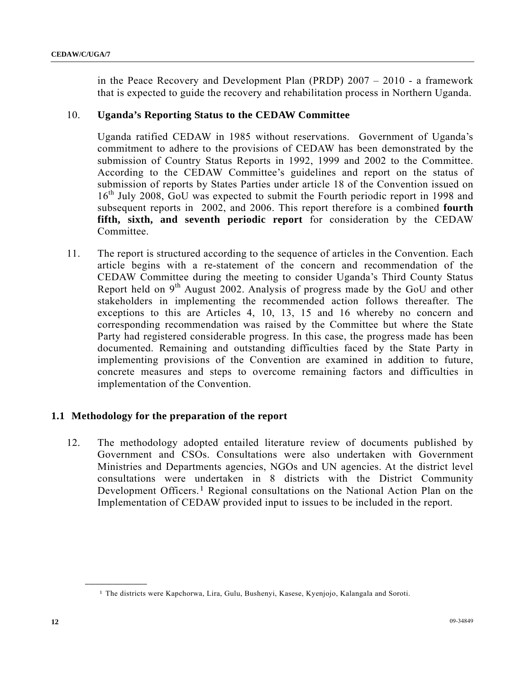in the Peace Recovery and Development Plan (PRDP) 2007 – 2010 - a framework that is expected to guide the recovery and rehabilitation process in Northern Uganda.

### 10. **Uganda's Reporting Status to the CEDAW Committee**

Uganda ratified CEDAW in 1985 without reservations. Government of Uganda's commitment to adhere to the provisions of CEDAW has been demonstrated by the submission of Country Status Reports in 1992, 1999 and 2002 to the Committee. According to the CEDAW Committee's guidelines and report on the status of submission of reports by States Parties under article 18 of the Convention issued on 16<sup>th</sup> July 2008, GoU was expected to submit the Fourth periodic report in 1998 and subsequent reports in 2002, and 2006. This report therefore is a combined **fourth fifth, sixth, and seventh periodic report** for consideration by the CEDAW Committee.

11. The report is structured according to the sequence of articles in the Convention. Each article begins with a re-statement of the concern and recommendation of the CEDAW Committee during the meeting to consider Uganda's Third County Status Report held on  $9<sup>th</sup>$  August 2002. Analysis of progress made by the GoU and other stakeholders in implementing the recommended action follows thereafter. The exceptions to this are Articles 4, 10, 13, 15 and 16 whereby no concern and corresponding recommendation was raised by the Committee but where the State Party had registered considerable progress. In this case, the progress made has been documented. Remaining and outstanding difficulties faced by the State Party in implementing provisions of the Convention are examined in addition to future, concrete measures and steps to overcome remaining factors and difficulties in implementation of the Convention.

## **1.1 Methodology for the preparation of the report**

12. The methodology adopted entailed literature review of documents published by Government and CSOs. Consultations were also undertaken with Government Ministries and Departments agencies, NGOs and UN agencies. At the district level consultations were undertaken in 8 districts with the District Community Development Officers.[1](#page-11-0) Regional consultations on the National Action Plan on the Implementation of CEDAW provided input to issues to be included in the report.

<span id="page-11-0"></span><sup>1</sup> The districts were Kapchorwa, Lira, Gulu, Bushenyi, Kasese, Kyenjojo, Kalangala and Soroti.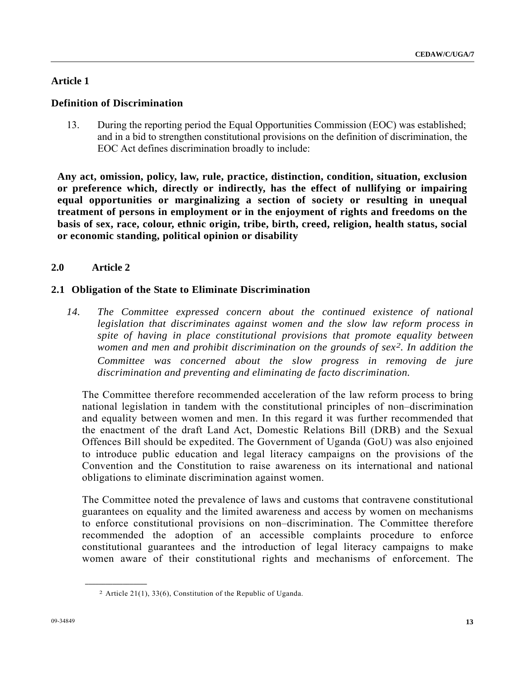## **Article 1**

## **Definition of Discrimination**

13. During the reporting period the Equal Opportunities Commission (EOC) was established; and in a bid to strengthen constitutional provisions on the definition of discrimination, the EOC Act defines discrimination broadly to include:

**Any act, omission, policy, law, rule, practice, distinction, condition, situation, exclusion or preference which, directly or indirectly, has the effect of nullifying or impairing equal opportunities or marginalizing a section of society or resulting in unequal treatment of persons in employment or in the enjoyment of rights and freedoms on the basis of sex, race, colour, ethnic origin, tribe, birth, creed, religion, health status, social or economic standing, political opinion or disability**

## **2.0 Article 2**

## **2.1 Obligation of the State to Eliminate Discrimination**

14. The Committee expressed concern about the continued existence of national *legislation that discriminates against women and the slow law reform process in spite of having in place constitutional provisions that promote equality between women and men and prohibit discrimination on the grounds of sex[2](#page-12-0). In addition the Committee was concerned about the slow progress in removing de jure discrimination and preventing and eliminating de facto discrimination.* 

The Committee therefore recommended acceleration of the law reform process to bring national legislation in tandem with the constitutional principles of non–discrimination and equality between women and men. In this regard it was further recommended that the enactment of the draft Land Act, Domestic Relations Bill (DRB) and the Sexual Offences Bill should be expedited. The Government of Uganda (GoU) was also enjoined to introduce public education and legal literacy campaigns on the provisions of the Convention and the Constitution to raise awareness on its international and national obligations to eliminate discrimination against women.

The Committee noted the prevalence of laws and customs that contravene constitutional guarantees on equality and the limited awareness and access by women on mechanisms to enforce constitutional provisions on non–discrimination. The Committee therefore recommended the adoption of an accessible complaints procedure to enforce constitutional guarantees and the introduction of legal literacy campaigns to make women aware of their constitutional rights and mechanisms of enforcement. The

<span id="page-12-0"></span><sup>2</sup> Article 21(1), 33(6), Constitution of the Republic of Uganda.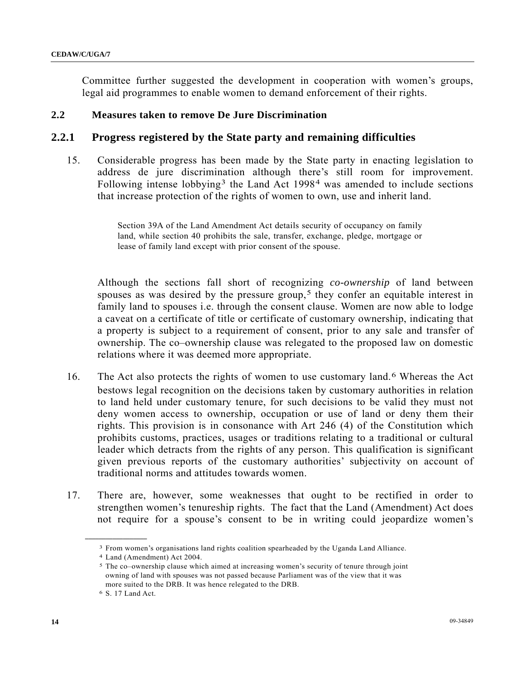Committee further suggested the development in cooperation with women's groups, legal aid programmes to enable women to demand enforcement of their rights.

# **2.2 Measures taken to remove De Jure Discrimination**

## **2.2.1 Progress registered by the State party and remaining difficulties**

15. Considerable progress has been made by the State party in enacting legislation to address de jure discrimination although there's still room for improvement. Following intense lobbying<sup>[3](#page-13-0)</sup> the Land Act 1998<sup>[4](#page-13-1)</sup> was amended to include sections that increase protection of the rights of women to own, use and inherit land.

> Section 39A of the Land Amendment Act details security of occupancy on family land, while section 40 prohibits the sale, transfer, exchange, pledge, mortgage or lease of family land except with prior consent of the spouse.

Although the sections fall short of recognizing *co-ownership* of land between spouses as was desired by the pressure group,<sup>[5](#page-13-2)</sup> they confer an equitable interest in family land to spouses i.e. through the consent clause. Women are now able to lodge a caveat on a certificate of title or certificate of customary ownership, indicating that a property is subject to a requirement of consent, prior to any sale and transfer of ownership. The co–ownership clause was relegated to the proposed law on domestic relations where it was deemed more appropriate.

- 16. The Act also protects the rights of women to use customary land.[6](#page-13-3) Whereas the Act bestows legal recognition on the decisions taken by customary authorities in relation to land held under customary tenure, for such decisions to be valid they must not deny women access to ownership, occupation or use of land or deny them their rights. This provision is in consonance with Art 246 (4) of the Constitution which prohibits customs, practices, usages or traditions relating to a traditional or cultural leader which detracts from the rights of any person. This qualification is significant given previous reports of the customary authorities' subjectivity on account of traditional norms and attitudes towards women.
- <span id="page-13-1"></span><span id="page-13-0"></span>17. There are, however, some weaknesses that ought to be rectified in order to strengthen women's tenureship rights. The fact that the Land (Amendment) Act does not require for a spouse's consent to be in writing could jeopardize women's

<span id="page-13-2"></span><sup>3</sup> From women's organisations land rights coalition spearheaded by the Uganda Land Alliance. 4 Land (Amendment) Act 2004.

<sup>5</sup> The co–ownership clause which aimed at increasing women's security of tenure through joint owning of land with spouses was not passed because Parliament was of the view that it was more suited to the DRB. It was hence relegated to the DRB.

<span id="page-13-3"></span><sup>6</sup> S. 17 Land Act.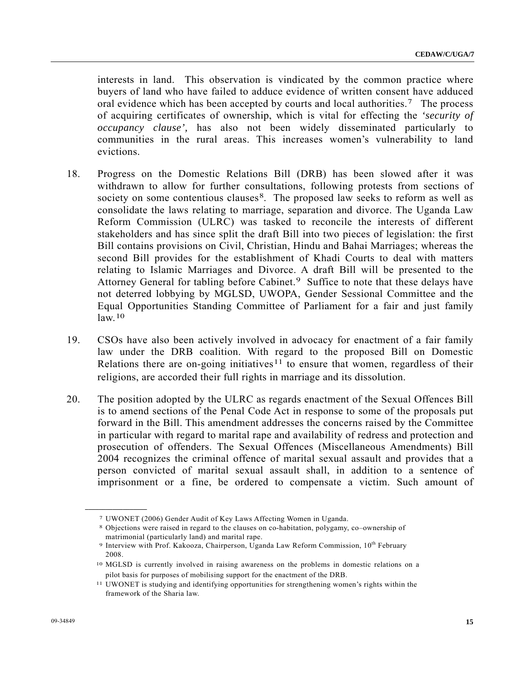interests in land. This observation is vindicated by the common practice where buyers of land who have failed to adduce evidence of written consent have adduced oral evidence which has been accepted by courts and local authorities.<sup>7</sup> The process of acquiring certificates of ownership, which is vital for effecting the *'security of occupancy clause',* has also not been widely disseminated particularly to communities in the rural areas. This increases women's vulnerability to land evictions.

- 18. Progress on the Domestic Relations Bill (DRB) has been slowed after it was withdrawn to allow for further consultations, following protests from sections of society on some contentious clauses<sup>8</sup>. The proposed law seeks to reform as well as consolidate the laws relating to marriage, separation and divorce. The Uganda Law Reform Commission (ULRC) was tasked to reconcile the interests of different stakeholders and has since split the draft Bill into two pieces of legislation: the first Bill contains provisions on Civil, Christian, Hindu and Bahai Marriages; whereas the second Bill provides for the establishment of Khadi Courts to deal with matters relating to Islamic Marriages and Divorce. A draft Bill will be presented to the Attorney General for tabling before Cabinet.<sup>9</sup> Suffice to note that these delays have not deterred lobbying by MGLSD, UWOPA, Gender Sessional Committee and the Equal Opportunities Standing Committee of Parliament for a fair and just family  $law<sup>10</sup>$  $law<sup>10</sup>$  $law<sup>10</sup>$
- 19. CSOs have also been actively involved in advocacy for enactment of a fair family law under the DRB coalition. With regard to the proposed Bill on Domestic Relations there are on-going initiatives<sup>[11](#page-14-4)</sup> to ensure that women, regardless of their religions, are accorded their full rights in marriage and its dissolution.
- 20. The position adopted by the ULRC as regards enactment of the Sexual Offences Bill is to amend sections of the Penal Code Act in response to some of the proposals put forward in the Bill. This amendment addresses the concerns raised by the Committee in particular with regard to marital rape and availability of redress and protection and prosecution of offenders. The Sexual Offences (Miscellaneous Amendments) Bill 2004 recognizes the criminal offence of marital sexual assault and provides that a person convicted of marital sexual assault shall, in addition to a sentence of imprisonment or a fine, be ordered to compensate a victim. Such amount of

<span id="page-14-1"></span><span id="page-14-0"></span>

<sup>7</sup> UWONET (2006) Gender Audit of Key Laws Affecting Women in Uganda. 8 Objections were raised in regard to the clauses on co-habitation, polygamy, co–ownership of matrimonial (particularly land) and marital rape.

<span id="page-14-2"></span><sup>9</sup> Interview with Prof. Kakooza, Chairperson, Uganda Law Reform Commission, 10<sup>th</sup> February 2008.

<span id="page-14-3"></span><sup>10</sup> MGLSD is currently involved in raising awareness on the problems in domestic relations on a pilot basis for purposes of mobilising support for the enactment of the DRB.

<span id="page-14-4"></span><sup>11</sup> UWONET is studying and identifying opportunities for strengthening women's rights within the framework of the Sharia law.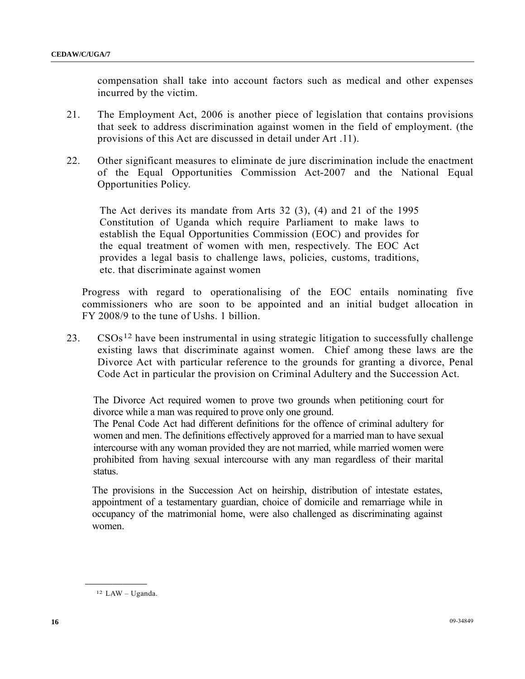compensation shall take into account factors such as medical and other expenses incurred by the victim.

- 21. The Employment Act, 2006 is another piece of legislation that contains provisions that seek to address discrimination against women in the field of employment. (the provisions of this Act are discussed in detail under Art .11).
- 22. Other significant measures to eliminate de jure discrimination include the enactment of the Equal Opportunities Commission Act-2007 and the National Equal Opportunities Policy.

The Act derives its mandate from Arts 32 (3), (4) and 21 of the 1995 Constitution of Uganda which require Parliament to make laws to establish the Equal Opportunities Commission (EOC) and provides for the equal treatment of women with men, respectively. The EOC Act provides a legal basis to challenge laws, policies, customs, traditions, etc. that discriminate against women

Progress with regard to operationalising of the EOC entails nominating five commissioners who are soon to be appointed and an initial budget allocation in FY 2008/9 to the tune of Ushs. 1 billion.

 $23.$  CSOs<sup>[1](#page-15-0)2</sup> have been instrumental in using strategic litigation to successfully challenge existing laws that discriminate against women. Chief among these laws are the Divorce Act with particular reference to the grounds for granting a divorce, Penal Code Act in particular the provision on Criminal Adultery and the Succession Act.

The Divorce Act required women to prove two grounds when petitioning court for divorce while a man was required to prove only one ground.

The Penal Code Act had different definitions for the offence of criminal adultery for women and men. The definitions effectively approved for a married man to have sexual intercourse with any woman provided they are not married, while married women were prohibited from having sexual intercourse with any man regardless of their marital status.

The provisions in the Succession Act on heirship, distribution of intestate estates, appointment of a testamentary guardian, choice of domicile and remarriage while in occupancy of the matrimonial home, were also challenged as discriminating against women.

<span id="page-15-0"></span>12 LAW – Uganda.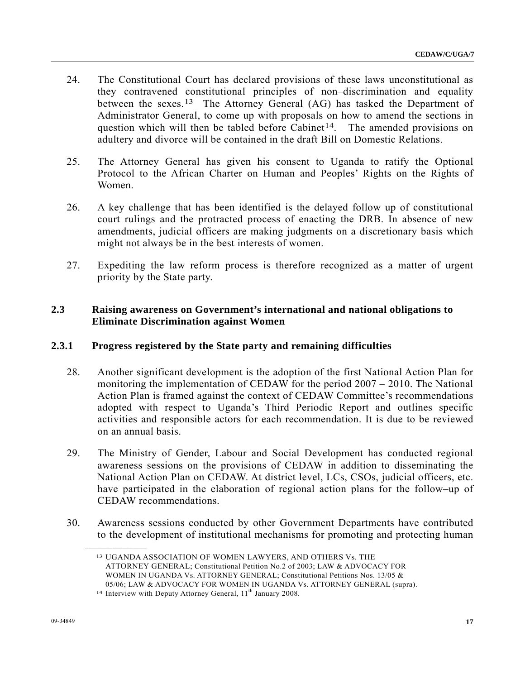- 24. The Constitutional Court has declared provisions of these laws unconstitutional as they contravened constitutional principles of non–discrimination and equality between the sexes.<sup>[1](#page-16-0)3</sup> The Attorney General  $(AG)$  has tasked the Department of Administrator General, to come up with proposals on how to amend the sections in question which will then be tabled before Cabinet<sup>[1](#page-16-1)4</sup>. The amended provisions on adultery and divorce will be contained in the draft Bill on Domestic Relations.
- 25. The Attorney General has given his consent to Uganda to ratify the Optional Protocol to the African Charter on Human and Peoples' Rights on the Rights of Women.
- 26. A key challenge that has been identified is the delayed follow up of constitutional court rulings and the protracted process of enacting the DRB. In absence of new amendments, judicial officers are making judgments on a discretionary basis which might not always be in the best interests of women.
- 27. Expediting the law reform process is therefore recognized as a matter of urgent priority by the State party.

# **2.3 Raising awareness on Government's international and national obligations to Eliminate Discrimination against Women**

# **2.3.1 Progress registered by the State party and remaining difficulties**

- 28. Another significant development is the adoption of the first National Action Plan for monitoring the implementation of CEDAW for the period 2007 – 2010. The National Action Plan is framed against the context of CEDAW Committee's recommendations adopted with respect to Uganda's Third Periodic Report and outlines specific activities and responsible actors for each recommendation. It is due to be reviewed on an annual basis.
- 29. The Ministry of Gender, Labour and Social Development has conducted regional awareness sessions on the provisions of CEDAW in addition to disseminating the National Action Plan on CEDAW. At district level, LCs, CSOs, judicial officers, etc. have participated in the elaboration of regional action plans for the follow–up of CEDAW recommendations.
- <span id="page-16-0"></span>30. Awareness sessions conducted by other Government Departments have contributed to the development of institutional mechanisms for promoting and protecting human

<sup>13</sup> UGANDA ASSOCIATION OF WOMEN LAWYERS, AND OTHERS Vs. THE ATTORNEY GENERAL; Constitutional Petition No.2 of 2003; LAW & ADVOCACY FOR WOMEN IN UGANDA Vs. ATTORNEY GENERAL; Constitutional Petitions Nos. 13/05 & 05/06; LAW & ADVOCACY FOR WOMEN IN UGANDA Vs. ATTORNEY GENERAL (supra).

<span id="page-16-1"></span><sup>&</sup>lt;sup>14</sup> Interview with Deputy Attorney General, 11<sup>th</sup> January 2008.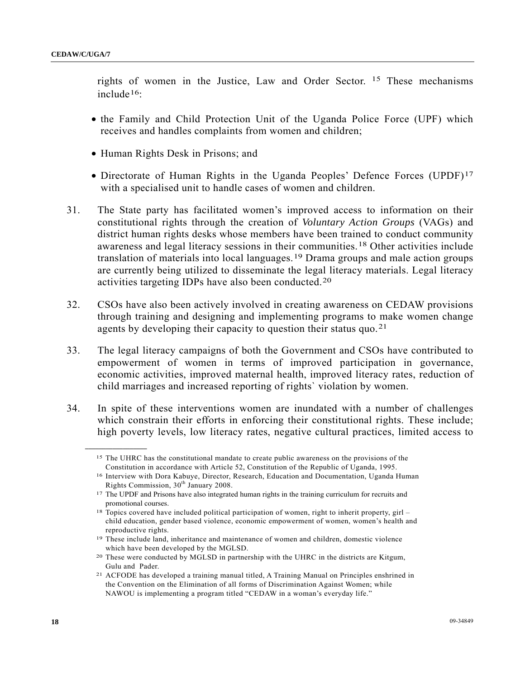rights of women in the Justice, Law and Order Sector. [15](#page-17-0) These mechanisms include[1](#page-17-1)6:

- the Family and Child Protection Unit of the Uganda Police Force (UPF) which receives and handles complaints from women and children;
- Human Rights Desk in Prisons; and
- Directorate of Human Rights in the Uganda Peoples' Defence Forces (UPDF)<sup>[1](#page-17-2)7</sup> with a specialised unit to handle cases of women and children.
- 31. The State party has facilitated women's improved access to information on their constitutional rights through the creation of *Voluntary Action Groups* (VAGs) and district human rights desks whose members have been trained to conduct community awareness and legal literacy sessions in their communities.[1](#page-17-3)8 Other activities include translation of materials into local languages.[19](#page-17-4) Drama groups and male action groups are currently being utilized to disseminate the legal literacy materials. Legal literacy activities targeting IDPs have also been conducted.[20](#page-17-5)
- 32. CSOs have also been actively involved in creating awareness on CEDAW provisions through training and designing and implementing programs to make women change agents by developing their capacity to question their status quo.<sup>[21](#page-17-6)</sup>
- 33. The legal literacy campaigns of both the Government and CSOs have contributed to empowerment of women in terms of improved participation in governance, economic activities, improved maternal health, improved literacy rates, reduction of child marriages and increased reporting of rights` violation by women.
- <span id="page-17-1"></span><span id="page-17-0"></span>34. In spite of these interventions women are inundated with a number of challenges which constrain their efforts in enforcing their constitutional rights. These include; high poverty levels, low literacy rates, negative cultural practices, limited access to

<sup>15</sup> The UHRC has the constitutional mandate to create public awareness on the provisions of the Constitution in accordance with Article 52, Constitution of the Republic of Uganda, 1995.

<sup>16</sup> Interview with Dora Kabuye, Director, Research, Education and Documentation, Uganda Human Rights Commission,  $30^{th}$  January 2008.<br><sup>17</sup> The UPDF and Prisons have also integrated human rights in the training curriculum for recruits and

<span id="page-17-2"></span>promotional courses.

<span id="page-17-3"></span><sup>18</sup> Topics covered have included political participation of women, right to inherit property, girl – child education, gender based violence, economic empowerment of women, women's health and reproductive rights.

<span id="page-17-4"></span><sup>19</sup> These include land, inheritance and maintenance of women and children, domestic violence which have been developed by the MGLSD.

<span id="page-17-5"></span><sup>20</sup> These were conducted by MGLSD in partnership with the UHRC in the districts are Kitgum, Gulu and Pader.

<span id="page-17-6"></span><sup>21</sup> ACFODE has developed a training manual titled, A Training Manual on Principles enshrined in the Convention on the Elimination of all forms of Discrimination Against Women; while NAWOU is implementing a program titled "CEDAW in a woman's everyday life."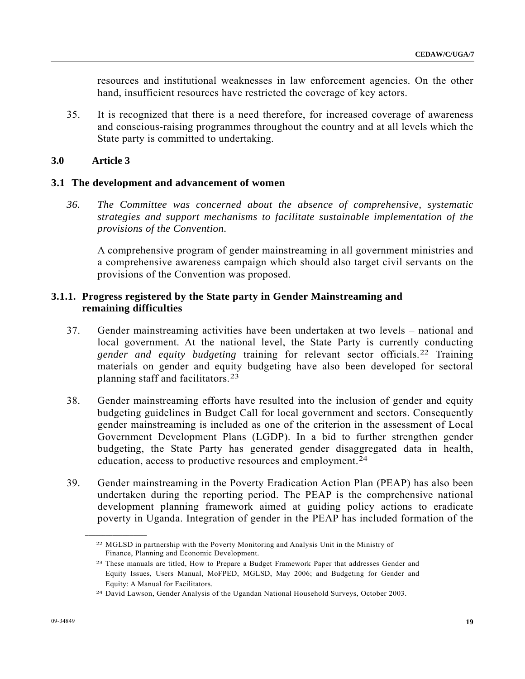resources and institutional weaknesses in law enforcement agencies. On the other hand, insufficient resources have restricted the coverage of key actors.

35. It is recognized that there is a need therefore, for increased coverage of awareness and conscious-raising programmes throughout the country and at all levels which the State party is committed to undertaking.

## **3.0 Article 3**

#### **3.1 The development and advancement of women**

*36. The Committee was concerned about the absence of comprehensive, systematic strategies and support mechanisms to facilitate sustainable implementation of the provisions of the Convention.* 

A comprehensive program of gender mainstreaming in all government ministries and a comprehensive awareness campaign which should also target civil servants on the provisions of the Convention was proposed.

## **3.1.1. Progress registered by the State party in Gender Mainstreaming and remaining difficulties**

- 37. Gender mainstreaming activities have been undertaken at two levels national and local government. At the national level, the State Party is currently conducting *gender and equity budgeting* training for relevant sector officials.[2](#page-18-0)2 Training materials on gender and equity budgeting have also been developed for sectoral planning staff and facilitators.[23](#page-18-1)
- 38. Gender mainstreaming efforts have resulted into the inclusion of gender and equity budgeting guidelines in Budget Call for local government and sectors. Consequently gender mainstreaming is included as one of the criterion in the assessment of Local Government Development Plans (LGDP). In a bid to further strengthen gender budgeting, the State Party has generated gender disaggregated data in health, education, access to productive resources and employment.<sup>[24](#page-18-2)</sup>
- <span id="page-18-0"></span>39. Gender mainstreaming in the Poverty Eradication Action Plan (PEAP) has also been undertaken during the reporting period. The PEAP is the comprehensive national development planning framework aimed at guiding policy actions to eradicate poverty in Uganda. Integration of gender in the PEAP has included formation of the

<sup>22</sup> MGLSD in partnership with the Poverty Monitoring and Analysis Unit in the Ministry of Finance, Planning and Economic Development.

<span id="page-18-1"></span><sup>23</sup> These manuals are titled, How to Prepare a Budget Framework Paper that addresses Gender and Equity Issues, Users Manual, MoFPED, MGLSD, May 2006; and Budgeting for Gender and Equity: A Manual for Facilitators.

<span id="page-18-2"></span><sup>24</sup> David Lawson, Gender Analysis of the Ugandan National Household Surveys, October 2003.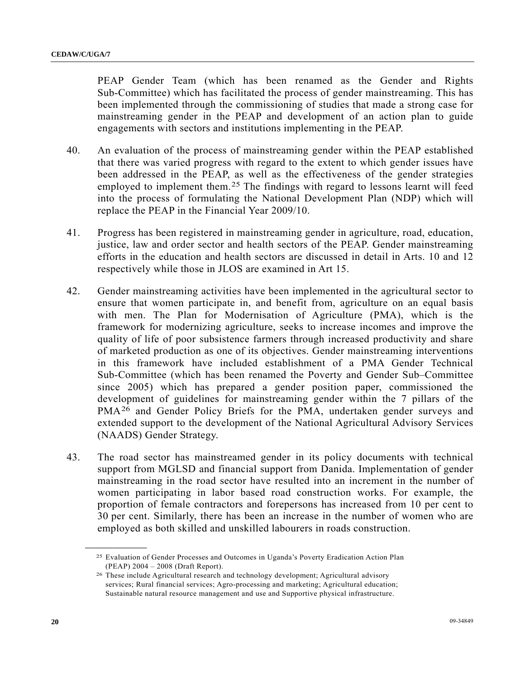PEAP Gender Team (which has been renamed as the Gender and Rights Sub-Committee) which has facilitated the process of gender mainstreaming. This has been implemented through the commissioning of studies that made a strong case for mainstreaming gender in the PEAP and development of an action plan to guide engagements with sectors and institutions implementing in the PEAP.

- 40. An evaluation of the process of mainstreaming gender within the PEAP established that there was varied progress with regard to the extent to which gender issues have been addressed in the PEAP, as well as the effectiveness of the gender strategies employed to implement them.<sup>[2](#page-19-0)5</sup> The findings with regard to lessons learnt will feed into the process of formulating the National Development Plan (NDP) which will replace the PEAP in the Financial Year 2009/10.
- 41. Progress has been registered in mainstreaming gender in agriculture, road, education, justice, law and order sector and health sectors of the PEAP. Gender mainstreaming efforts in the education and health sectors are discussed in detail in Arts. 10 and 12 respectively while those in JLOS are examined in Art 15.
- 42. Gender mainstreaming activities have been implemented in the agricultural sector to ensure that women participate in, and benefit from, agriculture on an equal basis with men. The Plan for Modernisation of Agriculture (PMA), which is the framework for modernizing agriculture, seeks to increase incomes and improve the quality of life of poor subsistence farmers through increased productivity and share of marketed production as one of its objectives. Gender mainstreaming interventions in this framework have included establishment of a PMA Gender Technical Sub-Committee (which has been renamed the Poverty and Gender Sub–Committee since 2005) which has prepared a gender position paper, commissioned the development of guidelines for mainstreaming gender within the 7 pillars of the PMA[26](#page-19-1) and Gender Policy Briefs for the PMA, undertaken gender surveys and extended support to the development of the National Agricultural Advisory Services (NAADS) Gender Strategy.
- 43. The road sector has mainstreamed gender in its policy documents with technical support from MGLSD and financial support from Danida. Implementation of gender mainstreaming in the road sector have resulted into an increment in the number of women participating in labor based road construction works. For example, the proportion of female contractors and forepersons has increased from 10 per cent to 30 per cent. Similarly, there has been an increase in the number of women who are employed as both skilled and unskilled labourers in roads construction.

<sup>25</sup> Evaluation of Gender Processes and Outcomes in Uganda's Poverty Eradication Action Plan (PEAP) 2004 – 2008 (Draft Report).

<span id="page-19-1"></span><span id="page-19-0"></span><sup>26</sup> These include Agricultural research and technology development; Agricultural advisory services; Rural financial services; Agro-processing and marketing; Agricultural education; Sustainable natural resource management and use and Supportive physical infrastructure.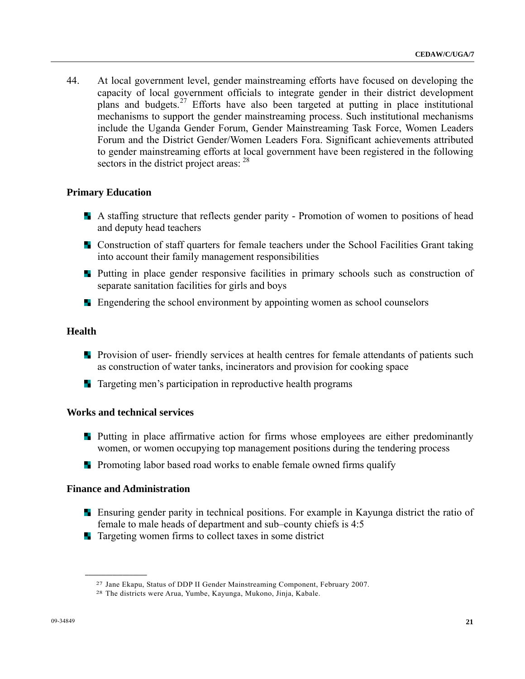44. At local government level, gender mainstreaming efforts have focused on developing the capacity of local government officials to integrate gender in their district development plans and budgets.[2](#page-20-0)7 Efforts have also been targeted at putting in place institutional mechanisms to support the gender mainstreaming process. Such institutional mechanisms include the Uganda Gender Forum, Gender Mainstreaming Task Force, Women Leaders Forum and the District Gender/Women Leaders Fora. Significant achievements attributed to gender mainstreaming efforts at local government have been registered in the following sectors in the district project areas: <sup>[2](#page-20-1)8</sup>

#### **Primary Education**

- A staffing structure that reflects gender parity Promotion of women to positions of head and deputy head teachers
- **EX** Construction of staff quarters for female teachers under the School Facilities Grant taking into account their family management responsibilities
- **Putting in place gender responsive facilities in primary schools such as construction of** separate sanitation facilities for girls and boys
- **Example 1** Engendering the school environment by appointing women as school counselors

## **Health**

- **Provision of user-** friendly services at health centres for female attendants of patients such as construction of water tanks, incinerators and provision for cooking space
- **T** Targeting men's participation in reproductive health programs

#### **Works and technical services**

- **Putting in place affirmative action for firms whose employees are either predominantly** women, or women occupying top management positions during the tendering process
- **Promoting labor based road works to enable female owned firms qualify**

#### **Finance and Administration**

- Ensuring gender parity in technical positions. For example in Kayunga district the ratio of female to male heads of department and sub–county chiefs is 4:5
- **Targeting women firms to collect taxes in some district**

<span id="page-20-1"></span><span id="page-20-0"></span><sup>27</sup> Jane Ekapu, Status of DDP II Gender Mainstreaming Component, February 2007. 28 The districts were Arua, Yumbe, Kayunga, Mukono, Jinja, Kabale.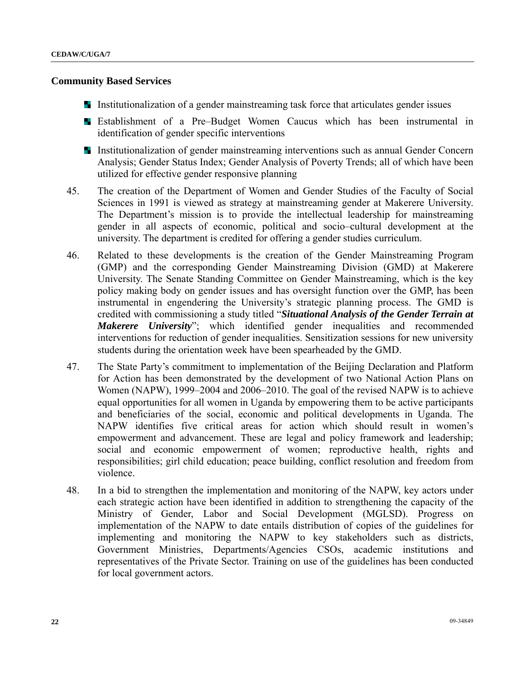#### **Community Based Services**

- Institutionalization of a gender mainstreaming task force that articulates gender issues
- **Example 1** Establishment of a Pre–Budget Women Caucus which has been instrumental in identification of gender specific interventions
- Institutionalization of gender mainstreaming interventions such as annual Gender Concern Analysis; Gender Status Index; Gender Analysis of Poverty Trends; all of which have been utilized for effective gender responsive planning
- 45. The creation of the Department of Women and Gender Studies of the Faculty of Social Sciences in 1991 is viewed as strategy at mainstreaming gender at Makerere University. The Department's mission is to provide the intellectual leadership for mainstreaming gender in all aspects of economic, political and socio–cultural development at the university. The department is credited for offering a gender studies curriculum.
- 46. Related to these developments is the creation of the Gender Mainstreaming Program (GMP) and the corresponding Gender Mainstreaming Division (GMD) at Makerere University. The Senate Standing Committee on Gender Mainstreaming, which is the key policy making body on gender issues and has oversight function over the GMP, has been instrumental in engendering the University's strategic planning process. The GMD is credited with commissioning a study titled "*Situational Analysis of the Gender Terrain at Makerere University*"; which identified gender inequalities and recommended interventions for reduction of gender inequalities. Sensitization sessions for new university students during the orientation week have been spearheaded by the GMD.
- 47. The State Party's commitment to implementation of the Beijing Declaration and Platform for Action has been demonstrated by the development of two National Action Plans on Women (NAPW), 1999–2004 and 2006–2010. The goal of the revised NAPW is to achieve equal opportunities for all women in Uganda by empowering them to be active participants and beneficiaries of the social, economic and political developments in Uganda. The NAPW identifies five critical areas for action which should result in women's empowerment and advancement. These are legal and policy framework and leadership; social and economic empowerment of women; reproductive health, rights and responsibilities; girl child education; peace building, conflict resolution and freedom from violence.
- 48. In a bid to strengthen the implementation and monitoring of the NAPW, key actors under each strategic action have been identified in addition to strengthening the capacity of the Ministry of Gender, Labor and Social Development (MGLSD). Progress on implementation of the NAPW to date entails distribution of copies of the guidelines for implementing and monitoring the NAPW to key stakeholders such as districts, Government Ministries, Departments/Agencies CSOs, academic institutions and representatives of the Private Sector. Training on use of the guidelines has been conducted for local government actors.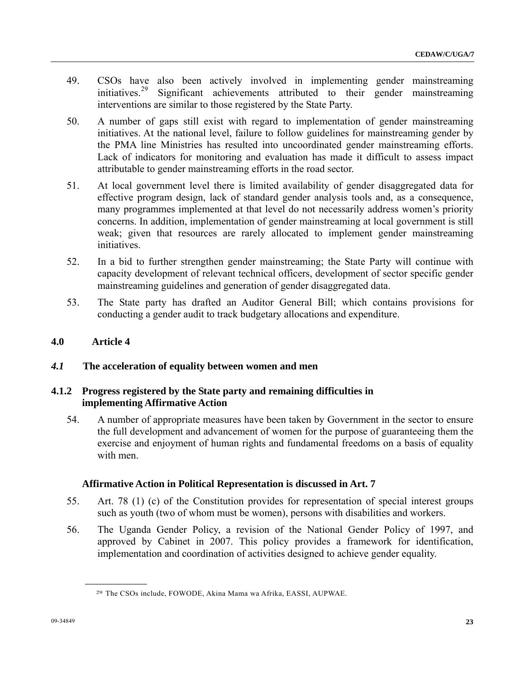- 49. CSOs have also been actively involved in implementing gender mainstreaming initiatives.<sup>29</sup> Significant achievements attributed to their gender mainstreaming Significant achievements attributed to their gender mainstreaming interventions are similar to those registered by the State Party.
- 50. A number of gaps still exist with regard to implementation of gender mainstreaming initiatives. At the national level, failure to follow guidelines for mainstreaming gender by the PMA line Ministries has resulted into uncoordinated gender mainstreaming efforts. Lack of indicators for monitoring and evaluation has made it difficult to assess impact attributable to gender mainstreaming efforts in the road sector.
- 51. At local government level there is limited availability of gender disaggregated data for effective program design, lack of standard gender analysis tools and, as a consequence, many programmes implemented at that level do not necessarily address women's priority concerns. In addition, implementation of gender mainstreaming at local government is still weak; given that resources are rarely allocated to implement gender mainstreaming initiatives.
- 52. In a bid to further strengthen gender mainstreaming; the State Party will continue with capacity development of relevant technical officers, development of sector specific gender mainstreaming guidelines and generation of gender disaggregated data.
- 53. The State party has drafted an Auditor General Bill; which contains provisions for conducting a gender audit to track budgetary allocations and expenditure.

# **4.0 Article 4**

## *4.1* **The acceleration of equality between women and men**

## **4.1.2 Progress registered by the State party and remaining difficulties in implementing Affirmative Action**

54. A number of appropriate measures have been taken by Government in the sector to ensure the full development and advancement of women for the purpose of guaranteeing them the exercise and enjoyment of human rights and fundamental freedoms on a basis of equality with men.

## **Affirmative Action in Political Representation is discussed in Art. 7**

- 55. Art. 78 (1) (c) of the Constitution provides for representation of special interest groups such as youth (two of whom must be women), persons with disabilities and workers.
- <span id="page-22-0"></span>56. The Uganda Gender Policy, a revision of the National Gender Policy of 1997, and approved by Cabinet in 2007. This policy provides a framework for identification, implementation and coordination of activities designed to achieve gender equality.

<sup>29</sup> The CSOs include, FOWODE, Akina Mama wa Afrika, EASSI, AUPWAE.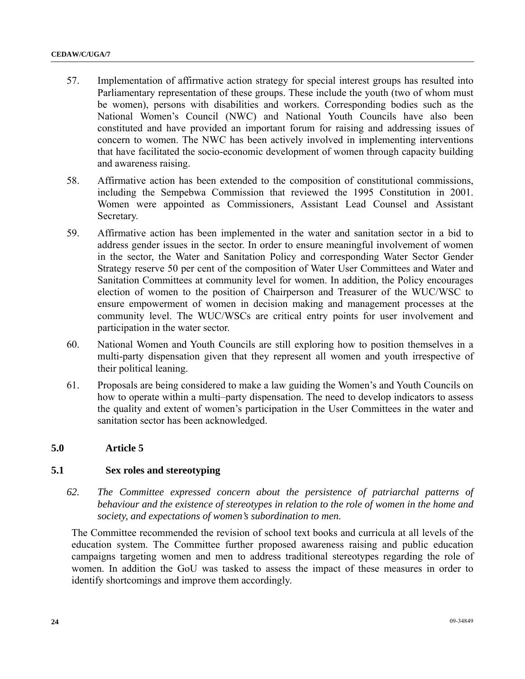- 57. Implementation of affirmative action strategy for special interest groups has resulted into Parliamentary representation of these groups. These include the youth (two of whom must be women), persons with disabilities and workers. Corresponding bodies such as the National Women's Council (NWC) and National Youth Councils have also been constituted and have provided an important forum for raising and addressing issues of concern to women. The NWC has been actively involved in implementing interventions that have facilitated the socio-economic development of women through capacity building and awareness raising.
- 58. Affirmative action has been extended to the composition of constitutional commissions, including the Sempebwa Commission that reviewed the 1995 Constitution in 2001. Women were appointed as Commissioners, Assistant Lead Counsel and Assistant Secretary.
- 59. Affirmative action has been implemented in the water and sanitation sector in a bid to address gender issues in the sector. In order to ensure meaningful involvement of women in the sector, the Water and Sanitation Policy and corresponding Water Sector Gender Strategy reserve 50 per cent of the composition of Water User Committees and Water and Sanitation Committees at community level for women. In addition, the Policy encourages election of women to the position of Chairperson and Treasurer of the WUC/WSC to ensure empowerment of women in decision making and management processes at the community level. The WUC/WSCs are critical entry points for user involvement and participation in the water sector.
- 60. National Women and Youth Councils are still exploring how to position themselves in a multi-party dispensation given that they represent all women and youth irrespective of their political leaning.
- 61. Proposals are being considered to make a law guiding the Women's and Youth Councils on how to operate within a multi–party dispensation. The need to develop indicators to assess the quality and extent of women's participation in the User Committees in the water and sanitation sector has been acknowledged.

# **5.0 Article 5**

## **5.1 Sex roles and stereotyping**

*62. The Committee expressed concern about the persistence of patriarchal patterns of behaviour and the existence of stereotypes in relation to the role of women in the home and society, and expectations of women's subordination to men.* 

 The Committee recommended the revision of school text books and curricula at all levels of the education system. The Committee further proposed awareness raising and public education campaigns targeting women and men to address traditional stereotypes regarding the role of women. In addition the GoU was tasked to assess the impact of these measures in order to identify shortcomings and improve them accordingly.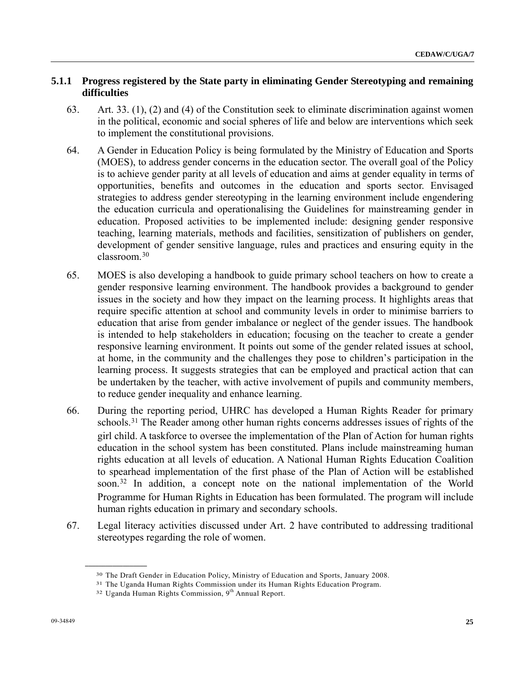## **5.1.1 Progress registered by the State party in eliminating Gender Stereotyping and remaining difficulties**

- 63. Art. 33. (1), (2) and (4) of the Constitution seek to eliminate discrimination against women in the political, economic and social spheres of life and below are interventions which seek to implement the constitutional provisions.
- 64. A Gender in Education Policy is being formulated by the Ministry of Education and Sports (MOES), to address gender concerns in the education sector. The overall goal of the Policy is to achieve gender parity at all levels of education and aims at gender equality in terms of opportunities, benefits and outcomes in the education and sports sector. Envisaged strategies to address gender stereotyping in the learning environment include engendering the education curricula and operationalising the Guidelines for mainstreaming gender in education. Proposed activities to be implemented include: designing gender responsive teaching, learning materials, methods and facilities, sensitization of publishers on gender, development of gender sensitive language, rules and practices and ensuring equity in the classroom.[30](#page-24-0)
- 65. MOES is also developing a handbook to guide primary school teachers on how to create a gender responsive learning environment. The handbook provides a background to gender issues in the society and how they impact on the learning process. It highlights areas that require specific attention at school and community levels in order to minimise barriers to education that arise from gender imbalance or neglect of the gender issues. The handbook is intended to help stakeholders in education; focusing on the teacher to create a gender responsive learning environment. It points out some of the gender related issues at school, at home, in the community and the challenges they pose to children's participation in the learning process. It suggests strategies that can be employed and practical action that can be undertaken by the teacher, with active involvement of pupils and community members, to reduce gender inequality and enhance learning.
- 66. During the reporting period, UHRC has developed a Human Rights Reader for primary schools.<sup>[3](#page-24-1)1</sup> The Reader among other human rights concerns addresses issues of rights of the girl child. A taskforce to oversee the implementation of the Plan of Action for human rights education in the school system has been constituted. Plans include mainstreaming human rights education at all levels of education. A National Human Rights Education Coalition to spearhead implementation of the first phase of the Plan of Action will be established soon.[32](#page-24-2) In addition, a concept note on the national implementation of the World Programme for Human Rights in Education has been formulated. The program will include human rights education in primary and secondary schools.
- <span id="page-24-2"></span><span id="page-24-1"></span><span id="page-24-0"></span>67. Legal literacy activities discussed under Art. 2 have contributed to addressing traditional stereotypes regarding the role of women.

<sup>&</sup>lt;sup>30</sup> The Draft Gender in Education Policy, Ministry of Education and Sports, January 2008.<br><sup>31</sup> The Uganda Human Rights Commission, 9<sup>th</sup> Annual Report.<br><sup>32</sup> Uganda Human Rights Commission, 9<sup>th</sup> Annual Report.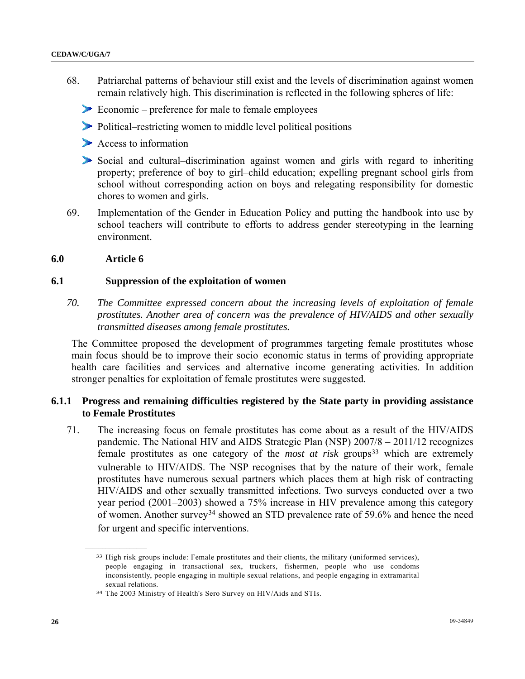- 68. Patriarchal patterns of behaviour still exist and the levels of discrimination against women remain relatively high. This discrimination is reflected in the following spheres of life:
	- Economic preference for male to female employees
	- Political–restricting women to middle level political positions
	- Access to information
	- Social and cultural–discrimination against women and girls with regard to inheriting property; preference of boy to girl–child education; expelling pregnant school girls from school without corresponding action on boys and relegating responsibility for domestic chores to women and girls.
- 69. Implementation of the Gender in Education Policy and putting the handbook into use by school teachers will contribute to efforts to address gender stereotyping in the learning environment.

#### **6.0 Article 6**

<span id="page-25-0"></span>**\_\_\_\_\_\_\_\_\_\_\_\_\_\_\_\_\_\_** 

### **6.1 Suppression of the exploitation of women**

*70. The Committee expressed concern about the increasing levels of exploitation of female prostitutes. Another area of concern was the prevalence of HIV/AIDS and other sexually transmitted diseases among female prostitutes.* 

 The Committee proposed the development of programmes targeting female prostitutes whose main focus should be to improve their socio–economic status in terms of providing appropriate health care facilities and services and alternative income generating activities. In addition stronger penalties for exploitation of female prostitutes were suggested.

## **6.1.1 Progress and remaining difficulties registered by the State party in providing assistance to Female Prostitutes**

71. The increasing focus on female prostitutes has come about as a result of the HIV/AIDS pandemic. The National HIV and AIDS Strategic Plan (NSP) 2007/8 – 2011/12 recognizes female prostitutes as one category of the *most at risk* groups<sup>[33](#page-25-0)</sup> which are extremely vulnerable to HIV/AIDS. The NSP recognises that by the nature of their work, female prostitutes have numerous sexual partners which places them at high risk of contracting HIV/AIDS and other sexually transmitted infections. Two surveys conducted over a two year period (2001–2003) showed a 75% increase in HIV prevalence among this category of women. Another survey[3](#page-25-1)4 showed an STD prevalence rate of 59.6% and hence the need for urgent and specific interventions.

<sup>33</sup> High risk groups include: Female prostitutes and their clients, the military (uniformed services), people engaging in transactional sex, truckers, fishermen, people who use condoms inconsistently, people engaging in multiple sexual relations, and people engaging in extramarital sexual relations.

<span id="page-25-1"></span><sup>34</sup> The 2003 Ministry of Health's Sero Survey on HIV/Aids and STIs.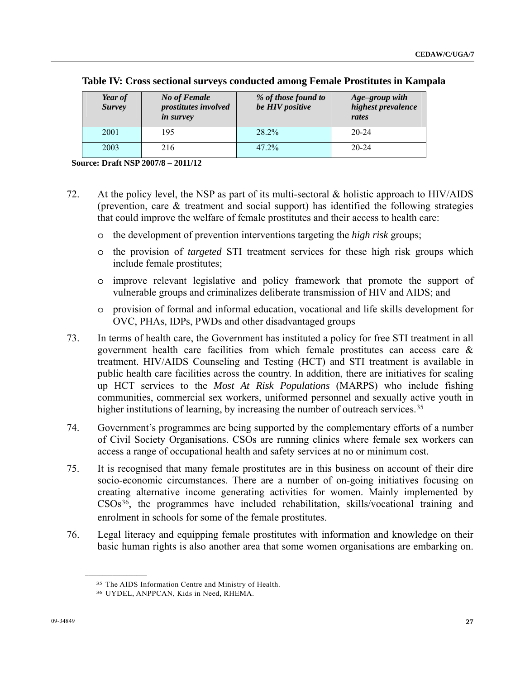| Year of<br><b>Survey</b> | <b>No of Female</b><br>prostitutes involved<br><i>in survey</i> | % of those found to<br>be HIV positive | Age-group with<br>highest prevalence<br>rates |
|--------------------------|-----------------------------------------------------------------|----------------------------------------|-----------------------------------------------|
| 2001                     | 195                                                             | 28.2%                                  | $20 - 24$                                     |
| 2003                     | 216                                                             | $47.2\%$                               | $20 - 24$                                     |

|  | Table IV: Cross sectional surveys conducted among Female Prostitutes in Kampala |  |  |
|--|---------------------------------------------------------------------------------|--|--|
|  |                                                                                 |  |  |

 **Source: Draft NSP 2007/8 – 2011/12** 

- 72. At the policy level, the NSP as part of its multi-sectoral & holistic approach to HIV/AIDS (prevention, care & treatment and social support) has identified the following strategies that could improve the welfare of female prostitutes and their access to health care:
	- o the development of prevention interventions targeting the *high risk* groups;
	- o the provision of *targeted* STI treatment services for these high risk groups which include female prostitutes;
	- o improve relevant legislative and policy framework that promote the support of vulnerable groups and criminalizes deliberate transmission of HIV and AIDS; and
	- o provision of formal and informal education, vocational and life skills development for OVC, PHAs, IDPs, PWDs and other disadvantaged groups
- 73. In terms of health care, the Government has instituted a policy for free STI treatment in all government health care facilities from which female prostitutes can access care & treatment. HIV/AIDS Counseling and Testing (HCT) and STI treatment is available in public health care facilities across the country. In addition, there are initiatives for scaling up HCT services to the *Most At Risk Populations* (MARPS) who include fishing communities, commercial sex workers, uniformed personnel and sexually active youth in higher institutions of learning, by increasing the number of outreach services.<sup>[3](#page-26-0)5</sup>
- 74. Government's programmes are being supported by the complementary efforts of a number of Civil Society Organisations. CSOs are running clinics where female sex workers can access a range of occupational health and safety services at no or minimum cost.
- 75. It is recognised that many female prostitutes are in this business on account of their dire socio-economic circumstances. There are a number of on-going initiatives focusing on creating alternative income generating activities for women. Mainly implemented by CSOs[3](#page-26-1)6, the programmes have included rehabilitation, skills/vocational training and enrolment in schools for some of the female prostitutes.
- <span id="page-26-1"></span><span id="page-26-0"></span>76. Legal literacy and equipping female prostitutes with information and knowledge on their basic human rights is also another area that some women organisations are embarking on.

<sup>35</sup> The AIDS Information Centre and Ministry of Health.

<sup>36</sup> UYDEL, ANPPCAN, Kids in Need, RHEMA.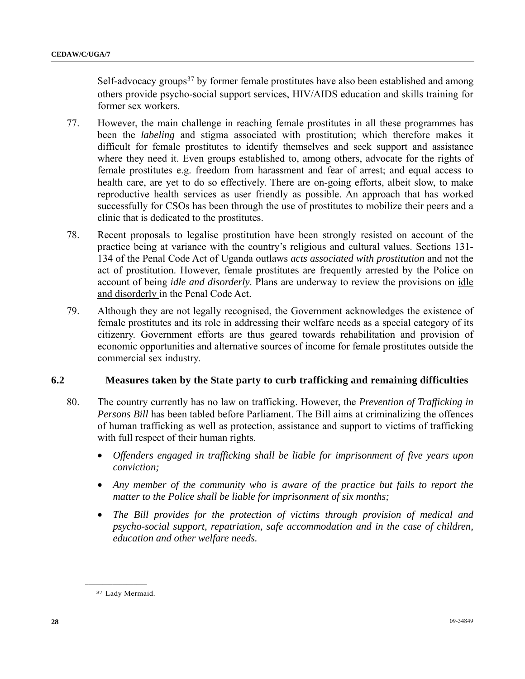Self-advocacy groups $37$  by former female prostitutes have also been established and among others provide psycho-social support services, HIV/AIDS education and skills training for former sex workers.

- 77. However, the main challenge in reaching female prostitutes in all these programmes has been the *labeling* and stigma associated with prostitution; which therefore makes it difficult for female prostitutes to identify themselves and seek support and assistance where they need it. Even groups established to, among others, advocate for the rights of female prostitutes e.g. freedom from harassment and fear of arrest; and equal access to health care, are yet to do so effectively. There are on-going efforts, albeit slow, to make reproductive health services as user friendly as possible. An approach that has worked successfully for CSOs has been through the use of prostitutes to mobilize their peers and a clinic that is dedicated to the prostitutes.
- 78. Recent proposals to legalise prostitution have been strongly resisted on account of the practice being at variance with the country's religious and cultural values. Sections 131- 134 of the Penal Code Act of Uganda outlaws *acts associated with prostitution* and not the act of prostitution. However, female prostitutes are frequently arrested by the Police on account of being *idle and disorderly*. Plans are underway to review the provisions on idle and disorderly in the Penal Code Act.
- 79. Although they are not legally recognised, the Government acknowledges the existence of female prostitutes and its role in addressing their welfare needs as a special category of its citizenry. Government efforts are thus geared towards rehabilitation and provision of economic opportunities and alternative sources of income for female prostitutes outside the commercial sex industry.

## **6.2 Measures taken by the State party to curb trafficking and remaining difficulties**

- 80. The country currently has no law on trafficking. However, the *Prevention of Trafficking in Persons Bill* has been tabled before Parliament. The Bill aims at criminalizing the offences of human trafficking as well as protection, assistance and support to victims of trafficking with full respect of their human rights.
	- *Offenders engaged in trafficking shall be liable for imprisonment of five years upon conviction;*
	- Any member of the community who is aware of the practice but fails to report the *matter to the Police shall be liable for imprisonment of six months;*
	- *The Bill provides for the protection of victims through provision of medical and psycho-social support, repatriation, safe accommodation and in the case of children, education and other welfare needs.*

<span id="page-27-0"></span><sup>37</sup> Lady Mermaid.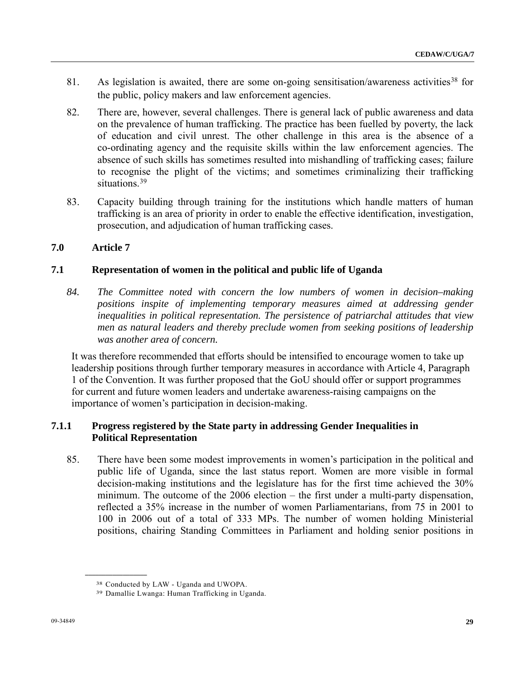- 81. As legislation is awaited, there are some on-going sensitisation/awareness activities<sup>[3](#page-28-0)8</sup> for the public, policy makers and law enforcement agencies.
- 82. There are, however, several challenges. There is general lack of public awareness and data on the prevalence of human trafficking. The practice has been fuelled by poverty, the lack of education and civil unrest. The other challenge in this area is the absence of a co-ordinating agency and the requisite skills within the law enforcement agencies. The absence of such skills has sometimes resulted into mishandling of trafficking cases; failure to recognise the plight of the victims; and sometimes criminalizing their trafficking situations.<sup>[3](#page-28-1)9</sup>
- 83. Capacity building through training for the institutions which handle matters of human trafficking is an area of priority in order to enable the effective identification, investigation, prosecution, and adjudication of human trafficking cases.

## **7.0 Article 7**

## **7.1 Representation of women in the political and public life of Uganda**

*84. The Committee noted with concern the low numbers of women in decision–making positions inspite of implementing temporary measures aimed at addressing gender inequalities in political representation. The persistence of patriarchal attitudes that view men as natural leaders and thereby preclude women from seeking positions of leadership was another area of concern.* 

 It was therefore recommended that efforts should be intensified to encourage women to take up leadership positions through further temporary measures in accordance with Article 4, Paragraph 1 of the Convention. It was further proposed that the GoU should offer or support programmes for current and future women leaders and undertake awareness-raising campaigns on the importance of women's participation in decision-making.

## **7.1.1 Progress registered by the State party in addressing Gender Inequalities in Political Representation**

85. There have been some modest improvements in women's participation in the political and public life of Uganda, since the last status report. Women are more visible in formal decision-making institutions and the legislature has for the first time achieved the 30% minimum. The outcome of the 2006 election – the first under a multi-party dispensation, reflected a 35% increase in the number of women Parliamentarians, from 75 in 2001 to 100 in 2006 out of a total of 333 MPs. The number of women holding Ministerial positions, chairing Standing Committees in Parliament and holding senior positions in

<span id="page-28-1"></span><span id="page-28-0"></span><sup>38</sup> Conducted by LAW - Uganda and UWOPA.

<sup>39</sup> Damallie Lwanga: Human Trafficking in Uganda.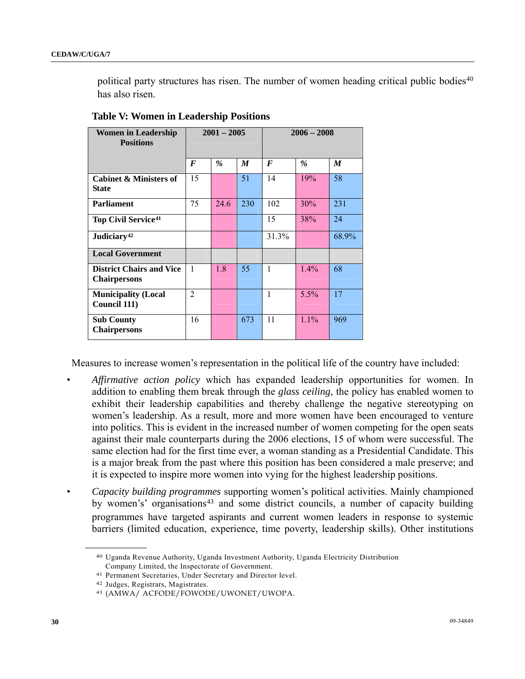political party structures has risen. The number of women heading critical public bodies<sup>[4](#page-29-0)0</sup> has also risen.

| <b>Women in Leadership</b><br><b>Positions</b>         | $2001 - 2005$  |      | $2006 - 2008$ |       |         |       |
|--------------------------------------------------------|----------------|------|---------------|-------|---------|-------|
|                                                        | F              | $\%$ | M             | F     | $\%$    | M     |
| <b>Cabinet &amp; Ministers of</b><br><b>State</b>      | 15             |      | 51            | 14    | 19%     | 58    |
| <b>Parliament</b>                                      | 75             | 24.6 | 230           | 102   | 30%     | 231   |
| <b>Top Civil Service</b> <sup>41</sup>                 |                |      |               | 15    | 38%     | 24    |
| Judiciary <sup>42</sup>                                |                |      |               | 31.3% |         | 68.9% |
| <b>Local Government</b>                                |                |      |               |       |         |       |
| <b>District Chairs and Vice</b><br><b>Chairpersons</b> | $\mathbf{1}$   | 1.8  | 55            | 1     | $1.4\%$ | 68    |
| <b>Municipality (Local</b><br>Council 111)             | $\overline{2}$ |      |               | 1     | 5.5%    | 17    |
| <b>Sub County</b><br><b>Chairpersons</b>               | 16             |      | 673           | 11    | $1.1\%$ | 969   |

**Table V: Women in Leadership Positions**

Measures to increase women's representation in the political life of the country have included:

- *Affirmative action policy* which has expanded leadership opportunities for women. In addition to enabling them break through the *glass ceiling*, the policy has enabled women to exhibit their leadership capabilities and thereby challenge the negative stereotyping on women's leadership. As a result, more and more women have been encouraged to venture into politics. This is evident in the increased number of women competing for the open seats against their male counterparts during the 2006 elections, 15 of whom were successful. The same election had for the first time ever, a woman standing as a Presidential Candidate. This is a major break from the past where this position has been considered a male preserve; and it is expected to inspire more women into vying for the highest leadership positions.
- <span id="page-29-0"></span>*• Capacity building programmes* supporting women's political activities. Mainly championed by women's' organisations<sup>[43](#page-29-3)</sup> and some district councils, a number of capacity building programmes have targeted aspirants and current women leaders in response to systemic barriers (limited education, experience, time poverty, leadership skills). Other institutions

<sup>40</sup> Uganda Revenue Authority, Uganda Investment Authority, Uganda Electricity Distribution Company Limited, the Inspectorate of Government.

<span id="page-29-1"></span><sup>41</sup> Permanent Secretaries, Under Secretary and Director level.

<span id="page-29-3"></span><span id="page-29-2"></span>

<sup>42</sup> Judges, Registrars, Magistrates. 43 (AMWA/ ACFODE/FOWODE/UWONET/UWOPA.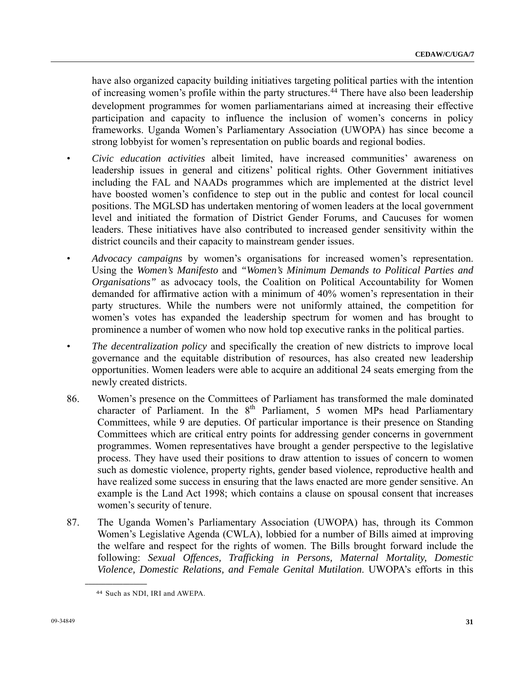have also organized capacity building initiatives targeting political parties with the intention of increasing women's profile within the party structures.<sup>[44](#page-30-0)</sup> There have also been leadership development programmes for women parliamentarians aimed at increasing their effective participation and capacity to influence the inclusion of women's concerns in policy frameworks. Uganda Women's Parliamentary Association (UWOPA) has since become a strong lobbyist for women's representation on public boards and regional bodies.

- *Civic education activities* albeit limited, have increased communities' awareness on leadership issues in general and citizens' political rights. Other Government initiatives including the FAL and NAADs programmes which are implemented at the district level have boosted women's confidence to step out in the public and contest for local council positions. The MGLSD has undertaken mentoring of women leaders at the local government level and initiated the formation of District Gender Forums, and Caucuses for women leaders. These initiatives have also contributed to increased gender sensitivity within the district councils and their capacity to mainstream gender issues.
- *Advocacy campaigns* by women's organisations for increased women's representation. Using the *Women's Manifesto* and *"Women's Minimum Demands to Political Parties and Organisations"* as advocacy tools, the Coalition on Political Accountability for Women demanded for affirmative action with a minimum of 40% women's representation in their party structures. While the numbers were not uniformly attained, the competition for women's votes has expanded the leadership spectrum for women and has brought to prominence a number of women who now hold top executive ranks in the political parties.
- *The decentralization policy* and specifically the creation of new districts to improve local governance and the equitable distribution of resources, has also created new leadership opportunities. Women leaders were able to acquire an additional 24 seats emerging from the newly created districts.
- 86. Women's presence on the Committees of Parliament has transformed the male dominated character of Parliament. In the  $8<sup>th</sup>$  Parliament, 5 women MPs head Parliamentary Committees, while 9 are deputies. Of particular importance is their presence on Standing Committees which are critical entry points for addressing gender concerns in government programmes. Women representatives have brought a gender perspective to the legislative process. They have used their positions to draw attention to issues of concern to women such as domestic violence, property rights, gender based violence, reproductive health and have realized some success in ensuring that the laws enacted are more gender sensitive. An example is the Land Act 1998; which contains a clause on spousal consent that increases women's security of tenure.
- 87. The Uganda Women's Parliamentary Association (UWOPA) has, through its Common Women's Legislative Agenda (CWLA), lobbied for a number of Bills aimed at improving the welfare and respect for the rights of women. The Bills brought forward include the following: *Sexual Offences, Trafficking in Persons, Maternal Mortality, Domestic Violence, Domestic Relations, and Female Genital Mutilation*. UWOPA's efforts in this

<span id="page-30-0"></span><sup>44</sup> Such as NDI, IRI and AWEPA.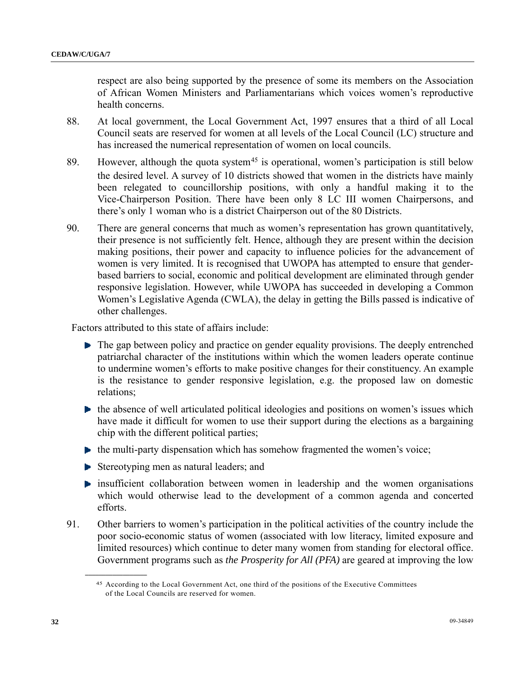respect are also being supported by the presence of some its members on the Association of African Women Ministers and Parliamentarians which voices women's reproductive health concerns.

- 88. At local government, the Local Government Act, 1997 ensures that a third of all Local Council seats are reserved for women at all levels of the Local Council (LC) structure and has increased the numerical representation of women on local councils.
- 89. However, although the quota system<sup>[45](#page-31-0)</sup> is operational, women's participation is still below the desired level. A survey of 10 districts showed that women in the districts have mainly been relegated to councillorship positions, with only a handful making it to the Vice-Chairperson Position. There have been only 8 LC III women Chairpersons, and there's only 1 woman who is a district Chairperson out of the 80 Districts.
- 90. There are general concerns that much as women's representation has grown quantitatively, their presence is not sufficiently felt. Hence, although they are present within the decision making positions, their power and capacity to influence policies for the advancement of women is very limited. It is recognised that UWOPA has attempted to ensure that genderbased barriers to social, economic and political development are eliminated through gender responsive legislation. However, while UWOPA has succeeded in developing a Common Women's Legislative Agenda (CWLA), the delay in getting the Bills passed is indicative of other challenges.

Factors attributed to this state of affairs include:

- $\blacktriangleright$  The gap between policy and practice on gender equality provisions. The deeply entrenched patriarchal character of the institutions within which the women leaders operate continue to undermine women's efforts to make positive changes for their constituency. An example is the resistance to gender responsive legislation, e.g. the proposed law on domestic relations;
- $\blacktriangleright$  the absence of well articulated political ideologies and positions on women's issues which have made it difficult for women to use their support during the elections as a bargaining chip with the different political parties;
- $\blacktriangleright$  the multi-party dispensation which has somehow fragmented the women's voice;
- **►** Stereotyping men as natural leaders; and
- $\blacktriangleright$  insufficient collaboration between women in leadership and the women organisations which would otherwise lead to the development of a common agenda and concerted efforts.
- <span id="page-31-0"></span>91. Other barriers to women's participation in the political activities of the country include the poor socio-economic status of women (associated with low literacy, limited exposure and limited resources) which continue to deter many women from standing for electoral office. Government programs such as *the Prosperity for All (PFA)* are geared at improving the low

<sup>45</sup> According to the Local Government Act, one third of the positions of the Executive Committees of the Local Councils are reserved for women.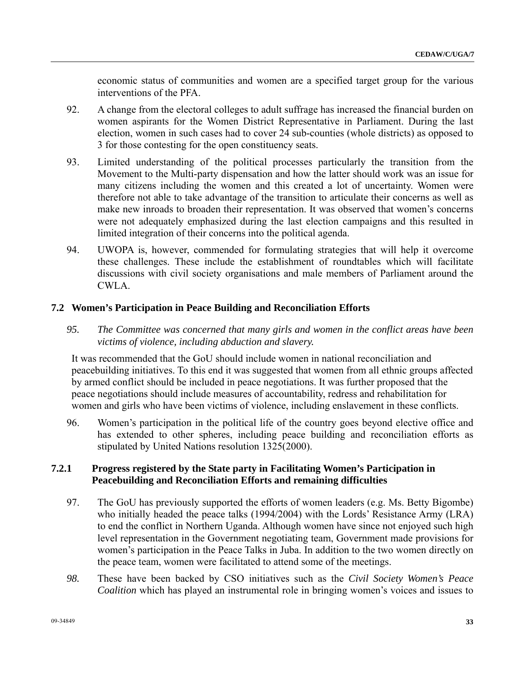economic status of communities and women are a specified target group for the various interventions of the PFA.

- 92. A change from the electoral colleges to adult suffrage has increased the financial burden on women aspirants for the Women District Representative in Parliament. During the last election, women in such cases had to cover 24 sub-counties (whole districts) as opposed to 3 for those contesting for the open constituency seats.
- 93. Limited understanding of the political processes particularly the transition from the Movement to the Multi-party dispensation and how the latter should work was an issue for many citizens including the women and this created a lot of uncertainty. Women were therefore not able to take advantage of the transition to articulate their concerns as well as make new inroads to broaden their representation. It was observed that women's concerns were not adequately emphasized during the last election campaigns and this resulted in limited integration of their concerns into the political agenda.
- 94. UWOPA is, however, commended for formulating strategies that will help it overcome these challenges. These include the establishment of roundtables which will facilitate discussions with civil society organisations and male members of Parliament around the CWLA.

### **7.2 Women's Participation in Peace Building and Reconciliation Efforts**

*95. The Committee was concerned that many girls and women in the conflict areas have been victims of violence, including abduction and slavery.* 

 It was recommended that the GoU should include women in national reconciliation and peacebuilding initiatives. To this end it was suggested that women from all ethnic groups affected by armed conflict should be included in peace negotiations. It was further proposed that the peace negotiations should include measures of accountability, redress and rehabilitation for women and girls who have been victims of violence, including enslavement in these conflicts.

96. Women's participation in the political life of the country goes beyond elective office and has extended to other spheres, including peace building and reconciliation efforts as stipulated by United Nations resolution 1325(2000).

## **7.2.1 Progress registered by the State party in Facilitating Women's Participation in Peacebuilding and Reconciliation Efforts and remaining difficulties**

- 97. The GoU has previously supported the efforts of women leaders (e.g. Ms. Betty Bigombe) who initially headed the peace talks (1994/2004) with the Lords' Resistance Army (LRA) to end the conflict in Northern Uganda. Although women have since not enjoyed such high level representation in the Government negotiating team, Government made provisions for women's participation in the Peace Talks in Juba. In addition to the two women directly on the peace team, women were facilitated to attend some of the meetings.
- *98.* These have been backed by CSO initiatives such as the *Civil Society Women's Peace Coalition* which has played an instrumental role in bringing women's voices and issues to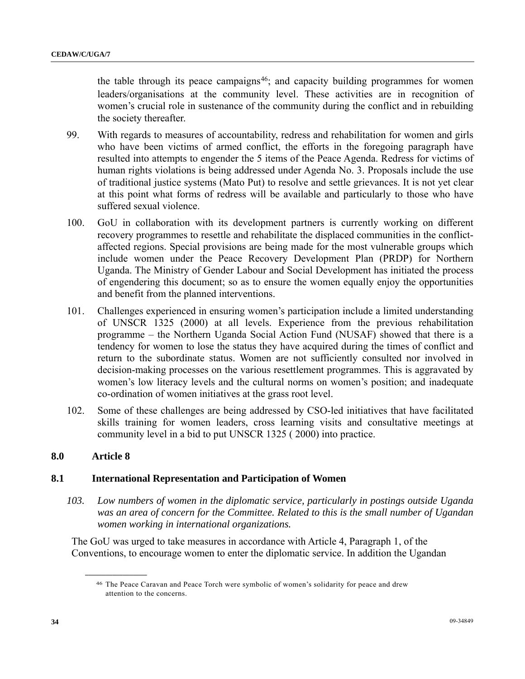the table through its peace campaigns<sup>[4](#page-33-0)6</sup>; and capacity building programmes for women leaders/organisations at the community level. These activities are in recognition of women's crucial role in sustenance of the community during the conflict and in rebuilding the society thereafter.

- 99. With regards to measures of accountability, redress and rehabilitation for women and girls who have been victims of armed conflict, the efforts in the foregoing paragraph have resulted into attempts to engender the 5 items of the Peace Agenda. Redress for victims of human rights violations is being addressed under Agenda No. 3. Proposals include the use of traditional justice systems (Mato Put) to resolve and settle grievances. It is not yet clear at this point what forms of redress will be available and particularly to those who have suffered sexual violence.
- 100. GoU in collaboration with its development partners is currently working on different recovery programmes to resettle and rehabilitate the displaced communities in the conflictaffected regions. Special provisions are being made for the most vulnerable groups which include women under the Peace Recovery Development Plan (PRDP) for Northern Uganda. The Ministry of Gender Labour and Social Development has initiated the process of engendering this document; so as to ensure the women equally enjoy the opportunities and benefit from the planned interventions.
- 101. Challenges experienced in ensuring women's participation include a limited understanding of UNSCR 1325 (2000) at all levels. Experience from the previous rehabilitation programme – the Northern Uganda Social Action Fund (NUSAF) showed that there is a tendency for women to lose the status they have acquired during the times of conflict and return to the subordinate status. Women are not sufficiently consulted nor involved in decision-making processes on the various resettlement programmes. This is aggravated by women's low literacy levels and the cultural norms on women's position; and inadequate co-ordination of women initiatives at the grass root level.
- 102. Some of these challenges are being addressed by CSO-led initiatives that have facilitated skills training for women leaders, cross learning visits and consultative meetings at community level in a bid to put UNSCR 1325 ( 2000) into practice.

#### **8.0 Article 8**

**\_\_\_\_\_\_\_\_\_\_\_\_\_\_\_\_\_\_** 

## **8.1 International Representation and Participation of Women**

*103. Low numbers of women in the diplomatic service, particularly in postings outside Uganda was an area of concern for the Committee. Related to this is the small number of Ugandan women working in international organizations.* 

<span id="page-33-0"></span> The GoU was urged to take measures in accordance with Article 4, Paragraph 1, of the Conventions, to encourage women to enter the diplomatic service. In addition the Ugandan

<sup>46</sup> The Peace Caravan and Peace Torch were symbolic of women's solidarity for peace and drew attention to the concerns.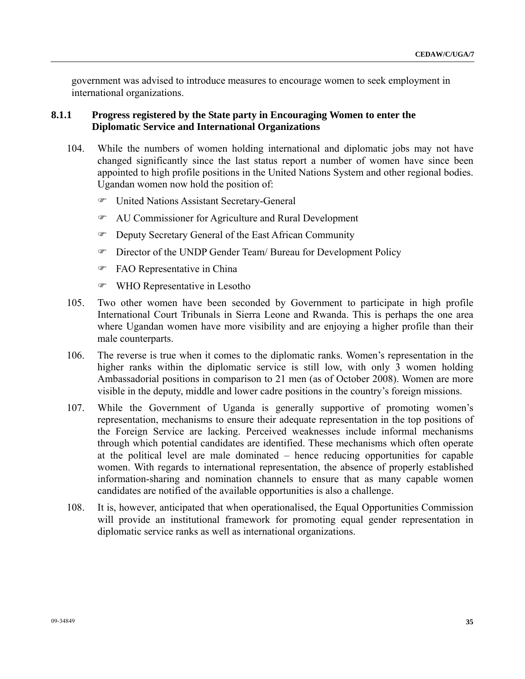government was advised to introduce measures to encourage women to seek employment in international organizations.

## **8.1.1 Progress registered by the State party in Encouraging Women to enter the Diplomatic Service and International Organizations**

- 104. While the numbers of women holding international and diplomatic jobs may not have changed significantly since the last status report a number of women have since been appointed to high profile positions in the United Nations System and other regional bodies. Ugandan women now hold the position of:
	- ) United Nations Assistant Secretary-General
	- ) AU Commissioner for Agriculture and Rural Development
	- ) Deputy Secretary General of the East African Community
	- ) Director of the UNDP Gender Team/ Bureau for Development Policy
	- ) FAO Representative in China
	- ) WHO Representative in Lesotho
- 105. Two other women have been seconded by Government to participate in high profile International Court Tribunals in Sierra Leone and Rwanda. This is perhaps the one area where Ugandan women have more visibility and are enjoying a higher profile than their male counterparts.
- 106. The reverse is true when it comes to the diplomatic ranks. Women's representation in the higher ranks within the diplomatic service is still low, with only 3 women holding Ambassadorial positions in comparison to 21 men (as of October 2008). Women are more visible in the deputy, middle and lower cadre positions in the country's foreign missions.
- 107. While the Government of Uganda is generally supportive of promoting women's representation, mechanisms to ensure their adequate representation in the top positions of the Foreign Service are lacking. Perceived weaknesses include informal mechanisms through which potential candidates are identified. These mechanisms which often operate at the political level are male dominated – hence reducing opportunities for capable women. With regards to international representation, the absence of properly established information-sharing and nomination channels to ensure that as many capable women candidates are notified of the available opportunities is also a challenge.
- 108. It is, however, anticipated that when operationalised, the Equal Opportunities Commission will provide an institutional framework for promoting equal gender representation in diplomatic service ranks as well as international organizations.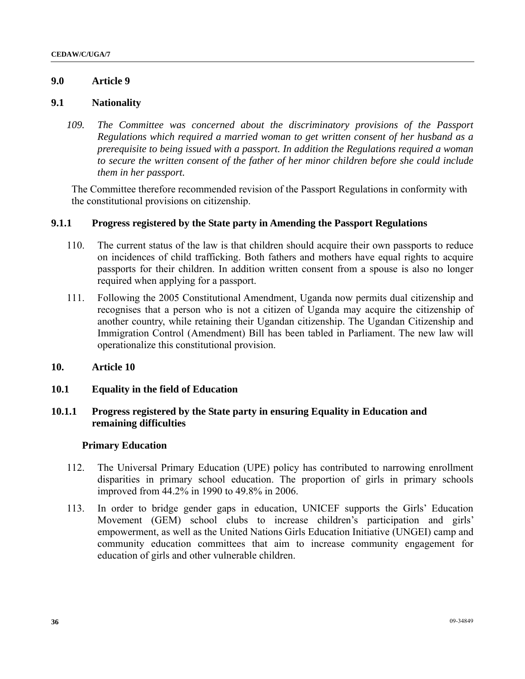## **9.0 Article 9**

#### **9.1 Nationality**

*109. The Committee was concerned about the discriminatory provisions of the Passport Regulations which required a married woman to get written consent of her husband as a prerequisite to being issued with a passport. In addition the Regulations required a woman to secure the written consent of the father of her minor children before she could include them in her passport.* 

 The Committee therefore recommended revision of the Passport Regulations in conformity with the constitutional provisions on citizenship.

## **9.1.1 Progress registered by the State party in Amending the Passport Regulations**

- 110. The current status of the law is that children should acquire their own passports to reduce on incidences of child trafficking. Both fathers and mothers have equal rights to acquire passports for their children. In addition written consent from a spouse is also no longer required when applying for a passport.
- 111. Following the 2005 Constitutional Amendment, Uganda now permits dual citizenship and recognises that a person who is not a citizen of Uganda may acquire the citizenship of another country, while retaining their Ugandan citizenship. The Ugandan Citizenship and Immigration Control (Amendment) Bill has been tabled in Parliament. The new law will operationalize this constitutional provision.
- **10. Article 10**
- **10.1 Equality in the field of Education**

## **10.1.1 Progress registered by the State party in ensuring Equality in Education and remaining difficulties**

#### **Primary Education**

- 112. The Universal Primary Education (UPE) policy has contributed to narrowing enrollment disparities in primary school education. The proportion of girls in primary schools improved from 44.2% in 1990 to 49.8% in 2006.
- 113. In order to bridge gender gaps in education, UNICEF supports the Girls' Education Movement (GEM) school clubs to increase children's participation and girls' empowerment, as well as the United Nations Girls Education Initiative (UNGEI) camp and community education committees that aim to increase community engagement for education of girls and other vulnerable children.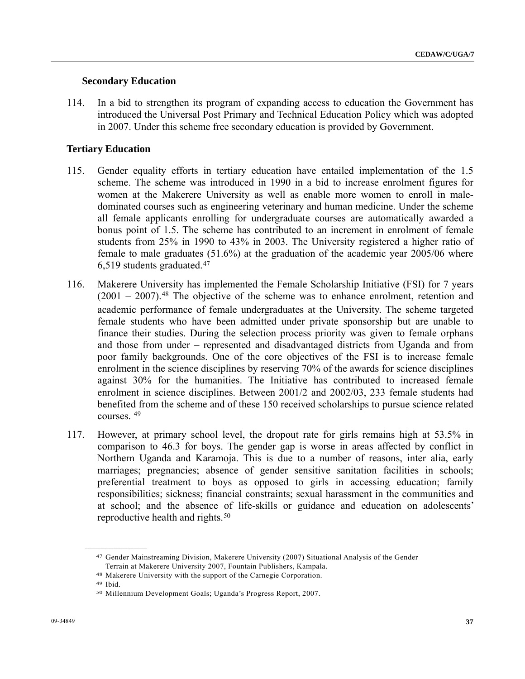#### **Secondary Education**

114. In a bid to strengthen its program of expanding access to education the Government has introduced the Universal Post Primary and Technical Education Policy which was adopted in 2007. Under this scheme free secondary education is provided by Government.

#### **Tertiary Education**

- 115. Gender equality efforts in tertiary education have entailed implementation of the 1.5 scheme. The scheme was introduced in 1990 in a bid to increase enrolment figures for women at the Makerere University as well as enable more women to enroll in maledominated courses such as engineering veterinary and human medicine. Under the scheme all female applicants enrolling for undergraduate courses are automatically awarded a bonus point of 1.5. The scheme has contributed to an increment in enrolment of female students from 25% in 1990 to 43% in 2003. The University registered a higher ratio of female to male graduates (51.6%) at the graduation of the academic year 2005/06 where 6,519 students graduated.[47](#page-36-0)
- 116. Makerere University has implemented the Female Scholarship Initiative (FSI) for 7 years  $(2001 - 2007)$ .<sup>[48](#page-36-1)</sup> The objective of the scheme was to enhance enrolment, retention and academic performance of female undergraduates at the University. The scheme targeted female students who have been admitted under private sponsorship but are unable to finance their studies. During the selection process priority was given to female orphans and those from under – represented and disadvantaged districts from Uganda and from poor family backgrounds. One of the core objectives of the FSI is to increase female enrolment in the science disciplines by reserving 70% of the awards for science disciplines against 30% for the humanities. The Initiative has contributed to increased female enrolment in science disciplines. Between 2001/2 and 2002/03, 233 female students had benefited from the scheme and of these 150 received scholarships to pursue science related courses. [4](#page-36-2)9
- 117. However, at primary school level, the dropout rate for girls remains high at 53.5% in comparison to 46.3 for boys. The gender gap is worse in areas affected by conflict in Northern Uganda and Karamoja. This is due to a number of reasons, inter alia, early marriages; pregnancies; absence of gender sensitive sanitation facilities in schools; preferential treatment to boys as opposed to girls in accessing education; family responsibilities; sickness; financial constraints; sexual harassment in the communities and at school; and the absence of life-skills or guidance and education on adolescents' reproductive health and rights.<sup>[50](#page-36-3)</sup>

<span id="page-36-0"></span><sup>47</sup> Gender Mainstreaming Division, Makerere University (2007) Situational Analysis of the Gender Terrain at Makerere University 2007, Fountain Publishers, Kampala.

<span id="page-36-1"></span><sup>48</sup> Makerere University with the support of the Carnegie Corporation. 49 Ibid.

<span id="page-36-3"></span><span id="page-36-2"></span><sup>50</sup> Millennium Development Goals; Uganda's Progress Report, 2007.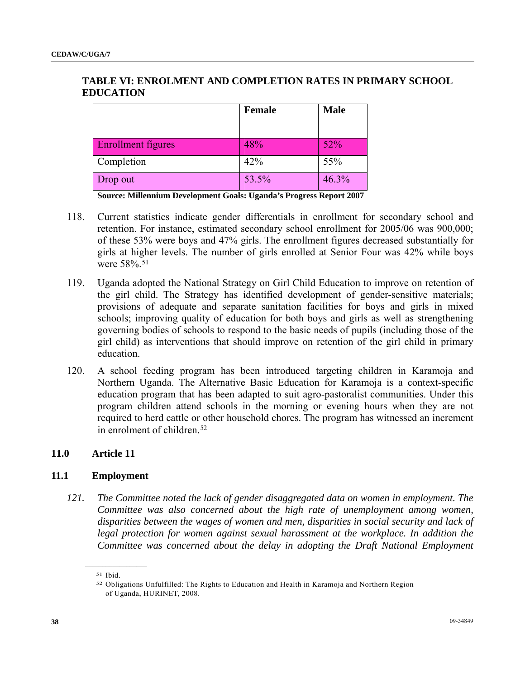# **TABLE VI: ENROLMENT AND COMPLETION RATES IN PRIMARY SCHOOL EDUCATION**

|                           | <b>Female</b> | <b>Male</b> |
|---------------------------|---------------|-------------|
|                           |               |             |
| <b>Enrollment figures</b> | 48%           | 52%         |
| Completion                | 42%           | 55%         |
| Drop out                  | 53.5%         | 46.3%       |

**Source: Millennium Development Goals: Uganda's Progress Report 2007** 

- 118. Current statistics indicate gender differentials in enrollment for secondary school and retention. For instance, estimated secondary school enrollment for 2005/06 was 900,000; of these 53% were boys and 47% girls. The enrollment figures decreased substantially for girls at higher levels. The number of girls enrolled at Senior Four was 42% while boys were 58%.<sup>[51](#page-37-0)</sup>
- 119. Uganda adopted the National Strategy on Girl Child Education to improve on retention of the girl child. The Strategy has identified development of gender-sensitive materials; provisions of adequate and separate sanitation facilities for boys and girls in mixed schools; improving quality of education for both boys and girls as well as strengthening governing bodies of schools to respond to the basic needs of pupils (including those of the girl child) as interventions that should improve on retention of the girl child in primary education.
- 120. A school feeding program has been introduced targeting children in Karamoja and Northern Uganda. The Alternative Basic Education for Karamoja is a context-specific education program that has been adapted to suit agro-pastoralist communities. Under this program children attend schools in the morning or evening hours when they are not required to herd cattle or other household chores. The program has witnessed an increment in enrolment of children.<sup>[52](#page-37-1)</sup>

## **11.0 Article 11**

#### **11.1 Employment**

*121. The Committee noted the lack of gender disaggregated data on women in employment. The Committee was also concerned about the high rate of unemployment among women, disparities between the wages of women and men, disparities in social security and lack of legal protection for women against sexual harassment at the workplace. In addition the Committee was concerned about the delay in adopting the Draft National Employment* 

<span id="page-37-1"></span><span id="page-37-0"></span><sup>51</sup> Ibid.

<sup>52</sup> Obligations Unfulfilled: The Rights to Education and Health in Karamoja and Northern Region of Uganda, HURINET, 2008.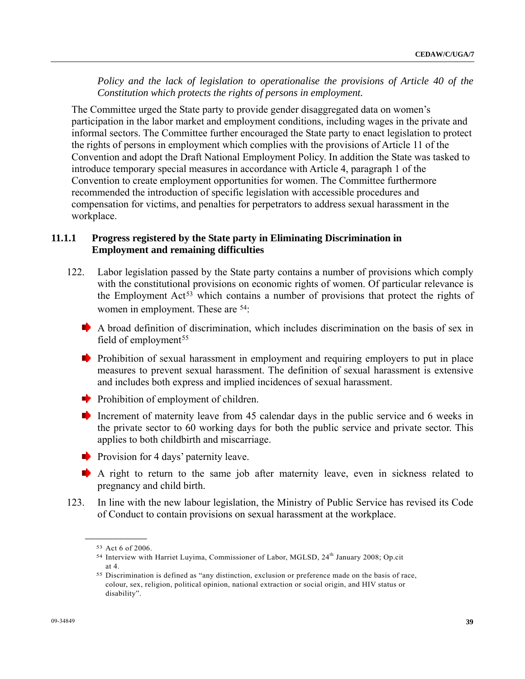*Policy and the lack of legislation to operationalise the provisions of Article 40 of the Constitution which protects the rights of persons in employment.* 

 The Committee urged the State party to provide gender disaggregated data on women's participation in the labor market and employment conditions, including wages in the private and informal sectors. The Committee further encouraged the State party to enact legislation to protect the rights of persons in employment which complies with the provisions of Article 11 of the Convention and adopt the Draft National Employment Policy. In addition the State was tasked to introduce temporary special measures in accordance with Article 4, paragraph 1 of the Convention to create employment opportunities for women. The Committee furthermore recommended the introduction of specific legislation with accessible procedures and compensation for victims, and penalties for perpetrators to address sexual harassment in the workplace.

## **11.1.1 Progress registered by the State party in Eliminating Discrimination in Employment and remaining difficulties**

- 122. Labor legislation passed by the State party contains a number of provisions which comply with the constitutional provisions on economic rights of women. Of particular relevance is the Employment  $Act^{53}$  $Act^{53}$  $Act^{53}$  which contains a number of provisions that protect the rights of women in employment. These are <sup>[54](#page-38-1)</sup>:
	- $\blacktriangleright$  A broad definition of discrimination, which includes discrimination on the basis of sex in field of employment<sup>[5](#page-38-2)5</sup>
	- **Prohibition** of sexual harassment in employment and requiring employers to put in place measures to prevent sexual harassment. The definition of sexual harassment is extensive and includes both express and implied incidences of sexual harassment.
	- Prohibition of employment of children.
	- Increment of maternity leave from 45 calendar days in the public service and 6 weeks in the private sector to 60 working days for both the public service and private sector. This applies to both childbirth and miscarriage.
	- **Provision for 4 days' paternity leave.**
	- A right to return to the same job after maternity leave, even in sickness related to pregnancy and child birth.
- <span id="page-38-1"></span><span id="page-38-0"></span>123. In line with the new labour legislation, the Ministry of Public Service has revised its Code of Conduct to contain provisions on sexual harassment at the workplace.

<span id="page-38-2"></span>**\_\_\_\_\_\_\_\_\_\_\_\_\_\_\_\_\_\_**  53 Act 6 of 2006.

<sup>54</sup> Interview with Harriet Luyima, Commissioner of Labor, MGLSD, 24<sup>th</sup> January 2008; Op.cit at 4.

<sup>55</sup> Discrimination is defined as "any distinction, exclusion or preference made on the basis of race, colour, sex, religion, political opinion, national extraction or social origin, and HIV status or disability".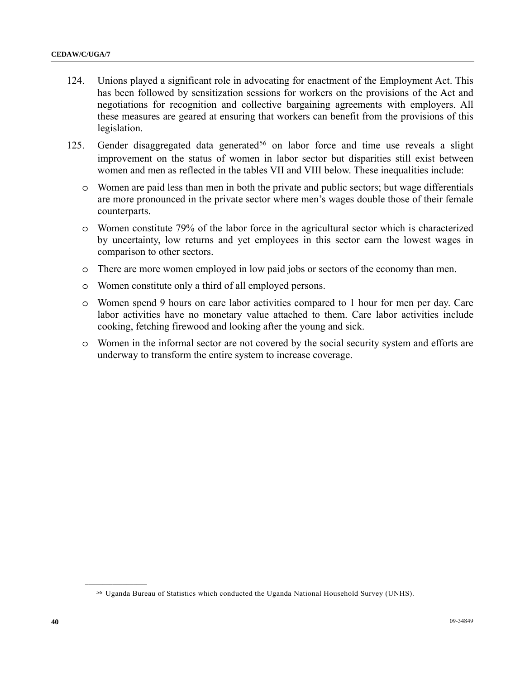- 124. Unions played a significant role in advocating for enactment of the Employment Act. This has been followed by sensitization sessions for workers on the provisions of the Act and negotiations for recognition and collective bargaining agreements with employers. All these measures are geared at ensuring that workers can benefit from the provisions of this legislation.
- 125. Gender disaggregated data generated<sup>[56](#page-39-0)</sup> on labor force and time use reveals a slight improvement on the status of women in labor sector but disparities still exist between women and men as reflected in the tables VII and VIII below. These inequalities include:
	- o Women are paid less than men in both the private and public sectors; but wage differentials are more pronounced in the private sector where men's wages double those of their female counterparts.
	- o Women constitute 79% of the labor force in the agricultural sector which is characterized by uncertainty, low returns and yet employees in this sector earn the lowest wages in comparison to other sectors.
	- o There are more women employed in low paid jobs or sectors of the economy than men.
	- o Women constitute only a third of all employed persons.
	- o Women spend 9 hours on care labor activities compared to 1 hour for men per day. Care labor activities have no monetary value attached to them. Care labor activities include cooking, fetching firewood and looking after the young and sick.
	- o Women in the informal sector are not covered by the social security system and efforts are underway to transform the entire system to increase coverage.

<span id="page-39-0"></span><sup>56</sup> Uganda Bureau of Statistics which conducted the Uganda National Household Survey (UNHS).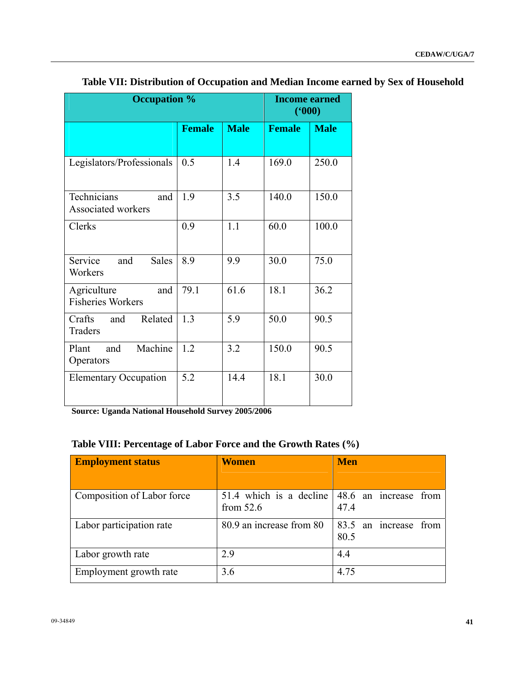| <b>Occupation %</b>                             |               |             | <b>Income earned</b><br>(900) |             |
|-------------------------------------------------|---------------|-------------|-------------------------------|-------------|
|                                                 | <b>Female</b> | <b>Male</b> | <b>Female</b>                 | <b>Male</b> |
| Legislators/Professionals                       | 0.5           | 1.4         | 169.0                         | 250.0       |
| Technicians<br>and<br><b>Associated workers</b> | 1.9           | 3.5         | 140.0                         | 150.0       |
| Clerks                                          | 0.9           | 1.1         | 60.0                          | 100.0       |
| Service<br>and<br><b>Sales</b><br>Workers       | 8.9           | 9.9         | 30.0                          | 75.0        |
| Agriculture<br>and<br><b>Fisheries Workers</b>  | 79.1          | 61.6        | 18.1                          | 36.2        |
| Crafts<br>Related<br>and<br><b>Traders</b>      | 1.3           | 5.9         | 50.0                          | 90.5        |
| Machine<br>Plant<br>and<br>Operators            | 1.2           | 3.2         | 150.0                         | 90.5        |
| <b>Elementary Occupation</b>                    | 5.2           | 14.4        | 18.1                          | 30.0        |

# **Table VII: Distribution of Occupation and Median Income earned by Sex of Household**

**Source: Uganda National Household Survey 2005/2006** 

# **Table VIII: Percentage of Labor Force and the Growth Rates (%)**

| <b>Employment status</b>   | <b>Women</b>                                                            | <b>Men</b>                       |
|----------------------------|-------------------------------------------------------------------------|----------------------------------|
| Composition of Labor force | 51.4 which is a decline $ 48.6 \text{ an}$ increase from<br>from $52.6$ | 47.4                             |
| Labor participation rate   | 80.9 an increase from 80                                                | 83.5 an increase<br>from<br>80.5 |
| Labor growth rate          | 2.9                                                                     | 4.4                              |
| Employment growth rate     | 3.6                                                                     | 4.75                             |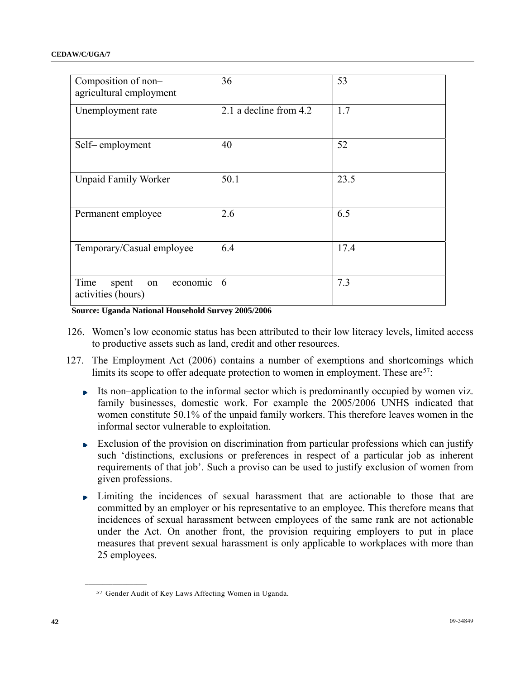| Composition of non-<br>agricultural employment        | 36                     | 53   |
|-------------------------------------------------------|------------------------|------|
| Unemployment rate                                     | 2.1 a decline from 4.2 | 1.7  |
| Self-employment                                       | 40                     | 52   |
| <b>Unpaid Family Worker</b>                           | 50.1                   | 23.5 |
| Permanent employee                                    | 2.6                    | 6.5  |
| Temporary/Casual employee                             | 6.4                    | 17.4 |
| Time<br>spent<br>economic<br>on<br>activities (hours) | 6                      | 7.3  |

**Source: Uganda National Household Survey 2005/2006** 

- 126. Women's low economic status has been attributed to their low literacy levels, limited access to productive assets such as land, credit and other resources.
- 127. The Employment Act (2006) contains a number of exemptions and shortcomings which limits its scope to offer adequate protection to women in employment. These are <sup>[57](#page-41-0)</sup>:
	- Its non–application to the informal sector which is predominantly occupied by women viz. family businesses, domestic work. For example the 2005/2006 UNHS indicated that women constitute 50.1% of the unpaid family workers. This therefore leaves women in the informal sector vulnerable to exploitation.
	- Exclusion of the provision on discrimination from particular professions which can justify  $\mathbf{p}$  . such 'distinctions, exclusions or preferences in respect of a particular job as inherent requirements of that job'. Such a proviso can be used to justify exclusion of women from given professions.
	- Limiting the incidences of sexual harassment that are actionable to those that are committed by an employer or his representative to an employee. This therefore means that incidences of sexual harassment between employees of the same rank are not actionable under the Act. On another front, the provision requiring employers to put in place measures that prevent sexual harassment is only applicable to workplaces with more than 25 employees.

<span id="page-41-0"></span><sup>57</sup> Gender Audit of Key Laws Affecting Women in Uganda.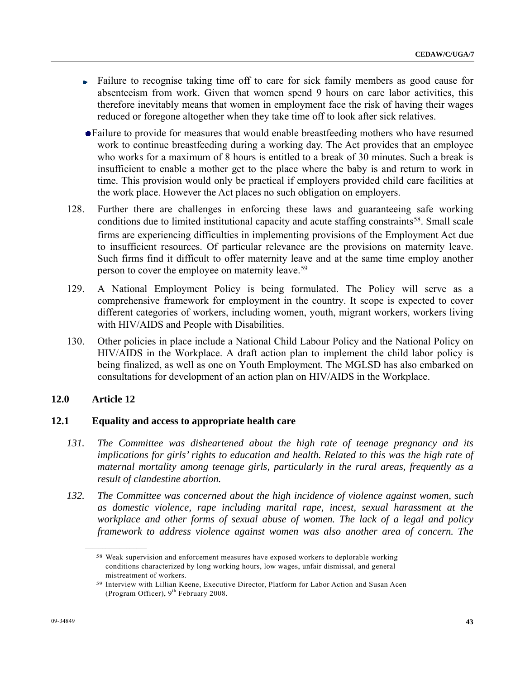- Failure to recognise taking time off to care for sick family members as good cause for b. absenteeism from work. Given that women spend 9 hours on care labor activities, this therefore inevitably means that women in employment face the risk of having their wages reduced or foregone altogether when they take time off to look after sick relatives.
- Failure to provide for measures that would enable breastfeeding mothers who have resumed work to continue breastfeeding during a working day. The Act provides that an employee who works for a maximum of 8 hours is entitled to a break of 30 minutes. Such a break is insufficient to enable a mother get to the place where the baby is and return to work in time. This provision would only be practical if employers provided child care facilities at the work place. However the Act places no such obligation on employers.
- 128. Further there are challenges in enforcing these laws and guaranteeing safe working conditions due to limited institutional capacity and acute staffing constraints<sup>[58](#page-42-0)</sup>. Small scale firms are experiencing difficulties in implementing provisions of the Employment Act due to insufficient resources. Of particular relevance are the provisions on maternity leave. Such firms find it difficult to offer maternity leave and at the same time employ another person to cover the employee on maternity leave.[59](#page-42-1)
- 129. A National Employment Policy is being formulated. The Policy will serve as a comprehensive framework for employment in the country. It scope is expected to cover different categories of workers, including women, youth, migrant workers, workers living with HIV/AIDS and People with Disabilities.
- 130. Other policies in place include a National Child Labour Policy and the National Policy on HIV/AIDS in the Workplace. A draft action plan to implement the child labor policy is being finalized, as well as one on Youth Employment. The MGLSD has also embarked on consultations for development of an action plan on HIV/AIDS in the Workplace.

## **12.0 Article 12**

<span id="page-42-1"></span><span id="page-42-0"></span>**\_\_\_\_\_\_\_\_\_\_\_\_\_\_\_\_\_\_** 

#### **12.1 Equality and access to appropriate health care**

- *131. The Committee was disheartened about the high rate of teenage pregnancy and its implications for girls' rights to education and health. Related to this was the high rate of maternal mortality among teenage girls, particularly in the rural areas, frequently as a result of clandestine abortion.*
- *132. The Committee was concerned about the high incidence of violence against women, such as domestic violence, rape including marital rape, incest, sexual harassment at the workplace and other forms of sexual abuse of women. The lack of a legal and policy framework to address violence against women was also another area of concern. The*

<sup>58</sup> Weak supervision and enforcement measures have exposed workers to deplorable working conditions characterized by long working hours, low wages, unfair dismissal, and general mistreatment of workers.

<sup>59</sup> Interview with Lillian Keene, Executive Director, Platform for Labor Action and Susan Acen (Program Officer),  $9<sup>th</sup>$  February 2008.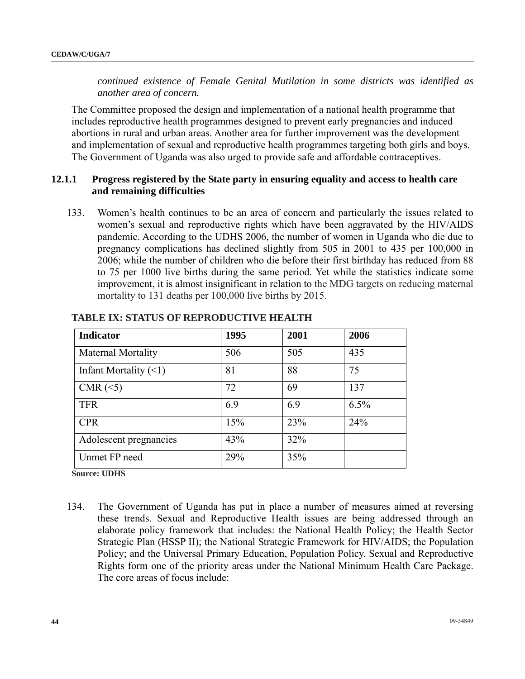*continued existence of Female Genital Mutilation in some districts was identified as another area of concern.* 

 The Committee proposed the design and implementation of a national health programme that includes reproductive health programmes designed to prevent early pregnancies and induced abortions in rural and urban areas. Another area for further improvement was the development and implementation of sexual and reproductive health programmes targeting both girls and boys. The Government of Uganda was also urged to provide safe and affordable contraceptives.

## **12.1.1 Progress registered by the State party in ensuring equality and access to health care and remaining difficulties**

133. Women's health continues to be an area of concern and particularly the issues related to women's sexual and reproductive rights which have been aggravated by the HIV/AIDS pandemic. According to the UDHS 2006, the number of women in Uganda who die due to pregnancy complications has declined slightly from 505 in 2001 to 435 per 100,000 in 2006; while the number of children who die before their first birthday has reduced from 88 to 75 per 1000 live births during the same period. Yet while the statistics indicate some improvement, it is almost insignificant in relation to the MDG targets on reducing maternal mortality to 131 deaths per 100,000 live births by 2015.

| <b>Indicator</b>            | 1995 | 2001 | 2006 |
|-----------------------------|------|------|------|
| <b>Maternal Mortality</b>   | 506  | 505  | 435  |
| Infant Mortality $(\leq 1)$ | 81   | 88   | 75   |
| CMR $(\leq 5)$              | 72   | 69   | 137  |
| <b>TFR</b>                  | 6.9  | 6.9  | 6.5% |
| <b>CPR</b>                  | 15%  | 23%  | 24%  |
| Adolescent pregnancies      | 43%  | 32%  |      |
| Unmet FP need               | 29%  | 35%  |      |

## **TABLE IX: STATUS OF REPRODUCTIVE HEALTH**

**Source: UDHS** 

134. The Government of Uganda has put in place a number of measures aimed at reversing these trends. Sexual and Reproductive Health issues are being addressed through an elaborate policy framework that includes: the National Health Policy; the Health Sector Strategic Plan (HSSP II); the National Strategic Framework for HIV/AIDS; the Population Policy; and the Universal Primary Education, Population Policy. Sexual and Reproductive Rights form one of the priority areas under the National Minimum Health Care Package. The core areas of focus include: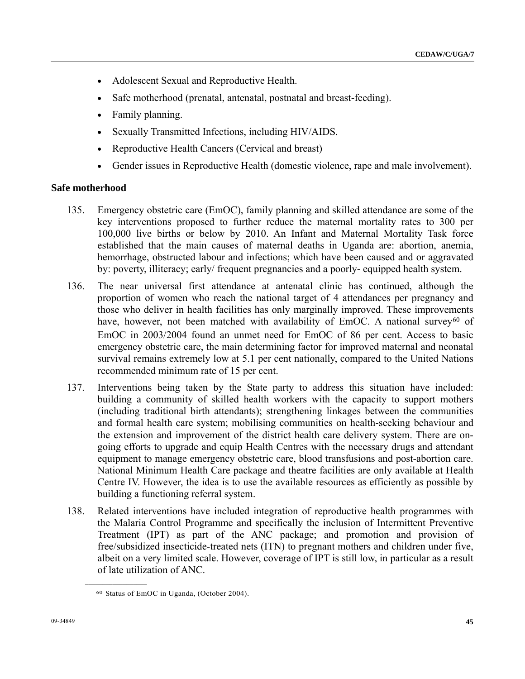- Adolescent Sexual and Reproductive Health.
- Safe motherhood (prenatal, antenatal, postnatal and breast-feeding).
- Family planning.
- Sexually Transmitted Infections, including HIV/AIDS.
- Reproductive Health Cancers (Cervical and breast)
- Gender issues in Reproductive Health (domestic violence, rape and male involvement).

#### **Safe motherhood**

- 135. Emergency obstetric care (EmOC), family planning and skilled attendance are some of the key interventions proposed to further reduce the maternal mortality rates to 300 per 100,000 live births or below by 2010. An Infant and Maternal Mortality Task force established that the main causes of maternal deaths in Uganda are: abortion, anemia, hemorrhage, obstructed labour and infections; which have been caused and or aggravated by: poverty, illiteracy; early/ frequent pregnancies and a poorly- equipped health system.
- 136. The near universal first attendance at antenatal clinic has continued, although the proportion of women who reach the national target of 4 attendances per pregnancy and those who deliver in health facilities has only marginally improved. These improvements have, however, not been matched with availability of  $EmOC$ . A national survey<sup>[6](#page-44-0)0</sup> of EmOC in 2003/2004 found an unmet need for EmOC of 86 per cent. Access to basic emergency obstetric care, the main determining factor for improved maternal and neonatal survival remains extremely low at 5.1 per cent nationally, compared to the United Nations recommended minimum rate of 15 per cent.
- 137. Interventions being taken by the State party to address this situation have included: building a community of skilled health workers with the capacity to support mothers (including traditional birth attendants); strengthening linkages between the communities and formal health care system; mobilising communities on health-seeking behaviour and the extension and improvement of the district health care delivery system. There are ongoing efforts to upgrade and equip Health Centres with the necessary drugs and attendant equipment to manage emergency obstetric care, blood transfusions and post-abortion care. National Minimum Health Care package and theatre facilities are only available at Health Centre IV. However, the idea is to use the available resources as efficiently as possible by building a functioning referral system.
- 138. Related interventions have included integration of reproductive health programmes with the Malaria Control Programme and specifically the inclusion of Intermittent Preventive Treatment (IPT) as part of the ANC package; and promotion and provision of free/subsidized insecticide-treated nets (ITN) to pregnant mothers and children under five, albeit on a very limited scale. However, coverage of IPT is still low, in particular as a result of late utilization of ANC.

<span id="page-44-0"></span><sup>60</sup> Status of EmOC in Uganda, (October 2004).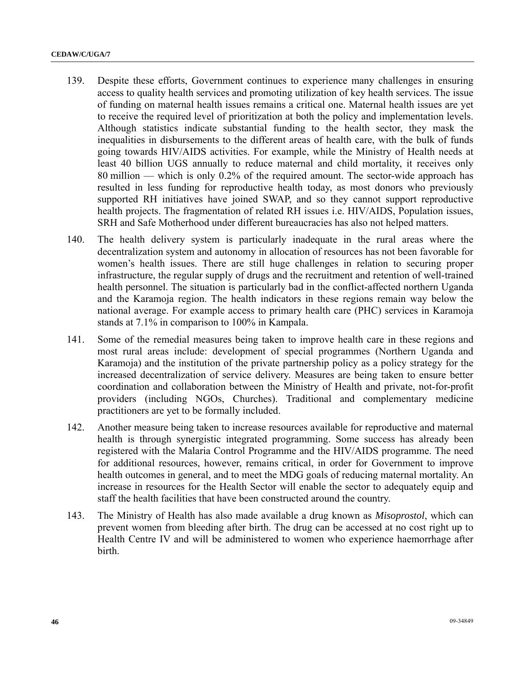- 139. Despite these efforts, Government continues to experience many challenges in ensuring access to quality health services and promoting utilization of key health services. The issue of funding on maternal health issues remains a critical one. Maternal health issues are yet to receive the required level of prioritization at both the policy and implementation levels. Although statistics indicate substantial funding to the health sector, they mask the inequalities in disbursements to the different areas of health care, with the bulk of funds going towards HIV/AIDS activities. For example, while the Ministry of Health needs at least 40 billion UGS annually to reduce maternal and child mortality, it receives only 80 million — which is only 0.2% of the required amount. The sector-wide approach has resulted in less funding for reproductive health today, as most donors who previously supported RH initiatives have joined SWAP, and so they cannot support reproductive health projects. The fragmentation of related RH issues i.e. HIV/AIDS, Population issues, SRH and Safe Motherhood under different bureaucracies has also not helped matters.
- 140. The health delivery system is particularly inadequate in the rural areas where the decentralization system and autonomy in allocation of resources has not been favorable for women's health issues. There are still huge challenges in relation to securing proper infrastructure, the regular supply of drugs and the recruitment and retention of well-trained health personnel. The situation is particularly bad in the conflict-affected northern Uganda and the Karamoja region. The health indicators in these regions remain way below the national average. For example access to primary health care (PHC) services in Karamoja stands at 7.1% in comparison to 100% in Kampala.
- 141. Some of the remedial measures being taken to improve health care in these regions and most rural areas include: development of special programmes (Northern Uganda and Karamoja) and the institution of the private partnership policy as a policy strategy for the increased decentralization of service delivery. Measures are being taken to ensure better coordination and collaboration between the Ministry of Health and private, not-for-profit providers (including NGOs, Churches). Traditional and complementary medicine practitioners are yet to be formally included.
- 142. Another measure being taken to increase resources available for reproductive and maternal health is through synergistic integrated programming. Some success has already been registered with the Malaria Control Programme and the HIV/AIDS programme. The need for additional resources, however, remains critical, in order for Government to improve health outcomes in general, and to meet the MDG goals of reducing maternal mortality. An increase in resources for the Health Sector will enable the sector to adequately equip and staff the health facilities that have been constructed around the country.
- 143. The Ministry of Health has also made available a drug known as *Misoprostol*, which can prevent women from bleeding after birth. The drug can be accessed at no cost right up to Health Centre IV and will be administered to women who experience haemorrhage after birth.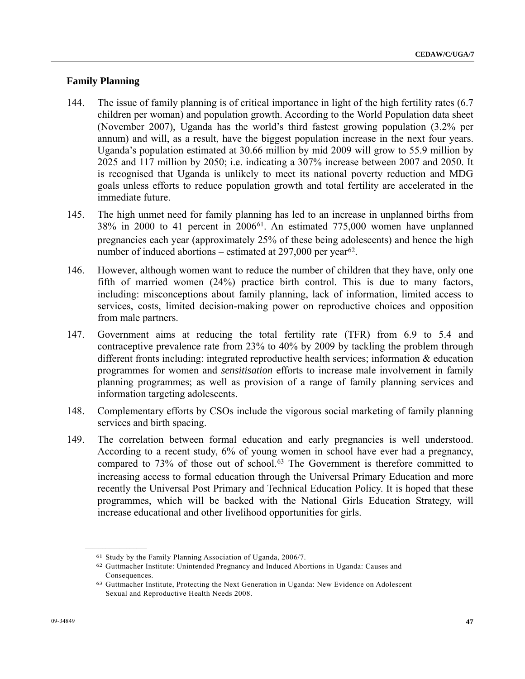## **Family Planning**

- 144. The issue of family planning is of critical importance in light of the high fertility rates (6.7 children per woman) and population growth. According to the World Population data sheet (November 2007), Uganda has the world's third fastest growing population (3.2% per annum) and will, as a result, have the biggest population increase in the next four years. Uganda's population estimated at 30.66 million by mid 2009 will grow to 55.9 million by 2025 and 117 million by 2050; i.e. indicating a 307% increase between 2007 and 2050. It is recognised that Uganda is unlikely to meet its national poverty reduction and MDG goals unless efforts to reduce population growth and total fertility are accelerated in the immediate future.
- 145. The high unmet need for family planning has led to an increase in unplanned births from 38% in 2000 to 41 percent in 2006[61](#page-46-0). An estimated 775,000 women have unplanned pregnancies each year (approximately 25% of these being adolescents) and hence the high number of induced abortions – estimated at  $297,000$  per year<sup>[6](#page-46-1)2</sup>.
- 146. However, although women want to reduce the number of children that they have, only one fifth of married women (24%) practice birth control. This is due to many factors, including: misconceptions about family planning, lack of information, limited access to services, costs, limited decision-making power on reproductive choices and opposition from male partners.
- 147. Government aims at reducing the total fertility rate (TFR) from 6.9 to 5.4 and contraceptive prevalence rate from 23% to 40% by 2009 by tackling the problem through different fronts including: integrated reproductive health services; information & education programmes for women and *sensitisation* efforts to increase male involvement in family planning programmes; as well as provision of a range of family planning services and information targeting adolescents.
- 148. Complementary efforts by CSOs include the vigorous social marketing of family planning services and birth spacing.
- 149. The correlation between formal education and early pregnancies is well understood. According to a recent study, 6% of young women in school have ever had a pregnancy, compared to 73% of those out of school.<sup>63</sup> The Government is therefore committed to increasing access to formal education through the Universal Primary Education and more recently the Universal Post Primary and Technical Education Policy. It is hoped that these programmes, which will be backed with the National Girls Education Strategy, will increase educational and other livelihood opportunities for girls.

<span id="page-46-1"></span><span id="page-46-0"></span><sup>&</sup>lt;sup>61</sup> Study by the Family Planning Association of Uganda, 2006/7.<br><sup>62</sup> Guttmacher Institute: Unintended Pregnancy and Induced Abortions in Uganda: Causes and Consequences.

<span id="page-46-2"></span><sup>63</sup> Guttmacher Institute, Protecting the Next Generation in Uganda: New Evidence on Adolescent Sexual and Reproductive Health Needs 2008.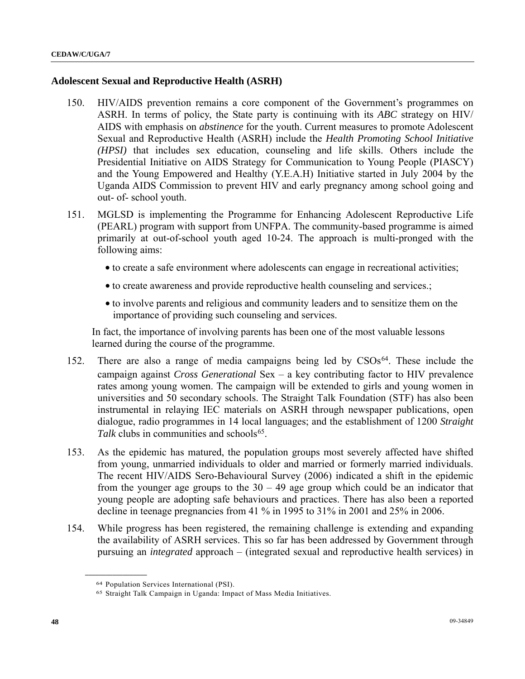#### **Adolescent Sexual and Reproductive Health (ASRH)**

- 150. HIV/AIDS prevention remains a core component of the Government's programmes on ASRH. In terms of policy, the State party is continuing with its *ABC* strategy on HIV/ AIDS with emphasis on *abstinence* for the youth. Current measures to promote Adolescent Sexual and Reproductive Health (ASRH) include the *Health Promoting School Initiative (HPSI)* that includes sex education, counseling and life skills. Others include the Presidential Initiative on AIDS Strategy for Communication to Young People (PIASCY) and the Young Empowered and Healthy (Y.E.A.H) Initiative started in July 2004 by the Uganda AIDS Commission to prevent HIV and early pregnancy among school going and out- of- school youth.
- 151. MGLSD is implementing the Programme for Enhancing Adolescent Reproductive Life (PEARL) program with support from UNFPA. The community-based programme is aimed primarily at out-of-school youth aged 10-24. The approach is multi-pronged with the following aims:
	- to create a safe environment where adolescents can engage in recreational activities;
	- to create awareness and provide reproductive health counseling and services.;
	- to involve parents and religious and community leaders and to sensitize them on the importance of providing such counseling and services.

 In fact, the importance of involving parents has been one of the most valuable lessons learned during the course of the programme.

- 152. There are also a range of media campaigns being led by CSOs[6](#page-47-0)4. These include the campaign against *Cross Generational* Sex – a key contributing factor to HIV prevalence rates among young women. The campaign will be extended to girls and young women in universities and 50 secondary schools. The Straight Talk Foundation (STF) has also been instrumental in relaying IEC materials on ASRH through newspaper publications, open dialogue, radio programmes in 14 local languages; and the establishment of 1200 *Straight Talk* clubs in communities and schools<sup>[65](#page-47-1)</sup>.
- 153. As the epidemic has matured, the population groups most severely affected have shifted from young, unmarried individuals to older and married or formerly married individuals. The recent HIV/AIDS Sero-Behavioural Survey (2006) indicated a shift in the epidemic from the younger age groups to the  $30 - 49$  age group which could be an indicator that young people are adopting safe behaviours and practices. There has also been a reported decline in teenage pregnancies from 41 % in 1995 to 31% in 2001 and 25% in 2006.
- <span id="page-47-1"></span><span id="page-47-0"></span>154. While progress has been registered, the remaining challenge is extending and expanding the availability of ASRH services. This so far has been addressed by Government through pursuing an *integrated* approach – (integrated sexual and reproductive health services) in

<sup>64</sup> Population Services International (PSI).

<sup>65</sup> Straight Talk Campaign in Uganda: Impact of Mass Media Initiatives.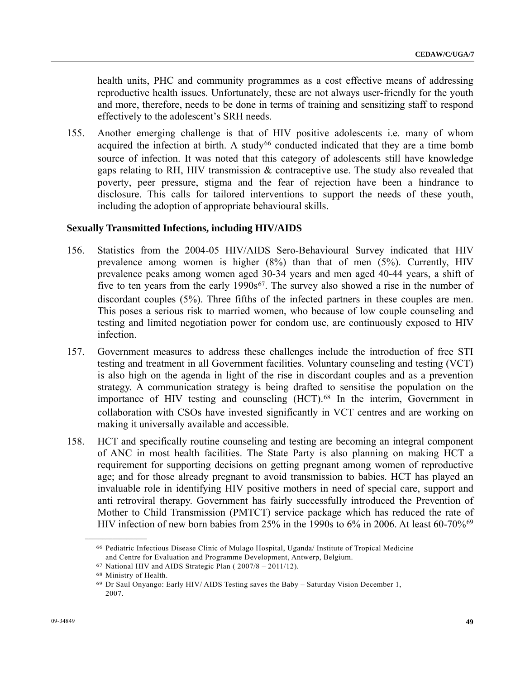health units, PHC and community programmes as a cost effective means of addressing reproductive health issues. Unfortunately, these are not always user-friendly for the youth and more, therefore, needs to be done in terms of training and sensitizing staff to respond effectively to the adolescent's SRH needs.

155. Another emerging challenge is that of HIV positive adolescents i.e. many of whom acquired the infection at birth. A study<sup>[6](#page-48-0)6</sup> conducted indicated that they are a time bomb source of infection. It was noted that this category of adolescents still have knowledge gaps relating to RH, HIV transmission & contraceptive use. The study also revealed that poverty, peer pressure, stigma and the fear of rejection have been a hindrance to disclosure. This calls for tailored interventions to support the needs of these youth, including the adoption of appropriate behavioural skills.

#### **Sexually Transmitted Infections, including HIV/AIDS**

- 156. Statistics from the 2004-05 HIV/AIDS Sero-Behavioural Survey indicated that HIV prevalence among women is higher (8%) than that of men (5%). Currently, HIV prevalence peaks among women aged 30-34 years and men aged 40-44 years, a shift of five to ten years from the early  $1990s^{67}$  $1990s^{67}$  $1990s^{67}$ . The survey also showed a rise in the number of discordant couples (5%). Three fifths of the infected partners in these couples are men. This poses a serious risk to married women, who because of low couple counseling and testing and limited negotiation power for condom use, are continuously exposed to HIV infection.
- 157. Government measures to address these challenges include the introduction of free STI testing and treatment in all Government facilities. Voluntary counseling and testing (VCT) is also high on the agenda in light of the rise in discordant couples and as a prevention strategy. A communication strategy is being drafted to sensitise the population on the importance of HIV testing and counseling (HCT).[68](#page-48-2) In the interim, Government in collaboration with CSOs have invested significantly in VCT centres and are working on making it universally available and accessible.
- 158. HCT and specifically routine counseling and testing are becoming an integral component of ANC in most health facilities. The State Party is also planning on making HCT a requirement for supporting decisions on getting pregnant among women of reproductive age; and for those already pregnant to avoid transmission to babies. HCT has played an invaluable role in identifying HIV positive mothers in need of special care, support and anti retroviral therapy. Government has fairly successfully introduced the Prevention of Mother to Child Transmission (PMTCT) service package which has reduced the rate of HIV infection of new born babies from 25% in the 1990s to [6](#page-48-3)% in 2006. At least 60-70%<sup>69</sup>

<span id="page-48-1"></span><span id="page-48-0"></span><sup>66</sup> Pediatric Infectious Disease Clinic of Mulago Hospital, Uganda/ Institute of Tropical Medicine and Centre for Evaluation and Programme Development, Antwerp, Belgium.

<sup>67</sup> National HIV and AIDS Strategic Plan ( 2007/8 – 2011/12).

<span id="page-48-3"></span><span id="page-48-2"></span><sup>68</sup> Ministry of Health.

<sup>69</sup> Dr Saul Onyango: Early HIV/ AIDS Testing saves the Baby – Saturday Vision December 1, 2007.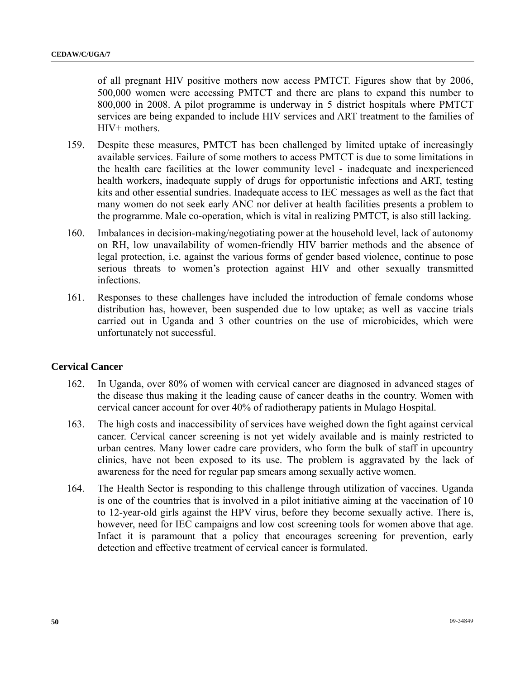of all pregnant HIV positive mothers now access PMTCT. Figures show that by 2006, 500,000 women were accessing PMTCT and there are plans to expand this number to 800,000 in 2008. A pilot programme is underway in 5 district hospitals where PMTCT services are being expanded to include HIV services and ART treatment to the families of HIV+ mothers.

- 159. Despite these measures, PMTCT has been challenged by limited uptake of increasingly available services. Failure of some mothers to access PMTCT is due to some limitations in the health care facilities at the lower community level - inadequate and inexperienced health workers, inadequate supply of drugs for opportunistic infections and ART, testing kits and other essential sundries. Inadequate access to IEC messages as well as the fact that many women do not seek early ANC nor deliver at health facilities presents a problem to the programme. Male co-operation, which is vital in realizing PMTCT, is also still lacking.
- 160. Imbalances in decision-making/negotiating power at the household level, lack of autonomy on RH, low unavailability of women-friendly HIV barrier methods and the absence of legal protection, i.e. against the various forms of gender based violence, continue to pose serious threats to women's protection against HIV and other sexually transmitted infections.
- 161. Responses to these challenges have included the introduction of female condoms whose distribution has, however, been suspended due to low uptake; as well as vaccine trials carried out in Uganda and 3 other countries on the use of microbicides, which were unfortunately not successful.

## **Cervical Cancer**

- 162. In Uganda, over 80% of women with cervical cancer are diagnosed in advanced stages of the disease thus making it the leading cause of cancer deaths in the country. Women with cervical cancer account for over 40% of radiotherapy patients in Mulago Hospital.
- 163. The high costs and inaccessibility of services have weighed down the fight against cervical cancer. Cervical cancer screening is not yet widely available and is mainly restricted to urban centres. Many lower cadre care providers, who form the bulk of staff in upcountry clinics, have not been exposed to its use. The problem is aggravated by the lack of awareness for the need for regular pap smears among sexually active women.
- 164. The Health Sector is responding to this challenge through utilization of vaccines. Uganda is one of the countries that is involved in a pilot initiative aiming at the vaccination of 10 to 12-year-old girls against the HPV virus, before they become sexually active. There is, however, need for IEC campaigns and low cost screening tools for women above that age. Infact it is paramount that a policy that encourages screening for prevention, early detection and effective treatment of cervical cancer is formulated.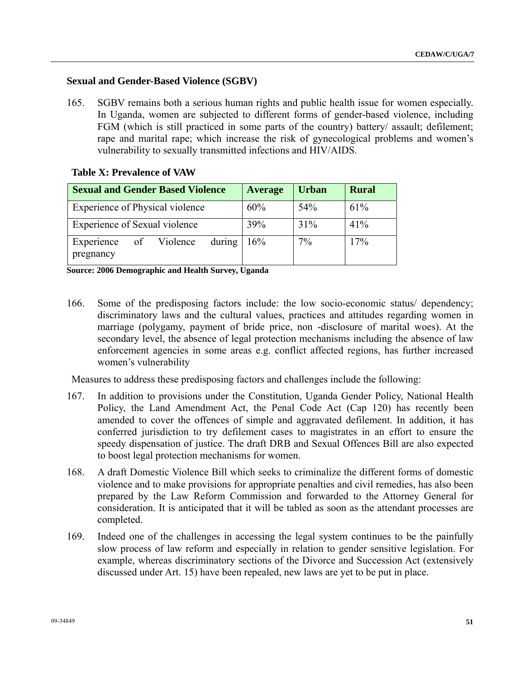## **Sexual and Gender-Based Violence (SGBV)**

165. SGBV remains both a serious human rights and public health issue for women especially. In Uganda, women are subjected to different forms of gender-based violence, including FGM (which is still practiced in some parts of the country) battery/ assault; defilement; rape and marital rape; which increase the risk of gynecological problems and women's vulnerability to sexually transmitted infections and HIV/AIDS.

#### **Table X: Prevalence of VAW**

| <b>Sexual and Gender Based Violence</b>          | <b>Average</b> | <b>Urban</b> | <b>Rural</b> |
|--------------------------------------------------|----------------|--------------|--------------|
| Experience of Physical violence                  | 60%            | 54%          | 61%          |
| Experience of Sexual violence                    | 39%            | 31%          | 41%          |
| during<br>Experience<br>of Violence<br>pregnancy | 16%            | 7%           | 17%          |

**Source: 2006 Demographic and Health Survey, Uganda** 

166. Some of the predisposing factors include: the low socio-economic status/ dependency; discriminatory laws and the cultural values, practices and attitudes regarding women in marriage (polygamy, payment of bride price, non -disclosure of marital woes). At the secondary level, the absence of legal protection mechanisms including the absence of law enforcement agencies in some areas e.g. conflict affected regions, has further increased women's vulnerability

Measures to address these predisposing factors and challenges include the following:

- 167. In addition to provisions under the Constitution, Uganda Gender Policy, National Health Policy, the Land Amendment Act, the Penal Code Act (Cap 120) has recently been amended to cover the offences of simple and aggravated defilement. In addition, it has conferred jurisdiction to try defilement cases to magistrates in an effort to ensure the speedy dispensation of justice. The draft DRB and Sexual Offences Bill are also expected to boost legal protection mechanisms for women.
- 168. A draft Domestic Violence Bill which seeks to criminalize the different forms of domestic violence and to make provisions for appropriate penalties and civil remedies, has also been prepared by the Law Reform Commission and forwarded to the Attorney General for consideration. It is anticipated that it will be tabled as soon as the attendant processes are completed.
- 169. Indeed one of the challenges in accessing the legal system continues to be the painfully slow process of law reform and especially in relation to gender sensitive legislation. For example, whereas discriminatory sections of the Divorce and Succession Act (extensively discussed under Art. 15) have been repealed, new laws are yet to be put in place.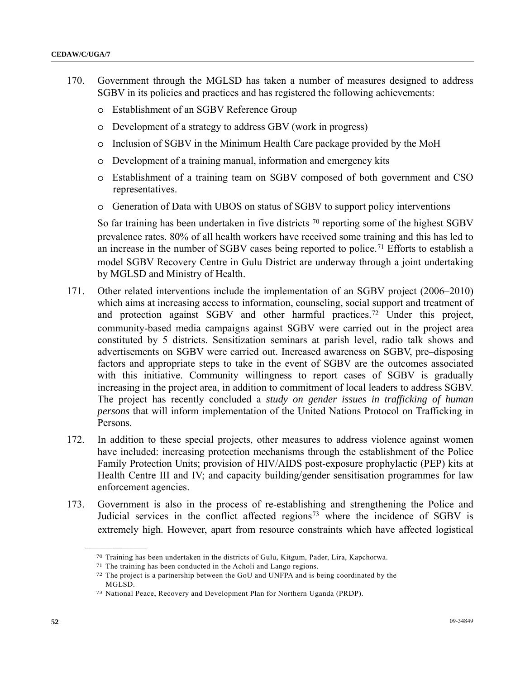- 170. Government through the MGLSD has taken a number of measures designed to address SGBV in its policies and practices and has registered the following achievements:
	- o Establishment of an SGBV Reference Group
	- o Development of a strategy to address GBV (work in progress)
	- o Inclusion of SGBV in the Minimum Health Care package provided by the MoH
	- o Development of a training manual, information and emergency kits
	- o Establishment of a training team on SGBV composed of both government and CSO representatives.
	- o Generation of Data with UBOS on status of SGBV to support policy interventions

So far training has been undertaken in five districts <sup>[70](#page-51-0)</sup> reporting some of the highest SGBV prevalence rates. 80% of all health workers have received some training and this has led to an increase in the number of SGBV cases being reported to police.[7](#page-51-1)1 Efforts to establish a model SGBV Recovery Centre in Gulu District are underway through a joint undertaking by MGLSD and Ministry of Health.

- 171. Other related interventions include the implementation of an SGBV project (2006–2010) which aims at increasing access to information, counseling, social support and treatment of and protection against SGBV and other harmful practices.[72](#page-51-2) Under this project, community-based media campaigns against SGBV were carried out in the project area constituted by 5 districts. Sensitization seminars at parish level, radio talk shows and advertisements on SGBV were carried out. Increased awareness on SGBV, pre–disposing factors and appropriate steps to take in the event of SGBV are the outcomes associated with this initiative. Community willingness to report cases of SGBV is gradually increasing in the project area, in addition to commitment of local leaders to address SGBV. The project has recently concluded a *study on gender issues in trafficking of human persons* that will inform implementation of the United Nations Protocol on Trafficking in Persons.
- 172. In addition to these special projects, other measures to address violence against women have included: increasing protection mechanisms through the establishment of the Police Family Protection Units; provision of HIV/AIDS post-exposure prophylactic (PEP) kits at Health Centre III and IV; and capacity building/gender sensitisation programmes for law enforcement agencies.
- <span id="page-51-1"></span><span id="page-51-0"></span>173. Government is also in the process of re-establishing and strengthening the Police and Judicial services in the conflict affected regions<sup>[73](#page-51-3)</sup> where the incidence of SGBV is extremely high. However, apart from resource constraints which have affected logistical

<sup>&</sup>lt;sup>70</sup> Training has been undertaken in the districts of Gulu, Kitgum, Pader, Lira, Kapchorwa.<br><sup>71</sup> The training has been conducted in the Acholi and Lango regions.<br><sup>72</sup> The project is a partnership between the GoU and UNFPA

<span id="page-51-2"></span>MGLSD.

<span id="page-51-3"></span><sup>73</sup> National Peace, Recovery and Development Plan for Northern Uganda (PRDP).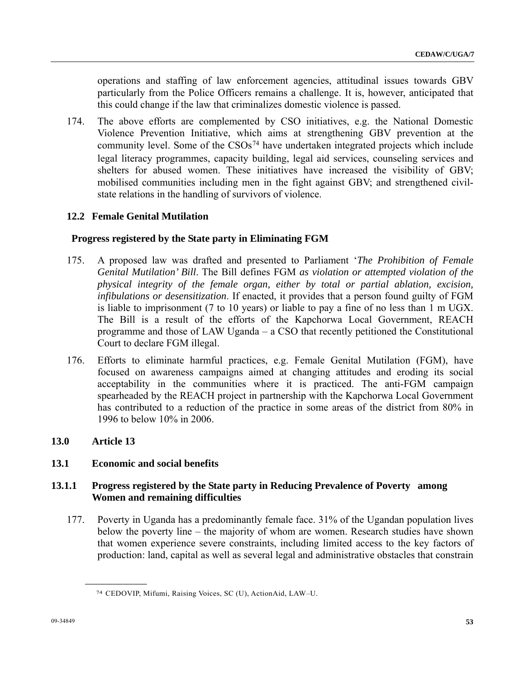operations and staffing of law enforcement agencies, attitudinal issues towards GBV particularly from the Police Officers remains a challenge. It is, however, anticipated that this could change if the law that criminalizes domestic violence is passed.

174. The above efforts are complemented by CSO initiatives, e.g. the National Domestic Violence Prevention Initiative, which aims at strengthening GBV prevention at the community level. Some of the CSOs<sup>[74](#page-52-0)</sup> have undertaken integrated projects which include legal literacy programmes, capacity building, legal aid services, counseling services and shelters for abused women. These initiatives have increased the visibility of GBV; mobilised communities including men in the fight against GBV; and strengthened civilstate relations in the handling of survivors of violence.

# **12.2 Female Genital Mutilation**

## **Progress registered by the State party in Eliminating FGM**

- 175. A proposed law was drafted and presented to Parliament '*The Prohibition of Female Genital Mutilation' Bill*. The Bill defines FGM *as violation or attempted violation of the physical integrity of the female organ, either by total or partial ablation, excision, infibulations or desensitization*. If enacted, it provides that a person found guilty of FGM is liable to imprisonment (7 to 10 years) or liable to pay a fine of no less than 1 m UGX. The Bill is a result of the efforts of the Kapchorwa Local Government, REACH programme and those of LAW Uganda – a CSO that recently petitioned the Constitutional Court to declare FGM illegal.
- 176. Efforts to eliminate harmful practices, e.g. Female Genital Mutilation (FGM), have focused on awareness campaigns aimed at changing attitudes and eroding its social acceptability in the communities where it is practiced. The anti-FGM campaign spearheaded by the REACH project in partnership with the Kapchorwa Local Government has contributed to a reduction of the practice in some areas of the district from 80% in 1996 to below 10% in 2006.

## **13.0 Article 13**

## **13.1 Economic and social benefits**

<span id="page-52-0"></span>**\_\_\_\_\_\_\_\_\_\_\_\_\_\_\_\_\_\_** 

## **13.1.1 Progress registered by the State party in Reducing Prevalence of Poverty among Women and remaining difficulties**

177. Poverty in Uganda has a predominantly female face. 31% of the Ugandan population lives below the poverty line – the majority of whom are women. Research studies have shown that women experience severe constraints, including limited access to the key factors of production: land, capital as well as several legal and administrative obstacles that constrain

<sup>74</sup> CEDOVIP, Mifumi, Raising Voices, SC (U), ActionAid, LAW–U.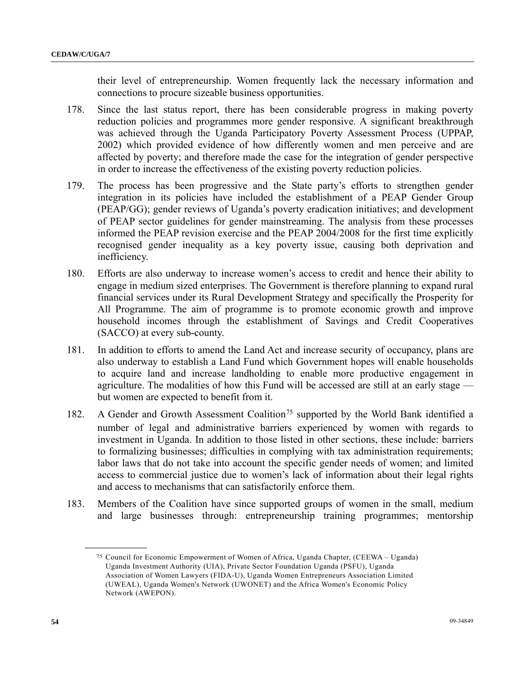their level of entrepreneurship. Women frequently lack the necessary information and connections to procure sizeable business opportunities.

- 178. Since the last status report, there has been considerable progress in making poverty reduction policies and programmes more gender responsive. A significant breakthrough was achieved through the Uganda Participatory Poverty Assessment Process (UPPAP, 2002) which provided evidence of how differently women and men perceive and are affected by poverty; and therefore made the case for the integration of gender perspective in order to increase the effectiveness of the existing poverty reduction policies.
- 179. The process has been progressive and the State party's efforts to strengthen gender integration in its policies have included the establishment of a PEAP Gender Group (PEAP/GG); gender reviews of Uganda's poverty eradication initiatives; and development of PEAP sector guidelines for gender mainstreaming. The analysis from these processes informed the PEAP revision exercise and the PEAP 2004/2008 for the first time explicitly recognised gender inequality as a key poverty issue, causing both deprivation and inefficiency.
- 180. Efforts are also underway to increase women's access to credit and hence their ability to engage in medium sized enterprises. The Government is therefore planning to expand rural financial services under its Rural Development Strategy and specifically the Prosperity for All Programme. The aim of programme is to promote economic growth and improve household incomes through the establishment of Savings and Credit Cooperatives (SACCO) at every sub-county.
- 181. In addition to efforts to amend the Land Act and increase security of occupancy, plans are also underway to establish a Land Fund which Government hopes will enable households to acquire land and increase landholding to enable more productive engagement in agriculture. The modalities of how this Fund will be accessed are still at an early stage but women are expected to benefit from it.
- 182. A Gender and Growth Assessment Coalition<sup>[75](#page-53-0)</sup> supported by the World Bank identified a number of legal and administrative barriers experienced by women with regards to investment in Uganda. In addition to those listed in other sections, these include: barriers to formalizing businesses; difficulties in complying with tax administration requirements; labor laws that do not take into account the specific gender needs of women; and limited access to commercial justice due to women's lack of information about their legal rights and access to mechanisms that can satisfactorily enforce them.
- <span id="page-53-0"></span>183. Members of the Coalition have since supported groups of women in the small, medium and large businesses through: entrepreneurship training programmes; mentorship

<sup>75</sup> Council for Economic Empowerment of Women of Africa, Uganda Chapter, (CEEWA – Uganda) Uganda Investment Authority (UIA), Private Sector Foundation Uganda (PSFU), Uganda Association of Women Lawyers (FIDA-U), Uganda Women Entrepreneurs Association Limited (UWEAL), Uganda Women's Network (UWONET) and the Africa Women's Economic Policy Network (AWEPON).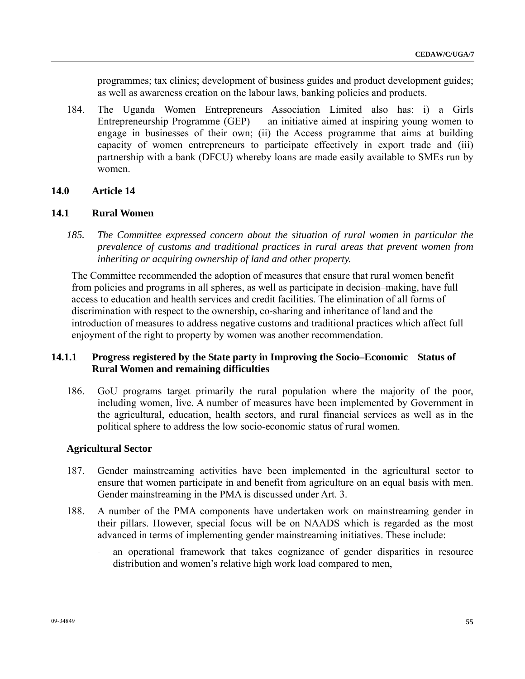programmes; tax clinics; development of business guides and product development guides; as well as awareness creation on the labour laws, banking policies and products.

184. The Uganda Women Entrepreneurs Association Limited also has: i) a Girls Entrepreneurship Programme (GEP) — an initiative aimed at inspiring young women to engage in businesses of their own; (ii) the Access programme that aims at building capacity of women entrepreneurs to participate effectively in export trade and (iii) partnership with a bank (DFCU) whereby loans are made easily available to SMEs run by women.

#### **14.0 Article 14**

#### **14.1 Rural Women**

*185. The Committee expressed concern about the situation of rural women in particular the prevalence of customs and traditional practices in rural areas that prevent women from inheriting or acquiring ownership of land and other property.* 

 The Committee recommended the adoption of measures that ensure that rural women benefit from policies and programs in all spheres, as well as participate in decision–making, have full access to education and health services and credit facilities. The elimination of all forms of discrimination with respect to the ownership, co-sharing and inheritance of land and the introduction of measures to address negative customs and traditional practices which affect full enjoyment of the right to property by women was another recommendation.

### **14.1.1 Progress registered by the State party in Improving the Socio–Economic Status of Rural Women and remaining difficulties**

186. GoU programs target primarily the rural population where the majority of the poor, including women, live. A number of measures have been implemented by Government in the agricultural, education, health sectors, and rural financial services as well as in the political sphere to address the low socio-economic status of rural women.

#### **Agricultural Sector**

- 187. Gender mainstreaming activities have been implemented in the agricultural sector to ensure that women participate in and benefit from agriculture on an equal basis with men. Gender mainstreaming in the PMA is discussed under Art. 3.
- 188. A number of the PMA components have undertaken work on mainstreaming gender in their pillars. However, special focus will be on NAADS which is regarded as the most advanced in terms of implementing gender mainstreaming initiatives. These include:
	- an operational framework that takes cognizance of gender disparities in resource distribution and women's relative high work load compared to men,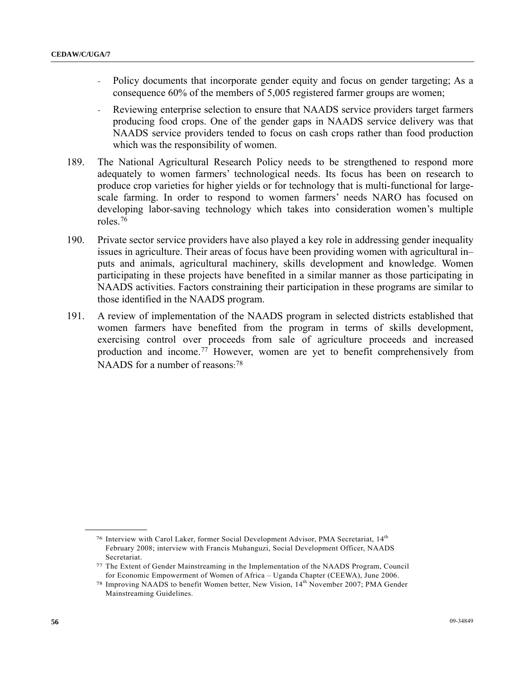- Policy documents that incorporate gender equity and focus on gender targeting; As a consequence 60% of the members of 5,005 registered farmer groups are women;
- Reviewing enterprise selection to ensure that NAADS service providers target farmers producing food crops. One of the gender gaps in NAADS service delivery was that NAADS service providers tended to focus on cash crops rather than food production which was the responsibility of women.
- 189. The National Agricultural Research Policy needs to be strengthened to respond more adequately to women farmers' technological needs. Its focus has been on research to produce crop varieties for higher yields or for technology that is multi-functional for largescale farming. In order to respond to women farmers' needs NARO has focused on developing labor-saving technology which takes into consideration women's multiple roles.[76](#page-55-0)
- 190. Private sector service providers have also played a key role in addressing gender inequality issues in agriculture. Their areas of focus have been providing women with agricultural in– puts and animals, agricultural machinery, skills development and knowledge. Women participating in these projects have benefited in a similar manner as those participating in NAADS activities. Factors constraining their participation in these programs are similar to those identified in the NAADS program.
- 191. A review of implementation of the NAADS program in selected districts established that women farmers have benefited from the program in terms of skills development, exercising control over proceeds from sale of agriculture proceeds and increased production and income.[77](#page-55-1) However, women are yet to benefit comprehensively from NAADS for a number of reasons: [7](#page-55-2)8

<span id="page-55-0"></span><sup>76</sup> Interview with Carol Laker, former Social Development Advisor, PMA Secretariat, 14th February 2008; interview with Francis Muhanguzi, Social Development Officer, NAADS Secretariat.

<span id="page-55-1"></span><sup>77</sup> The Extent of Gender Mainstreaming in the Implementation of the NAADS Program, Council for Economic Empowerment of Women of Africa – Uganda Chapter (CEEWA), June 2006.

<span id="page-55-2"></span><sup>78</sup> Improving NAADS to benefit Women better, New Vision, 14th November 2007; PMA Gender Mainstreaming Guidelines.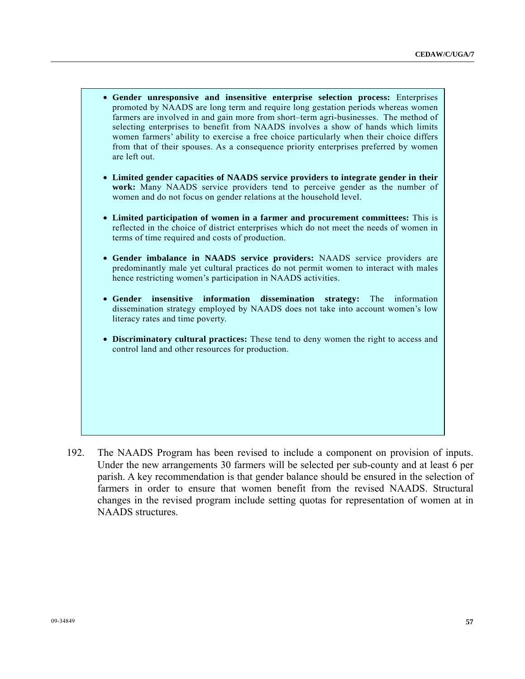- **Gender unresponsive and insensitive enterprise selection process:** Enterprises promoted by NAADS are long term and require long gestation periods whereas women farmers are involved in and gain more from short–term agri-businesses. The method of selecting enterprises to benefit from NAADS involves a show of hands which limits women farmers' ability to exercise a free choice particularly when their choice differs from that of their spouses. As a consequence priority enterprises preferred by women are left out. • **Limited gender capacities of NAADS service providers to integrate gender in their work:** Many NAADS service providers tend to perceive gender as the number of women and do not focus on gender relations at the household level. • **Limited participation of women in a farmer and procurement committees:** This is reflected in the choice of district enterprises which do not meet the needs of women in terms of time required and costs of production. • **Gender imbalance in NAADS service providers:** NAADS service providers are predominantly male yet cultural practices do not permit women to interact with males hence restricting women's participation in NAADS activities. • **Gender insensitive information dissemination strategy:** The information dissemination strategy employed by NAADS does not take into account women's low literacy rates and time poverty. • **Discriminatory cultural practices:** These tend to deny women the right to access and control land and other resources for production.
- 192. The NAADS Program has been revised to include a component on provision of inputs. Under the new arrangements 30 farmers will be selected per sub-county and at least 6 per parish. A key recommendation is that gender balance should be ensured in the selection of farmers in order to ensure that women benefit from the revised NAADS. Structural changes in the revised program include setting quotas for representation of women at in NAADS structures.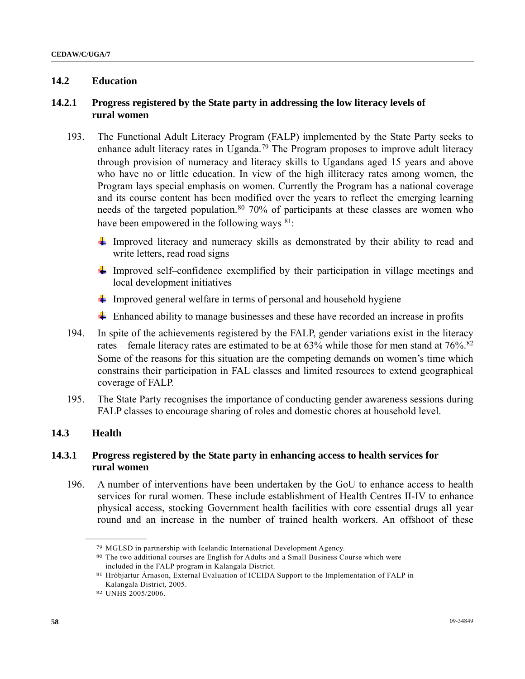## **14.2 Education**

## **14.2.1 Progress registered by the State party in addressing the low literacy levels of rural women**

- 193. The Functional Adult Literacy Program (FALP) implemented by the State Party seeks to enhance adult literacy rates in Uganda.<sup>[7](#page-57-0)9</sup> The Program proposes to improve adult literacy through provision of numeracy and literacy skills to Ugandans aged 15 years and above who have no or little education. In view of the high illiteracy rates among women, the Program lays special emphasis on women. Currently the Program has a national coverage and its course content has been modified over the years to reflect the emerging learning needs of the targeted population.<sup>[8](#page-57-1)0</sup> 70% of participants at these classes are women who have been empowered in the following ways <sup>[81](#page-57-2)</sup>:
	- Improved literacy and numeracy skills as demonstrated by their ability to read and write letters, read road signs
	- Improved self–confidence exemplified by their participation in village meetings and local development initiatives
	- Improved general welfare in terms of personal and household hygiene
	- $\overline{\text{H}}$  Enhanced ability to manage businesses and these have recorded an increase in profits
- 194. In spite of the achievements registered by the FALP, gender variations exist in the literacy rates – female literacy rates are estimated to be at  $63\%$  while those for men stand at  $76\%$ .<sup>[8](#page-57-3)2</sup> Some of the reasons for this situation are the competing demands on women's time which constrains their participation in FAL classes and limited resources to extend geographical coverage of FALP.
- 195. The State Party recognises the importance of conducting gender awareness sessions during FALP classes to encourage sharing of roles and domestic chores at household level.

## **14.3 Health**

## **14.3.1 Progress registered by the State party in enhancing access to health services for rural women**

<span id="page-57-0"></span>196. A number of interventions have been undertaken by the GoU to enhance access to health services for rural women. These include establishment of Health Centres II-IV to enhance physical access, stocking Government health facilities with core essential drugs all year round and an increase in the number of trained health workers. An offshoot of these

<span id="page-57-1"></span>

<sup>79</sup> MGLSD in partnership with Icelandic International Development Agency. 80 The two additional courses are English for Adults and a Small Business Course which were included in the FALP program in Kalangala District.

<span id="page-57-2"></span><sup>81</sup> Hróbjartur Ấrnason, External Evaluation of ICEIDA Support to the Implementation of FALP in Kalangala District, 2005.

<span id="page-57-3"></span><sup>82</sup> UNHS 2005/2006.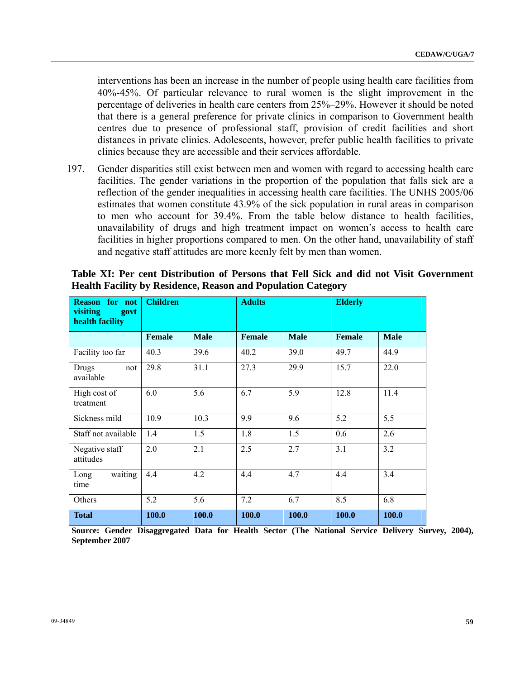interventions has been an increase in the number of people using health care facilities from 40%-45%. Of particular relevance to rural women is the slight improvement in the percentage of deliveries in health care centers from 25%–29%. However it should be noted that there is a general preference for private clinics in comparison to Government health centres due to presence of professional staff, provision of credit facilities and short distances in private clinics. Adolescents, however, prefer public health facilities to private clinics because they are accessible and their services affordable.

197. Gender disparities still exist between men and women with regard to accessing health care facilities. The gender variations in the proportion of the population that falls sick are a reflection of the gender inequalities in accessing health care facilities. The UNHS 2005/06 estimates that women constitute 43.9% of the sick population in rural areas in comparison to men who account for 39.4%. From the table below distance to health facilities, unavailability of drugs and high treatment impact on women's access to health care facilities in higher proportions compared to men. On the other hand, unavailability of staff and negative staff attitudes are more keenly felt by men than women.

| <b>Reason for not</b><br>visiting<br>govt<br>health facility | <b>Children</b> |             | <b>Adults</b> |             | <b>Elderly</b> |             |
|--------------------------------------------------------------|-----------------|-------------|---------------|-------------|----------------|-------------|
|                                                              | <b>Female</b>   | <b>Male</b> | <b>Female</b> | <b>Male</b> | <b>Female</b>  | <b>Male</b> |
| Facility too far                                             | 40.3            | 39.6        | 40.2          | 39.0        | 49.7           | 44.9        |
| Drugs<br>not<br>available                                    | 29.8            | 31.1        | 27.3          | 29.9        | 15.7           | 22.0        |
| High cost of<br>treatment                                    | 6.0             | 5.6         | 6.7           | 5.9         | 12.8           | 11.4        |
| Sickness mild                                                | 10.9            | 10.3        | 9.9           | 9.6         | 5.2            | 5.5         |
| Staff not available                                          | 1.4             | 1.5         | 1.8           | 1.5         | 0.6            | 2.6         |
| Negative staff<br>attitudes                                  | 2.0             | 2.1         | 2.5           | 2.7         | 3.1            | 3.2         |
| waiting<br>Long<br>time                                      | 4.4             | 4.2         | 4.4           | 4.7         | 4.4            | 3.4         |
| Others                                                       | 5.2             | 5.6         | 7.2           | 6.7         | 8.5            | 6.8         |
| <b>Total</b>                                                 | 100.0           | 100.0       | 100.0         | 100.0       | 100.0          | 100.0       |

 **Table XI: Per cent Distribution of Persons that Fell Sick and did not Visit Government Health Facility by Residence, Reason and Population Category** 

 **Source: Gender Disaggregated Data for Health Sector (The National Service Delivery Survey, 2004), September 2007**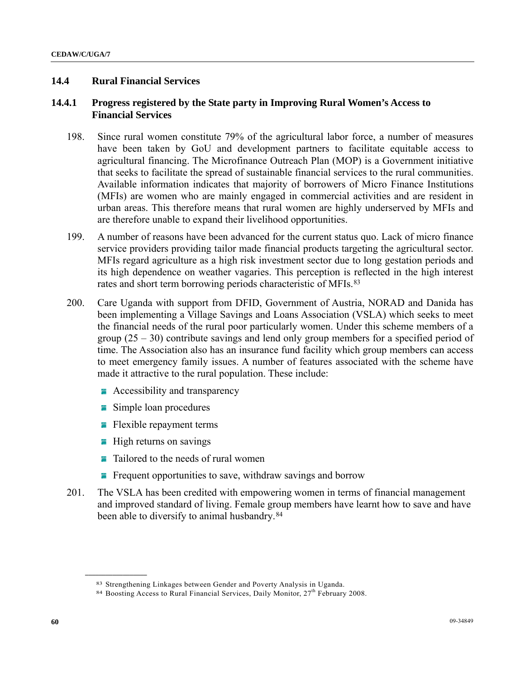## **14.4 Rural Financial Services**

## **14.4.1 Progress registered by the State party in Improving Rural Women's Access to Financial Services**

- 198. Since rural women constitute 79% of the agricultural labor force, a number of measures have been taken by GoU and development partners to facilitate equitable access to agricultural financing. The Microfinance Outreach Plan (MOP) is a Government initiative that seeks to facilitate the spread of sustainable financial services to the rural communities. Available information indicates that majority of borrowers of Micro Finance Institutions (MFIs) are women who are mainly engaged in commercial activities and are resident in urban areas. This therefore means that rural women are highly underserved by MFIs and are therefore unable to expand their livelihood opportunities.
- 199. A number of reasons have been advanced for the current status quo. Lack of micro finance service providers providing tailor made financial products targeting the agricultural sector. MFIs regard agriculture as a high risk investment sector due to long gestation periods and its high dependence on weather vagaries. This perception is reflected in the high interest rates and short term borrowing periods characteristic of MFIs.<sup>[83](#page-59-0)</sup>
- 200. Care Uganda with support from DFID, Government of Austria, NORAD and Danida has been implementing a Village Savings and Loans Association (VSLA) which seeks to meet the financial needs of the rural poor particularly women. Under this scheme members of a group  $(25 - 30)$  contribute savings and lend only group members for a specified period of time. The Association also has an insurance fund facility which group members can access to meet emergency family issues. A number of features associated with the scheme have made it attractive to the rural population. These include:
	- **Accessibility and transparency**
	- **Simple loan procedures**
	- $\blacksquare$  Flexible repayment terms
	- $\blacksquare$  High returns on savings

- $\blacksquare$  Tailored to the needs of rural women
- **Figure 1** Frequent opportunities to save, withdraw savings and borrow
- 201. The VSLA has been credited with empowering women in terms of financial management and improved standard of living. Female group members have learnt how to save and have been able to diversify to animal husbandry.<sup>[84](#page-59-1)</sup>

<span id="page-59-1"></span><span id="page-59-0"></span><sup>&</sup>lt;sup>83</sup> Strengthening Linkages between Gender and Poverty Analysis in Uganda.<br><sup>84</sup> Boosting Access to Rural Financial Services, Daily Monitor,  $27<sup>th</sup>$  February 2008.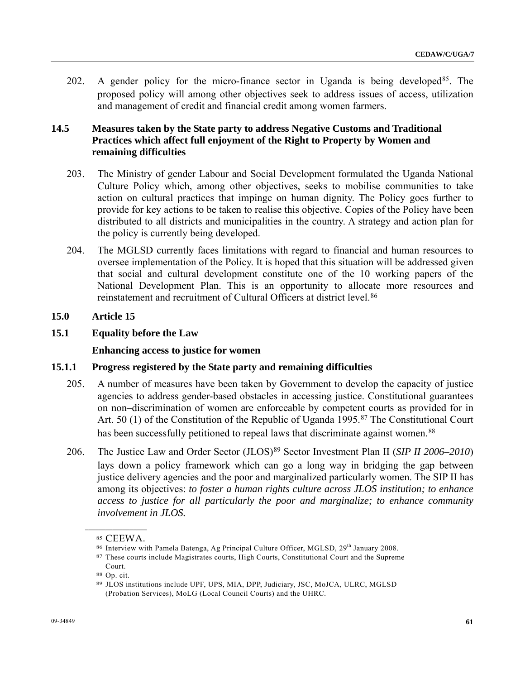202. A gender policy for the micro-finance sector in Uganda is being developed  $85$ . The proposed policy will among other objectives seek to address issues of access, utilization and management of credit and financial credit among women farmers.

# **14.5 Measures taken by the State party to address Negative Customs and Traditional Practices which affect full enjoyment of the Right to Property by Women and remaining difficulties**

- 203. The Ministry of gender Labour and Social Development formulated the Uganda National Culture Policy which, among other objectives, seeks to mobilise communities to take action on cultural practices that impinge on human dignity. The Policy goes further to provide for key actions to be taken to realise this objective. Copies of the Policy have been distributed to all districts and municipalities in the country. A strategy and action plan for the policy is currently being developed.
- 204. The MGLSD currently faces limitations with regard to financial and human resources to oversee implementation of the Policy. It is hoped that this situation will be addressed given that social and cultural development constitute one of the 10 working papers of the National Development Plan. This is an opportunity to allocate more resources and reinstatement and recruitment of Cultural Officers at district level.[8](#page-60-1)6

# **15.0 Article 15**

## **15.1 Equality before the Law**

## **Enhancing access to justice for women**

## **15.1.1 Progress registered by the State party and remaining difficulties**

- 205. A number of measures have been taken by Government to develop the capacity of justice agencies to address gender-based obstacles in accessing justice. Constitutional guarantees on non–discrimination of women are enforceable by competent courts as provided for in Art. 50 (1) of the Constitution of the Republic of Uganda 1995.<sup>[87](#page-60-2)</sup> The Constitutional Court has been successfully petitioned to repeal laws that discriminate against women.<sup>[88](#page-60-3)</sup>
- 206. The Justice Law and Order Sector (JLOS)[8](#page-60-4)9 Sector Investment Plan II (*SIP II 2006–2010*) lays down a policy framework which can go a long way in bridging the gap between justice delivery agencies and the poor and marginalized particularly women. The SIP II has among its objectives: *to foster a human rights culture across JLOS institution; to enhance access to justice for all particularly the poor and marginalize; to enhance community involvement in JLOS.*

<span id="page-60-2"></span><span id="page-60-1"></span><span id="page-60-0"></span>**\_\_\_\_\_\_\_\_\_\_\_\_\_\_\_\_\_\_** 

<sup>85</sup> CEEWA.<br><sup>86</sup> Interview with Pamela Batenga, Ag Principal Culture Officer, MGLSD, 29<sup>th</sup> January 2008.<br><sup>87</sup> These courts include Magistrates courts, High Courts, Constitutional Court and the Supreme

<span id="page-60-3"></span>Court.

<sup>88</sup> Op. cit.

<span id="page-60-4"></span><sup>89</sup> JLOS institutions include UPF, UPS, MIA, DPP, Judiciary, JSC, MoJCA, ULRC, MGLSD (Probation Services), MoLG (Local Council Courts) and the UHRC.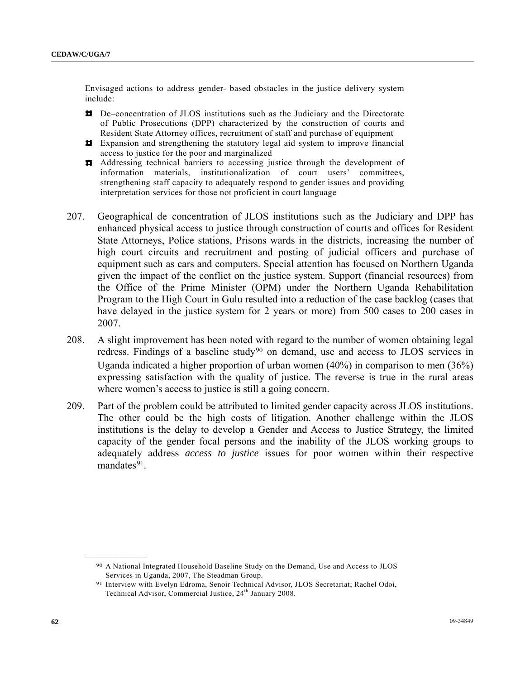Envisaged actions to address gender- based obstacles in the justice delivery system include:

- De–concentration of JLOS institutions such as the Judiciary and the Directorate of Public Prosecutions (DPP) characterized by the construction of courts and Resident State Attorney offices, recruitment of staff and purchase of equipment
- Expansion and strengthening the statutory legal aid system to improve financial access to justice for the poor and marginalized
- Addressing technical barriers to accessing justice through the development of information materials, institutionalization of court users' committees, strengthening staff capacity to adequately respond to gender issues and providing interpretation services for those not proficient in court language
- 207. Geographical de–concentration of JLOS institutions such as the Judiciary and DPP has enhanced physical access to justice through construction of courts and offices for Resident State Attorneys, Police stations, Prisons wards in the districts, increasing the number of high court circuits and recruitment and posting of judicial officers and purchase of equipment such as cars and computers. Special attention has focused on Northern Uganda given the impact of the conflict on the justice system. Support (financial resources) from the Office of the Prime Minister (OPM) under the Northern Uganda Rehabilitation Program to the High Court in Gulu resulted into a reduction of the case backlog (cases that have delayed in the justice system for 2 years or more) from 500 cases to 200 cases in 2007.
- 208. A slight improvement has been noted with regard to the number of women obtaining legal redress. Findings of a baseline study<sup>[9](#page-61-0)0</sup> on demand, use and access to JLOS services in Uganda indicated a higher proportion of urban women (40%) in comparison to men (36%) expressing satisfaction with the quality of justice. The reverse is true in the rural areas where women's access to justice is still a going concern.
- 209. Part of the problem could be attributed to limited gender capacity across JLOS institutions. The other could be the high costs of litigation. Another challenge within the JLOS institutions is the delay to develop a Gender and Access to Justice Strategy, the limited capacity of the gender focal persons and the inability of the JLOS working groups to adequately address *access to justice* issues for poor women within their respective mandates $91$ .

<span id="page-61-0"></span><sup>90</sup> A National Integrated Household Baseline Study on the Demand, Use and Access to JLOS Services in Uganda, 2007, The Steadman Group.

<span id="page-61-1"></span><sup>91</sup> Interview with Evelyn Edroma, Senoir Technical Advisor, JLOS Secretariat; Rachel Odoi, Technical Advisor, Commercial Justice, 24<sup>th</sup> January 2008.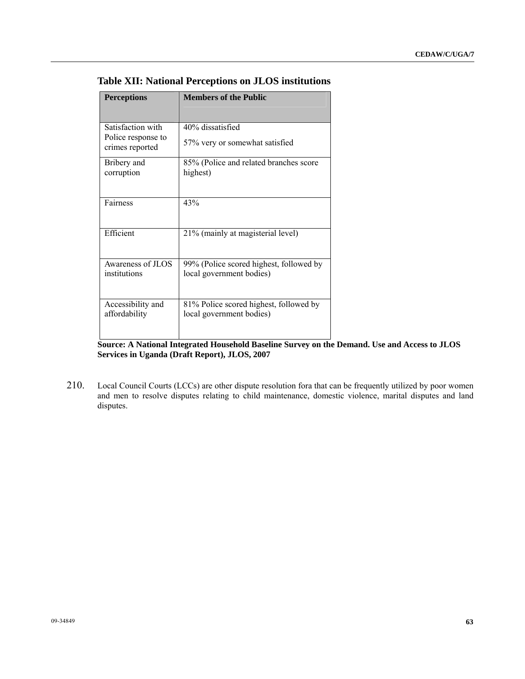| <b>Perceptions</b>                                         | <b>Members of the Public</b>                                        |
|------------------------------------------------------------|---------------------------------------------------------------------|
| Satisfaction with<br>Police response to<br>crimes reported | 40% dissatisfied<br>57% very or somewhat satisfied                  |
| Bribery and<br>corruption                                  | 85% (Police and related branches score<br>highest)                  |
| Fairness                                                   | 43%                                                                 |
| Efficient                                                  | 21% (mainly at magisterial level)                                   |
| Awareness of JLOS<br>institutions                          | 99% (Police scored highest, followed by<br>local government bodies) |
| Accessibility and<br>affordability                         | 81% Police scored highest, followed by<br>local government bodies)  |

## **Table XII: National Perceptions on JLOS institutions**

**Source: A National Integrated Household Baseline Survey on the Demand. Use and Access to JLOS Services in Uganda (Draft Report), JLOS, 2007** 

210. Local Council Courts (LCCs) are other dispute resolution fora that can be frequently utilized by poor women and men to resolve disputes relating to child maintenance, domestic violence, marital disputes and land disputes.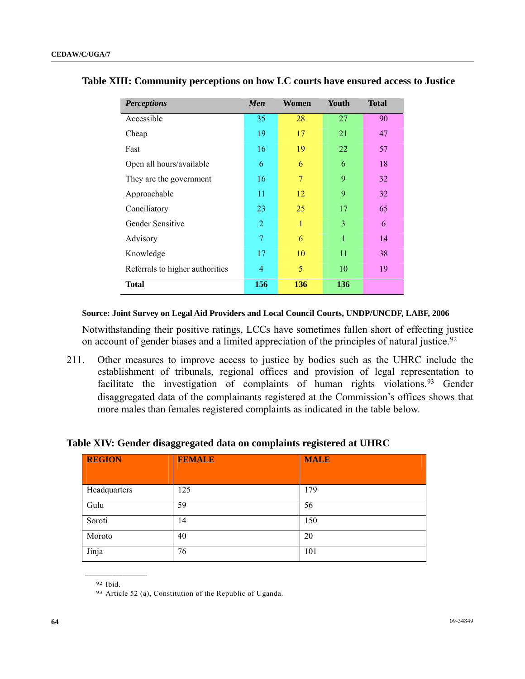| <b>Perceptions</b>              | Men            | Women | Youth | <b>Total</b> |
|---------------------------------|----------------|-------|-------|--------------|
| Accessible                      | 35             | 28    | 27    | 90           |
| Cheap                           | 19             | 17    | 21    | 47           |
| Fast                            | 16             | 19    | 22    | 57           |
| Open all hours/available        | 6              | 6     | 6     | 18           |
| They are the government         | 16             | 7     | 9     | 32           |
| Approachable                    | 11             | 12    | 9     | 32           |
| Conciliatory                    | 23             | 25    | 17    | 65           |
| Gender Sensitive                | $\overline{2}$ | 1     | 3     | 6            |
| Advisory                        | 7              | 6     | 1     | 14           |
| Knowledge                       | 17             | 10    | 11    | 38           |
| Referrals to higher authorities | 4              | 5     | 10    | 19           |
| <b>Total</b>                    | 156            | 136   | 136   |              |

#### **Table XIII: Community perceptions on how LC courts have ensured access to Justice**

#### **Source: Joint Survey on Legal Aid Providers and Local Council Courts, UNDP/UNCDF, LABF, 2006**

Notwithstanding their positive ratings, LCCs have sometimes fallen short of effecting justice on account of gender biases and a limited appreciation of the principles of natural justice.<sup>[9](#page-63-0)2</sup>

211. Other measures to improve access to justice by bodies such as the UHRC include the establishment of tribunals, regional offices and provision of legal representation to facilitate the investigation of complaints of human rights violations.<sup>[93](#page-63-1)</sup> Gender disaggregated data of the complainants registered at the Commission's offices shows that more males than females registered complaints as indicated in the table below.

#### **Table XIV: Gender disaggregated data on complaints registered at UHRC**

| <b>REGION</b> | <b>FEMALE</b> | <b>MALE</b> |
|---------------|---------------|-------------|
| Headquarters  | 125           | 179         |
| Gulu          | 59            | 56          |
| Soroti        | 14            | 150         |
| Moroto        | 40            | 20          |
| Jinja         | 76            | 101         |

<span id="page-63-1"></span><span id="page-63-0"></span>92 Ibid.

<sup>93</sup> Article 52 (a), Constitution of the Republic of Uganda.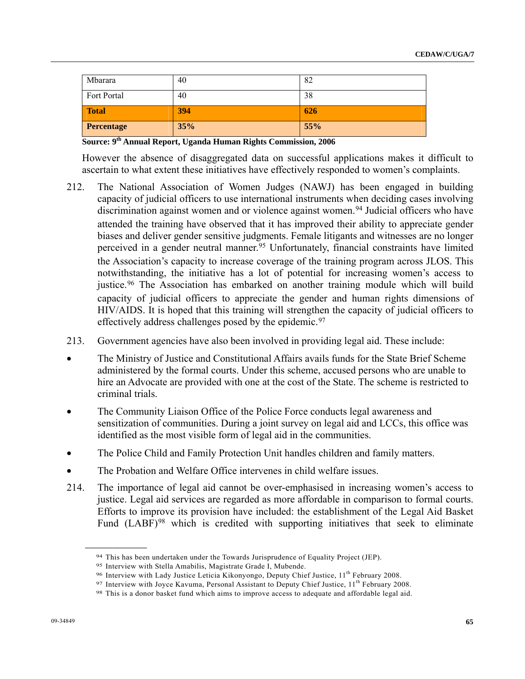| Mbarara     | 40  | 82  |
|-------------|-----|-----|
| Fort Portal | 40  | 38  |
| Total       |     |     |
|             | 394 | 626 |

**Source: 9th Annual Report, Uganda Human Rights Commission, 2006** 

However the absence of disaggregated data on successful applications makes it difficult to ascertain to what extent these initiatives have effectively responded to women's complaints.

- 212. The National Association of Women Judges (NAWJ) has been engaged in building capacity of judicial officers to use international instruments when deciding cases involving discrimination against women and or violence against women.<sup>[94](#page-64-0)</sup> Judicial officers who have attended the training have observed that it has improved their ability to appreciate gender biases and deliver gender sensitive judgments. Female litigants and witnesses are no longer perceived in a gender neutral manner.<sup>[9](#page-64-1)5</sup> Unfortunately, financial constraints have limited the Association's capacity to increase coverage of the training program across JLOS. This notwithstanding, the initiative has a lot of potential for increasing women's access to justice.<sup>[96](#page-64-2)</sup> The Association has embarked on another training module which will build capacity of judicial officers to appreciate the gender and human rights dimensions of HIV/AIDS. It is hoped that this training will strengthen the capacity of judicial officers to effectively address challenges posed by the epidemic.[97](#page-64-3)
- 213. Government agencies have also been involved in providing legal aid. These include:
- The Ministry of Justice and Constitutional Affairs avails funds for the State Brief Scheme administered by the formal courts. Under this scheme, accused persons who are unable to hire an Advocate are provided with one at the cost of the State. The scheme is restricted to criminal trials.
- The Community Liaison Office of the Police Force conducts legal awareness and sensitization of communities. During a joint survey on legal aid and LCCs, this office was identified as the most visible form of legal aid in the communities.
- The Police Child and Family Protection Unit handles children and family matters.
- The Probation and Welfare Office intervenes in child welfare issues.
- 214. The importance of legal aid cannot be over-emphasised in increasing women's access to justice. Legal aid services are regarded as more affordable in comparison to formal courts. Efforts to improve its provision have included: the establishment of the Legal Aid Basket Fund (LABF)<sup>[98](#page-64-4)</sup> which is credited with supporting initiatives that seek to eliminate

<span id="page-64-2"></span>

<span id="page-64-3"></span>

<span id="page-64-1"></span><span id="page-64-0"></span><sup>&</sup>lt;sup>94</sup> This has been undertaken under the Towards Jurisprudence of Equality Project (JEP).<br><sup>95</sup> Interview with Stella Amabilis, Magistrate Grade I, Mubende.<br><sup>96</sup> Interview with Lady Justice Leticia Kikonyongo, Deputy Chief J

<span id="page-64-4"></span>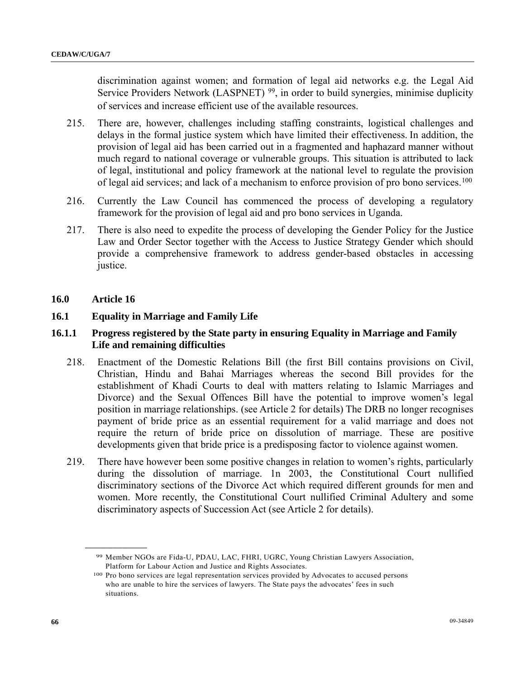discrimination against women; and formation of legal aid networks e.g. the Legal Aid Service Providers Network (LASPNET)<sup>[99](#page-65-0)</sup>, in order to build synergies, minimise duplicity of services and increase efficient use of the available resources.

- 215. There are, however, challenges including staffing constraints, logistical challenges and delays in the formal justice system which have limited their effectiveness. In addition, the provision of legal aid has been carried out in a fragmented and haphazard manner without much regard to national coverage or vulnerable groups. This situation is attributed to lack of legal, institutional and policy framework at the national level to regulate the provision of legal aid services; and lack of a mechanism to enforce provision of pro bono services.<sup>[10](#page-65-1)0</sup>
- 216. Currently the Law Council has commenced the process of developing a regulatory framework for the provision of legal aid and pro bono services in Uganda.
- 217. There is also need to expedite the process of developing the Gender Policy for the Justice Law and Order Sector together with the Access to Justice Strategy Gender which should provide a comprehensive framework to address gender-based obstacles in accessing justice.
- **16.0 Article 16**

<span id="page-65-1"></span><span id="page-65-0"></span>**\_\_\_\_\_\_\_\_\_\_\_\_\_\_\_\_\_\_** 

## **16.1 Equality in Marriage and Family Life**

## **16.1.1 Progress registered by the State party in ensuring Equality in Marriage and Family Life and remaining difficulties**

- 218. Enactment of the Domestic Relations Bill (the first Bill contains provisions on Civil, Christian, Hindu and Bahai Marriages whereas the second Bill provides for the establishment of Khadi Courts to deal with matters relating to Islamic Marriages and Divorce) and the Sexual Offences Bill have the potential to improve women's legal position in marriage relationships. (see Article 2 for details) The DRB no longer recognises payment of bride price as an essential requirement for a valid marriage and does not require the return of bride price on dissolution of marriage. These are positive developments given that bride price is a predisposing factor to violence against women.
- 219. There have however been some positive changes in relation to women's rights, particularly during the dissolution of marriage. 1n 2003, the Constitutional Court nullified discriminatory sections of the Divorce Act which required different grounds for men and women. More recently, the Constitutional Court nullified Criminal Adultery and some discriminatory aspects of Succession Act (see Article 2 for details).

<sup>99</sup> Member NGOs are Fida-U, PDAU, LAC, FHRI, UGRC, Young Christian Lawyers Association, Platform for Labour Action and Justice and Rights Associates.

<sup>100</sup> Pro bono services are legal representation services provided by Advocates to accused persons who are unable to hire the services of lawyers. The State pays the advocates' fees in such situations.